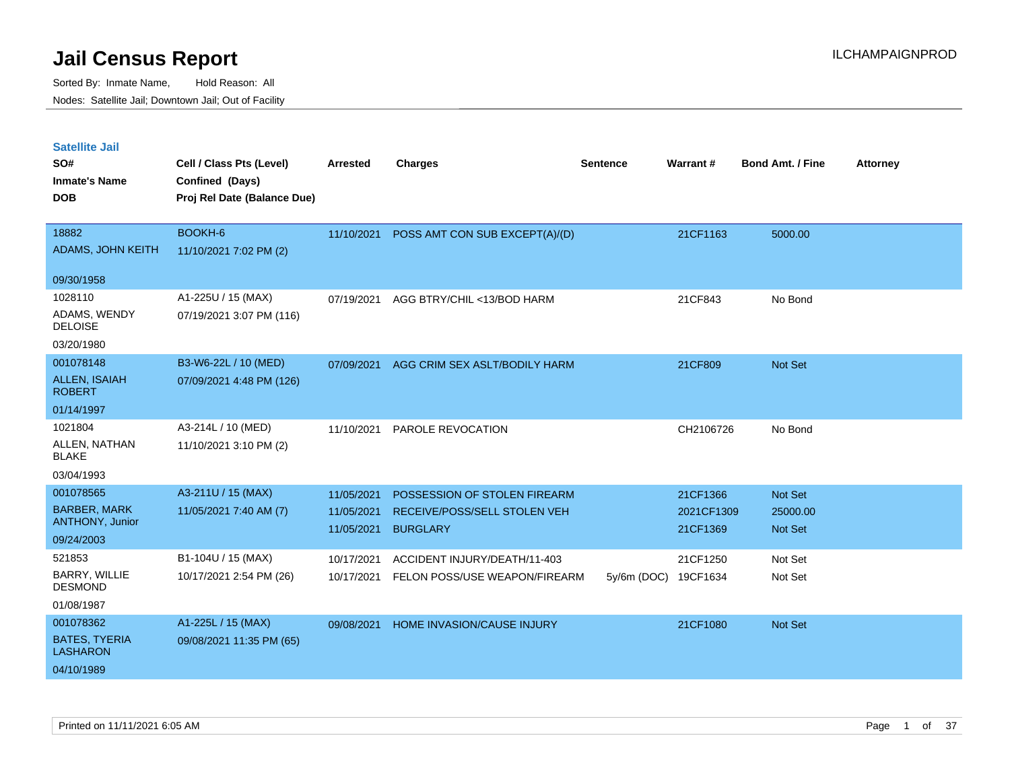| <b>Satellite Jail</b><br>SO#<br><b>Inmate's Name</b><br><b>DOB</b> | Cell / Class Pts (Level)<br>Confined (Days)<br>Proj Rel Date (Balance Due) | Arrested                 | <b>Charges</b>                                  | <b>Sentence</b>      | Warrant#               | <b>Bond Amt. / Fine</b>    | <b>Attorney</b> |
|--------------------------------------------------------------------|----------------------------------------------------------------------------|--------------------------|-------------------------------------------------|----------------------|------------------------|----------------------------|-----------------|
| 18882                                                              | BOOKH-6                                                                    | 11/10/2021               | POSS AMT CON SUB EXCEPT(A)/(D)                  |                      | 21CF1163               | 5000.00                    |                 |
| ADAMS, JOHN KEITH                                                  | 11/10/2021 7:02 PM (2)                                                     |                          |                                                 |                      |                        |                            |                 |
| 09/30/1958                                                         |                                                                            |                          |                                                 |                      |                        |                            |                 |
| 1028110                                                            | A1-225U / 15 (MAX)                                                         | 07/19/2021               | AGG BTRY/CHIL <13/BOD HARM                      |                      | 21CF843                | No Bond                    |                 |
| ADAMS, WENDY<br><b>DELOISE</b>                                     | 07/19/2021 3:07 PM (116)                                                   |                          |                                                 |                      |                        |                            |                 |
| 03/20/1980                                                         |                                                                            |                          |                                                 |                      |                        |                            |                 |
| 001078148                                                          | B3-W6-22L / 10 (MED)                                                       | 07/09/2021               | AGG CRIM SEX ASLT/BODILY HARM                   |                      | 21CF809                | <b>Not Set</b>             |                 |
| <b>ALLEN, ISAIAH</b><br><b>ROBERT</b>                              | 07/09/2021 4:48 PM (126)                                                   |                          |                                                 |                      |                        |                            |                 |
| 01/14/1997                                                         |                                                                            |                          |                                                 |                      |                        |                            |                 |
| 1021804                                                            | A3-214L / 10 (MED)                                                         | 11/10/2021               | PAROLE REVOCATION                               |                      | CH2106726              | No Bond                    |                 |
| ALLEN, NATHAN<br><b>BLAKE</b>                                      | 11/10/2021 3:10 PM (2)                                                     |                          |                                                 |                      |                        |                            |                 |
| 03/04/1993                                                         |                                                                            |                          |                                                 |                      |                        |                            |                 |
| 001078565                                                          | A3-211U / 15 (MAX)                                                         | 11/05/2021               | POSSESSION OF STOLEN FIREARM                    |                      | 21CF1366               | <b>Not Set</b>             |                 |
| <b>BARBER, MARK</b><br><b>ANTHONY, Junior</b>                      | 11/05/2021 7:40 AM (7)                                                     | 11/05/2021<br>11/05/2021 | RECEIVE/POSS/SELL STOLEN VEH<br><b>BURGLARY</b> |                      | 2021CF1309<br>21CF1369 | 25000.00<br><b>Not Set</b> |                 |
| 09/24/2003                                                         |                                                                            |                          |                                                 |                      |                        |                            |                 |
| 521853                                                             | B1-104U / 15 (MAX)                                                         | 10/17/2021               | ACCIDENT INJURY/DEATH/11-403                    |                      | 21CF1250               | Not Set                    |                 |
| BARRY, WILLIE<br><b>DESMOND</b>                                    | 10/17/2021 2:54 PM (26)                                                    | 10/17/2021               | FELON POSS/USE WEAPON/FIREARM                   | 5y/6m (DOC) 19CF1634 |                        | Not Set                    |                 |
| 01/08/1987                                                         |                                                                            |                          |                                                 |                      |                        |                            |                 |
| 001078362                                                          | A1-225L / 15 (MAX)                                                         | 09/08/2021               | HOME INVASION/CAUSE INJURY                      |                      | 21CF1080               | <b>Not Set</b>             |                 |
| <b>BATES, TYERIA</b><br><b>LASHARON</b>                            | 09/08/2021 11:35 PM (65)                                                   |                          |                                                 |                      |                        |                            |                 |
| 04/10/1989                                                         |                                                                            |                          |                                                 |                      |                        |                            |                 |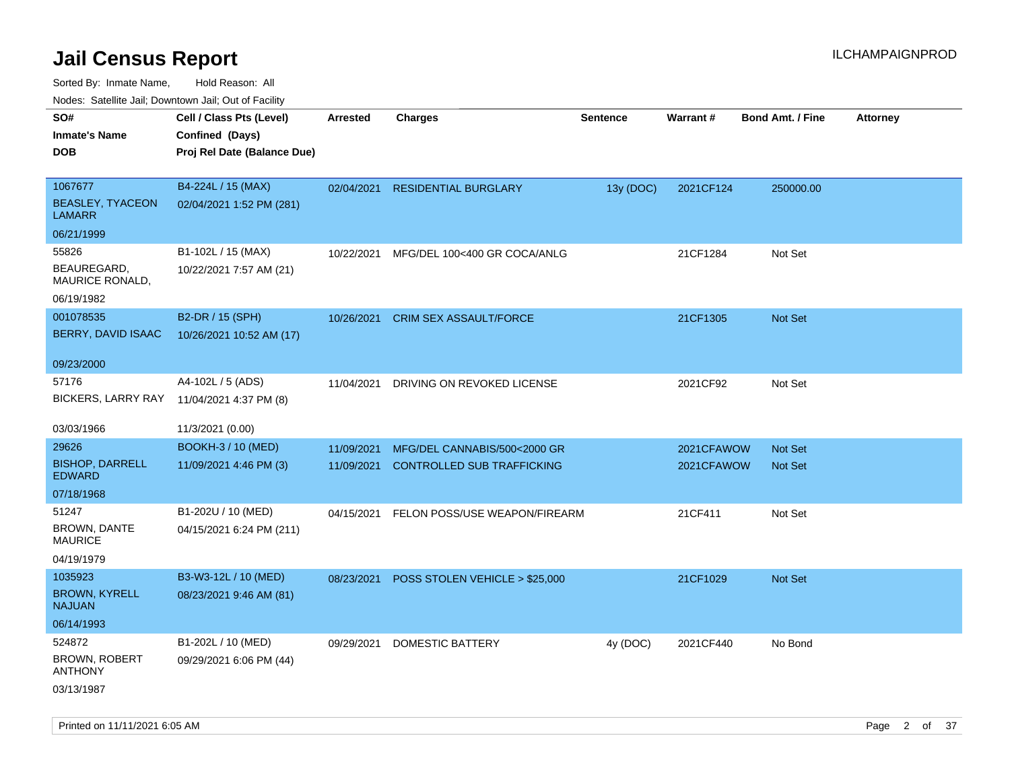|                                          | Nodes: Satellite Jali, Downtown Jali, Out of Facility |                 |                                   |                 |            |                         |                 |
|------------------------------------------|-------------------------------------------------------|-----------------|-----------------------------------|-----------------|------------|-------------------------|-----------------|
| SO#                                      | Cell / Class Pts (Level)                              | <b>Arrested</b> | Charges                           | <b>Sentence</b> | Warrant#   | <b>Bond Amt. / Fine</b> | <b>Attorney</b> |
| <b>Inmate's Name</b>                     | Confined (Days)                                       |                 |                                   |                 |            |                         |                 |
| <b>DOB</b>                               | Proj Rel Date (Balance Due)                           |                 |                                   |                 |            |                         |                 |
|                                          |                                                       |                 |                                   |                 |            |                         |                 |
| 1067677                                  | B4-224L / 15 (MAX)                                    | 02/04/2021      | <b>RESIDENTIAL BURGLARY</b>       | 13y (DOC)       | 2021CF124  | 250000.00               |                 |
| <b>BEASLEY, TYACEON</b><br><b>LAMARR</b> | 02/04/2021 1:52 PM (281)                              |                 |                                   |                 |            |                         |                 |
| 06/21/1999                               |                                                       |                 |                                   |                 |            |                         |                 |
| 55826                                    | B1-102L / 15 (MAX)                                    | 10/22/2021      | MFG/DEL 100<400 GR COCA/ANLG      |                 | 21CF1284   | Not Set                 |                 |
| BEAUREGARD,<br>MAURICE RONALD,           | 10/22/2021 7:57 AM (21)                               |                 |                                   |                 |            |                         |                 |
| 06/19/1982                               |                                                       |                 |                                   |                 |            |                         |                 |
| 001078535                                | B2-DR / 15 (SPH)                                      | 10/26/2021      | <b>CRIM SEX ASSAULT/FORCE</b>     |                 | 21CF1305   | Not Set                 |                 |
| BERRY, DAVID ISAAC                       | 10/26/2021 10:52 AM (17)                              |                 |                                   |                 |            |                         |                 |
|                                          |                                                       |                 |                                   |                 |            |                         |                 |
| 09/23/2000                               |                                                       |                 |                                   |                 |            |                         |                 |
| 57176                                    | A4-102L / 5 (ADS)                                     | 11/04/2021      | DRIVING ON REVOKED LICENSE        |                 | 2021CF92   | Not Set                 |                 |
| <b>BICKERS, LARRY RAY</b>                | 11/04/2021 4:37 PM (8)                                |                 |                                   |                 |            |                         |                 |
|                                          |                                                       |                 |                                   |                 |            |                         |                 |
| 03/03/1966                               | 11/3/2021 (0.00)                                      |                 |                                   |                 |            |                         |                 |
| 29626                                    | <b>BOOKH-3 / 10 (MED)</b>                             | 11/09/2021      | MFG/DEL CANNABIS/500<2000 GR      |                 | 2021CFAWOW | <b>Not Set</b>          |                 |
| <b>BISHOP, DARRELL</b>                   | 11/09/2021 4:46 PM (3)                                | 11/09/2021      | <b>CONTROLLED SUB TRAFFICKING</b> |                 | 2021CFAWOW | <b>Not Set</b>          |                 |
| <b>EDWARD</b>                            |                                                       |                 |                                   |                 |            |                         |                 |
| 07/18/1968                               |                                                       |                 |                                   |                 |            |                         |                 |
| 51247                                    | B1-202U / 10 (MED)                                    | 04/15/2021      | FELON POSS/USE WEAPON/FIREARM     |                 | 21CF411    | Not Set                 |                 |
| <b>BROWN, DANTE</b><br><b>MAURICE</b>    | 04/15/2021 6:24 PM (211)                              |                 |                                   |                 |            |                         |                 |
| 04/19/1979                               |                                                       |                 |                                   |                 |            |                         |                 |
| 1035923                                  |                                                       |                 |                                   |                 |            |                         |                 |
|                                          | B3-W3-12L / 10 (MED)                                  | 08/23/2021      | POSS STOLEN VEHICLE > \$25,000    |                 | 21CF1029   | Not Set                 |                 |
| <b>BROWN, KYRELL</b><br><b>NAJUAN</b>    | 08/23/2021 9:46 AM (81)                               |                 |                                   |                 |            |                         |                 |
| 06/14/1993                               |                                                       |                 |                                   |                 |            |                         |                 |
| 524872                                   | B1-202L / 10 (MED)                                    | 09/29/2021      | <b>DOMESTIC BATTERY</b>           | 4y (DOC)        | 2021CF440  | No Bond                 |                 |
| <b>BROWN, ROBERT</b><br><b>ANTHONY</b>   | 09/29/2021 6:06 PM (44)                               |                 |                                   |                 |            |                         |                 |
| 03/13/1987                               |                                                       |                 |                                   |                 |            |                         |                 |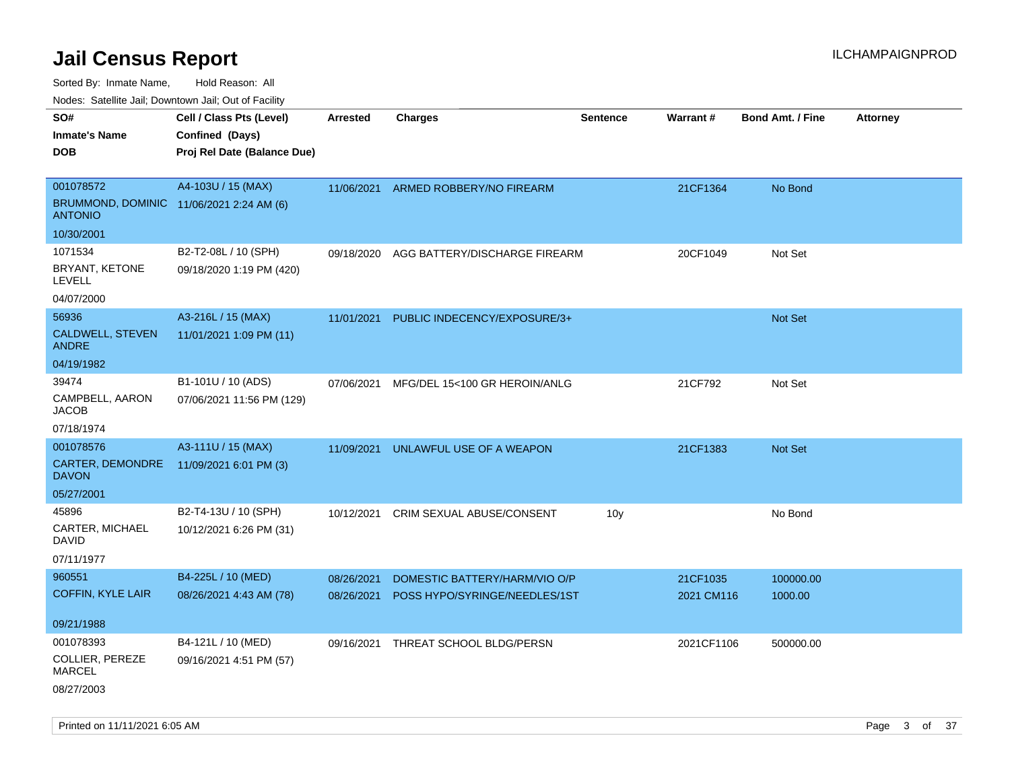Sorted By: Inmate Name, Hold Reason: All

Nodes: Satellite Jail; Downtown Jail; Out of Facility

| SO#                                                        | Cell / Class Pts (Level)    | <b>Arrested</b> | <b>Charges</b>                           | <b>Sentence</b> | <b>Warrant#</b> | <b>Bond Amt. / Fine</b> | <b>Attorney</b> |
|------------------------------------------------------------|-----------------------------|-----------------|------------------------------------------|-----------------|-----------------|-------------------------|-----------------|
| <b>Inmate's Name</b>                                       | Confined (Days)             |                 |                                          |                 |                 |                         |                 |
| <b>DOB</b>                                                 | Proj Rel Date (Balance Due) |                 |                                          |                 |                 |                         |                 |
|                                                            |                             |                 |                                          |                 |                 |                         |                 |
| 001078572                                                  | A4-103U / 15 (MAX)          | 11/06/2021      | ARMED ROBBERY/NO FIREARM                 |                 | 21CF1364        | No Bond                 |                 |
| BRUMMOND, DOMINIC 11/06/2021 2:24 AM (6)<br><b>ANTONIO</b> |                             |                 |                                          |                 |                 |                         |                 |
| 10/30/2001                                                 |                             |                 |                                          |                 |                 |                         |                 |
| 1071534                                                    | B2-T2-08L / 10 (SPH)        | 09/18/2020      | AGG BATTERY/DISCHARGE FIREARM            |                 | 20CF1049        | Not Set                 |                 |
| BRYANT, KETONE<br><b>LEVELL</b>                            | 09/18/2020 1:19 PM (420)    |                 |                                          |                 |                 |                         |                 |
| 04/07/2000                                                 |                             |                 |                                          |                 |                 |                         |                 |
| 56936                                                      | A3-216L / 15 (MAX)          | 11/01/2021      | PUBLIC INDECENCY/EXPOSURE/3+             |                 |                 | Not Set                 |                 |
| <b>CALDWELL, STEVEN</b><br><b>ANDRE</b>                    | 11/01/2021 1:09 PM (11)     |                 |                                          |                 |                 |                         |                 |
| 04/19/1982                                                 |                             |                 |                                          |                 |                 |                         |                 |
| 39474                                                      | B1-101U / 10 (ADS)          |                 | 07/06/2021 MFG/DEL 15<100 GR HEROIN/ANLG |                 | 21CF792         | Not Set                 |                 |
| CAMPBELL, AARON<br><b>JACOB</b>                            | 07/06/2021 11:56 PM (129)   |                 |                                          |                 |                 |                         |                 |
| 07/18/1974                                                 |                             |                 |                                          |                 |                 |                         |                 |
| 001078576                                                  | A3-111U / 15 (MAX)          | 11/09/2021      | UNLAWFUL USE OF A WEAPON                 |                 | 21CF1383        | <b>Not Set</b>          |                 |
| CARTER, DEMONDRE<br><b>DAVON</b>                           | 11/09/2021 6:01 PM (3)      |                 |                                          |                 |                 |                         |                 |
| 05/27/2001                                                 |                             |                 |                                          |                 |                 |                         |                 |
| 45896                                                      | B2-T4-13U / 10 (SPH)        | 10/12/2021      | <b>CRIM SEXUAL ABUSE/CONSENT</b>         | 10 <sub>y</sub> |                 | No Bond                 |                 |
| CARTER, MICHAEL<br><b>DAVID</b>                            | 10/12/2021 6:26 PM (31)     |                 |                                          |                 |                 |                         |                 |
| 07/11/1977                                                 |                             |                 |                                          |                 |                 |                         |                 |
| 960551                                                     | B4-225L / 10 (MED)          | 08/26/2021      | DOMESTIC BATTERY/HARM/VIO O/P            |                 | 21CF1035        | 100000.00               |                 |
| <b>COFFIN, KYLE LAIR</b>                                   | 08/26/2021 4:43 AM (78)     | 08/26/2021      | POSS HYPO/SYRINGE/NEEDLES/1ST            |                 | 2021 CM116      | 1000.00                 |                 |
|                                                            |                             |                 |                                          |                 |                 |                         |                 |
| 09/21/1988                                                 |                             |                 |                                          |                 |                 |                         |                 |
| 001078393                                                  | B4-121L / 10 (MED)          | 09/16/2021      | THREAT SCHOOL BLDG/PERSN                 |                 | 2021CF1106      | 500000.00               |                 |
| COLLIER, PEREZE<br><b>MARCEL</b>                           | 09/16/2021 4:51 PM (57)     |                 |                                          |                 |                 |                         |                 |
| 08/27/2003                                                 |                             |                 |                                          |                 |                 |                         |                 |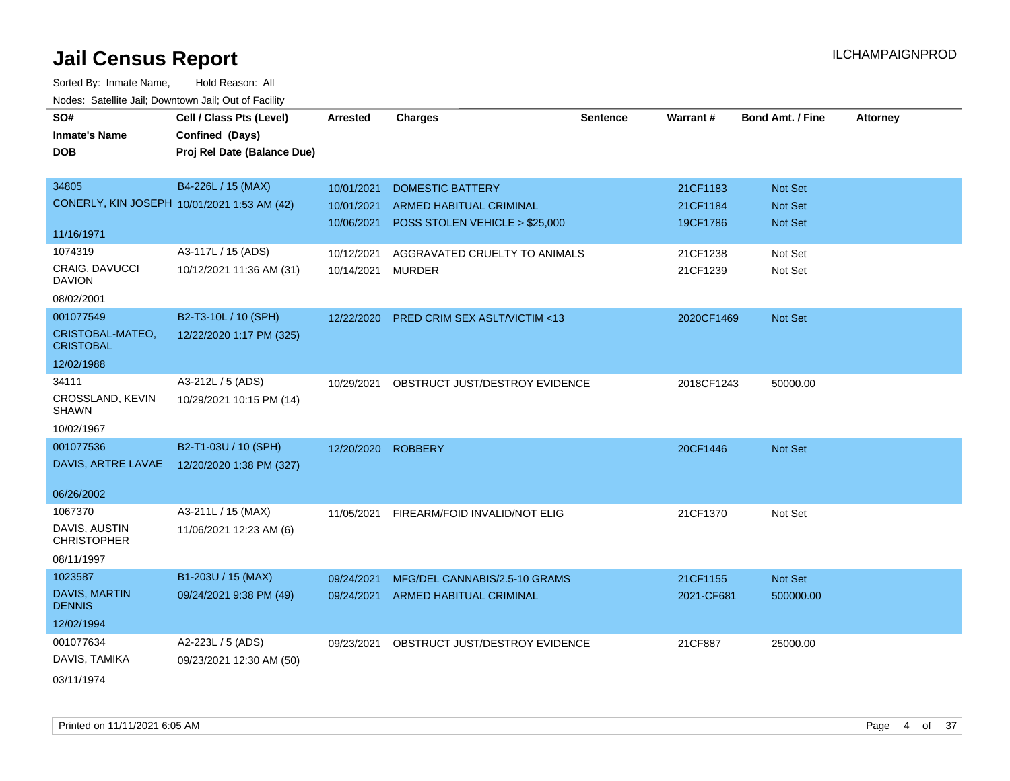| roaco. Catolino cali, Downtown cali, Out of Facility |                                             |                 |                                         |                 |            |                         |                 |
|------------------------------------------------------|---------------------------------------------|-----------------|-----------------------------------------|-----------------|------------|-------------------------|-----------------|
| SO#                                                  | Cell / Class Pts (Level)                    | <b>Arrested</b> | <b>Charges</b>                          | <b>Sentence</b> | Warrant#   | <b>Bond Amt. / Fine</b> | <b>Attorney</b> |
| <b>Inmate's Name</b>                                 | Confined (Days)                             |                 |                                         |                 |            |                         |                 |
| <b>DOB</b>                                           | Proj Rel Date (Balance Due)                 |                 |                                         |                 |            |                         |                 |
|                                                      |                                             |                 |                                         |                 |            |                         |                 |
| 34805                                                | B4-226L / 15 (MAX)                          | 10/01/2021      | <b>DOMESTIC BATTERY</b>                 |                 | 21CF1183   | Not Set                 |                 |
|                                                      | CONERLY, KIN JOSEPH 10/01/2021 1:53 AM (42) | 10/01/2021      | <b>ARMED HABITUAL CRIMINAL</b>          |                 | 21CF1184   | Not Set                 |                 |
|                                                      |                                             | 10/06/2021      | POSS STOLEN VEHICLE > \$25,000          |                 | 19CF1786   | <b>Not Set</b>          |                 |
| 11/16/1971                                           |                                             |                 |                                         |                 |            |                         |                 |
| 1074319                                              | A3-117L / 15 (ADS)                          | 10/12/2021      | AGGRAVATED CRUELTY TO ANIMALS           |                 | 21CF1238   | Not Set                 |                 |
| <b>CRAIG, DAVUCCI</b><br><b>DAVION</b>               | 10/12/2021 11:36 AM (31)                    | 10/14/2021      | <b>MURDER</b>                           |                 | 21CF1239   | Not Set                 |                 |
| 08/02/2001                                           |                                             |                 |                                         |                 |            |                         |                 |
| 001077549                                            | B2-T3-10L / 10 (SPH)                        | 12/22/2020      | <b>PRED CRIM SEX ASLT/VICTIM &lt;13</b> |                 | 2020CF1469 | Not Set                 |                 |
| CRISTOBAL-MATEO,<br><b>CRISTOBAL</b>                 | 12/22/2020 1:17 PM (325)                    |                 |                                         |                 |            |                         |                 |
| 12/02/1988                                           |                                             |                 |                                         |                 |            |                         |                 |
| 34111                                                | A3-212L / 5 (ADS)                           | 10/29/2021      | OBSTRUCT JUST/DESTROY EVIDENCE          |                 | 2018CF1243 | 50000.00                |                 |
| CROSSLAND, KEVIN<br><b>SHAWN</b>                     | 10/29/2021 10:15 PM (14)                    |                 |                                         |                 |            |                         |                 |
| 10/02/1967                                           |                                             |                 |                                         |                 |            |                         |                 |
| 001077536                                            | B2-T1-03U / 10 (SPH)                        | 12/20/2020      | <b>ROBBERY</b>                          |                 | 20CF1446   | <b>Not Set</b>          |                 |
| DAVIS, ARTRE LAVAE                                   | 12/20/2020 1:38 PM (327)                    |                 |                                         |                 |            |                         |                 |
|                                                      |                                             |                 |                                         |                 |            |                         |                 |
| 06/26/2002                                           |                                             |                 |                                         |                 |            |                         |                 |
| 1067370                                              | A3-211L / 15 (MAX)                          | 11/05/2021      | FIREARM/FOID INVALID/NOT ELIG           |                 | 21CF1370   | Not Set                 |                 |
| DAVIS, AUSTIN<br><b>CHRISTOPHER</b>                  | 11/06/2021 12:23 AM (6)                     |                 |                                         |                 |            |                         |                 |
| 08/11/1997                                           |                                             |                 |                                         |                 |            |                         |                 |
| 1023587                                              | B1-203U / 15 (MAX)                          | 09/24/2021      | MFG/DEL CANNABIS/2.5-10 GRAMS           |                 | 21CF1155   | Not Set                 |                 |
| DAVIS, MARTIN<br><b>DENNIS</b>                       | 09/24/2021 9:38 PM (49)                     | 09/24/2021      | ARMED HABITUAL CRIMINAL                 |                 | 2021-CF681 | 500000.00               |                 |
| 12/02/1994                                           |                                             |                 |                                         |                 |            |                         |                 |
| 001077634                                            | A2-223L / 5 (ADS)                           | 09/23/2021      | OBSTRUCT JUST/DESTROY EVIDENCE          |                 | 21CF887    | 25000.00                |                 |
| DAVIS, TAMIKA                                        | 09/23/2021 12:30 AM (50)                    |                 |                                         |                 |            |                         |                 |
| 03/11/1974                                           |                                             |                 |                                         |                 |            |                         |                 |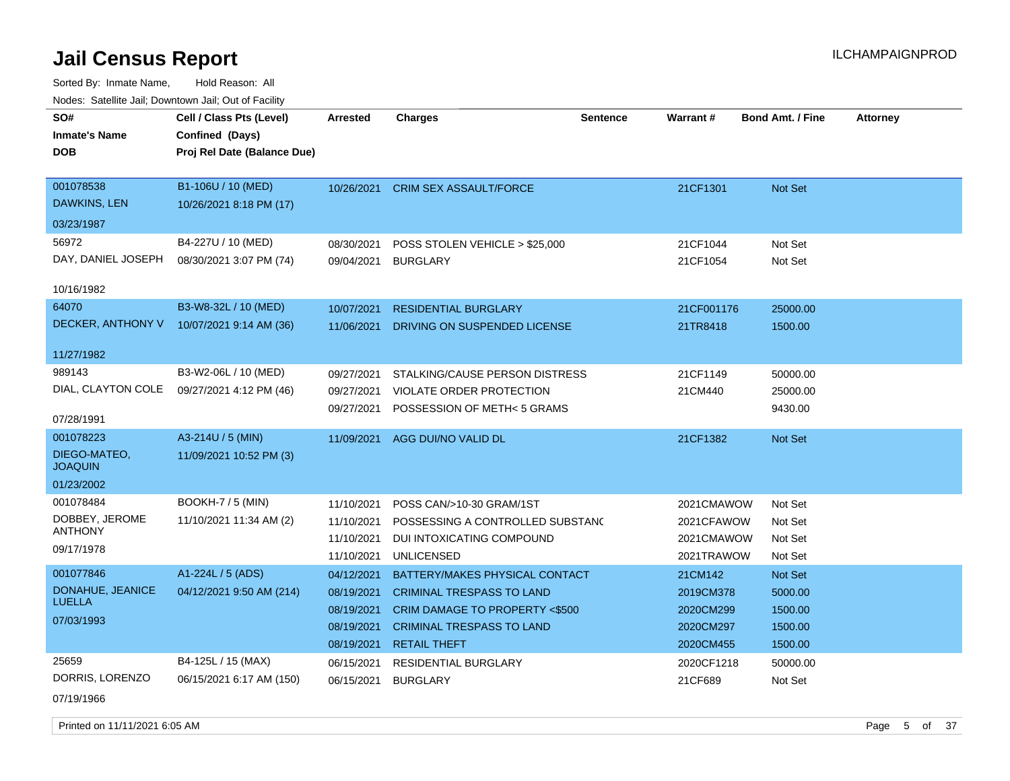Sorted By: Inmate Name, Hold Reason: All Nodes: Satellite Jail; Downtown Jail; Out of Facility

| SO#<br><b>Inmate's Name</b><br><b>DOB</b> | Cell / Class Pts (Level)<br>Confined (Days)<br>Proj Rel Date (Balance Due) | Arrested                 | <b>Charges</b>                                              | <b>Sentence</b> | <b>Warrant#</b>        | <b>Bond Amt. / Fine</b> | <b>Attorney</b> |
|-------------------------------------------|----------------------------------------------------------------------------|--------------------------|-------------------------------------------------------------|-----------------|------------------------|-------------------------|-----------------|
| 001078538<br><b>DAWKINS, LEN</b>          | B1-106U / 10 (MED)<br>10/26/2021 8:18 PM (17)                              | 10/26/2021               | <b>CRIM SEX ASSAULT/FORCE</b>                               |                 | 21CF1301               | <b>Not Set</b>          |                 |
| 03/23/1987                                |                                                                            |                          |                                                             |                 |                        |                         |                 |
| 56972<br>DAY, DANIEL JOSEPH               | B4-227U / 10 (MED)<br>08/30/2021 3:07 PM (74)                              | 08/30/2021<br>09/04/2021 | POSS STOLEN VEHICLE > \$25,000<br><b>BURGLARY</b>           |                 | 21CF1044<br>21CF1054   | Not Set<br>Not Set      |                 |
| 10/16/1982                                |                                                                            |                          |                                                             |                 |                        |                         |                 |
| 64070<br>DECKER, ANTHONY V                | B3-W8-32L / 10 (MED)<br>10/07/2021 9:14 AM (36)                            | 10/07/2021<br>11/06/2021 | <b>RESIDENTIAL BURGLARY</b><br>DRIVING ON SUSPENDED LICENSE |                 | 21CF001176<br>21TR8418 | 25000.00<br>1500.00     |                 |
| 11/27/1982                                |                                                                            |                          |                                                             |                 |                        |                         |                 |
| 989143                                    | B3-W2-06L / 10 (MED)                                                       | 09/27/2021               | STALKING/CAUSE PERSON DISTRESS                              |                 | 21CF1149               | 50000.00                |                 |
| DIAL, CLAYTON COLE                        | 09/27/2021 4:12 PM (46)                                                    | 09/27/2021               | VIOLATE ORDER PROTECTION                                    |                 | 21CM440                | 25000.00                |                 |
| 07/28/1991                                |                                                                            | 09/27/2021               | POSSESSION OF METH< 5 GRAMS                                 |                 |                        | 9430.00                 |                 |
| 001078223                                 | A3-214U / 5 (MIN)                                                          |                          | 11/09/2021 AGG DUI/NO VALID DL                              |                 | 21CF1382               | Not Set                 |                 |
| DIEGO-MATEO,<br><b>JOAQUIN</b>            | 11/09/2021 10:52 PM (3)                                                    |                          |                                                             |                 |                        |                         |                 |
| 01/23/2002                                |                                                                            |                          |                                                             |                 |                        |                         |                 |
| 001078484                                 | <b>BOOKH-7 / 5 (MIN)</b>                                                   | 11/10/2021               | POSS CAN/>10-30 GRAM/1ST                                    |                 | 2021CMAWOW             | Not Set                 |                 |
| DOBBEY, JEROME<br><b>ANTHONY</b>          | 11/10/2021 11:34 AM (2)                                                    | 11/10/2021               | POSSESSING A CONTROLLED SUBSTANC                            |                 | 2021CFAWOW             | Not Set                 |                 |
|                                           |                                                                            | 11/10/2021               | DUI INTOXICATING COMPOUND                                   |                 | 2021CMAWOW             | Not Set                 |                 |
| 09/17/1978                                |                                                                            | 11/10/2021               | <b>UNLICENSED</b>                                           |                 | 2021TRAWOW             | Not Set                 |                 |
| 001077846                                 | A1-224L / 5 (ADS)                                                          | 04/12/2021               | BATTERY/MAKES PHYSICAL CONTACT                              |                 | 21CM142                | Not Set                 |                 |
| DONAHUE, JEANICE<br><b>LUELLA</b>         | 04/12/2021 9:50 AM (214)                                                   | 08/19/2021               | <b>CRIMINAL TRESPASS TO LAND</b>                            |                 | 2019CM378              | 5000.00                 |                 |
| 07/03/1993                                |                                                                            | 08/19/2021               | CRIM DAMAGE TO PROPERTY <\$500                              |                 | 2020CM299              | 1500.00                 |                 |
|                                           |                                                                            | 08/19/2021               | <b>CRIMINAL TRESPASS TO LAND</b>                            |                 | 2020CM297              | 1500.00                 |                 |
|                                           |                                                                            | 08/19/2021               | <b>RETAIL THEFT</b>                                         |                 | 2020CM455              | 1500.00                 |                 |
| 25659                                     | B4-125L / 15 (MAX)                                                         | 06/15/2021               | <b>RESIDENTIAL BURGLARY</b>                                 |                 | 2020CF1218             | 50000.00                |                 |
| DORRIS, LORENZO                           | 06/15/2021 6:17 AM (150)                                                   | 06/15/2021               | <b>BURGLARY</b>                                             |                 | 21CF689                | Not Set                 |                 |
| 07/19/1966                                |                                                                            |                          |                                                             |                 |                        |                         |                 |

Printed on 11/11/2021 6:05 AM **Page 5 of 37**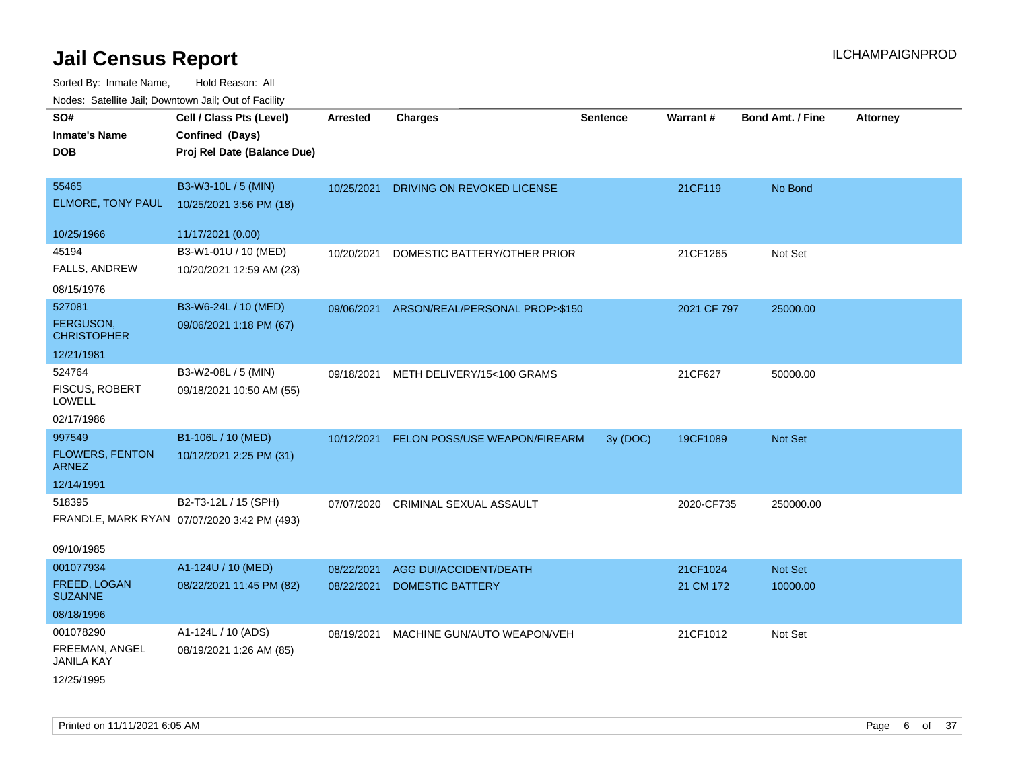| ivouss. Satellite Jali, Downtown Jali, Out of Facility |                                             |                 |                                |                 |             |                         |                 |
|--------------------------------------------------------|---------------------------------------------|-----------------|--------------------------------|-----------------|-------------|-------------------------|-----------------|
| SO#                                                    | Cell / Class Pts (Level)                    | <b>Arrested</b> | <b>Charges</b>                 | <b>Sentence</b> | Warrant#    | <b>Bond Amt. / Fine</b> | <b>Attorney</b> |
| Inmate's Name                                          | Confined (Days)                             |                 |                                |                 |             |                         |                 |
| DOB                                                    | Proj Rel Date (Balance Due)                 |                 |                                |                 |             |                         |                 |
|                                                        |                                             |                 |                                |                 |             |                         |                 |
| 55465                                                  | B3-W3-10L / 5 (MIN)                         | 10/25/2021      | DRIVING ON REVOKED LICENSE     |                 | 21CF119     | No Bond                 |                 |
| <b>ELMORE, TONY PAUL</b>                               | 10/25/2021 3:56 PM (18)                     |                 |                                |                 |             |                         |                 |
| 10/25/1966                                             | 11/17/2021 (0.00)                           |                 |                                |                 |             |                         |                 |
| 45194                                                  | B3-W1-01U / 10 (MED)                        | 10/20/2021      | DOMESTIC BATTERY/OTHER PRIOR   |                 | 21CF1265    | Not Set                 |                 |
| FALLS, ANDREW                                          | 10/20/2021 12:59 AM (23)                    |                 |                                |                 |             |                         |                 |
| 08/15/1976                                             |                                             |                 |                                |                 |             |                         |                 |
| 527081                                                 | B3-W6-24L / 10 (MED)                        | 09/06/2021      | ARSON/REAL/PERSONAL PROP>\$150 |                 | 2021 CF 797 | 25000.00                |                 |
| <b>FERGUSON,</b><br>CHRISTOPHER                        | 09/06/2021 1:18 PM (67)                     |                 |                                |                 |             |                         |                 |
| 12/21/1981                                             |                                             |                 |                                |                 |             |                         |                 |
| 524764                                                 | B3-W2-08L / 5 (MIN)                         | 09/18/2021      | METH DELIVERY/15<100 GRAMS     |                 | 21CF627     | 50000.00                |                 |
| <b>FISCUS, ROBERT</b><br>LOWELL                        | 09/18/2021 10:50 AM (55)                    |                 |                                |                 |             |                         |                 |
| 02/17/1986                                             |                                             |                 |                                |                 |             |                         |                 |
| 997549                                                 | B1-106L / 10 (MED)                          | 10/12/2021      | FELON POSS/USE WEAPON/FIREARM  | 3y (DOC)        | 19CF1089    | <b>Not Set</b>          |                 |
| <b>FLOWERS, FENTON</b><br>ARNEZ                        | 10/12/2021 2:25 PM (31)                     |                 |                                |                 |             |                         |                 |
| 12/14/1991                                             |                                             |                 |                                |                 |             |                         |                 |
| 518395                                                 | B2-T3-12L / 15 (SPH)                        | 07/07/2020      | CRIMINAL SEXUAL ASSAULT        |                 | 2020-CF735  | 250000.00               |                 |
|                                                        | FRANDLE, MARK RYAN 07/07/2020 3:42 PM (493) |                 |                                |                 |             |                         |                 |
| 09/10/1985                                             |                                             |                 |                                |                 |             |                         |                 |
| 001077934                                              | A1-124U / 10 (MED)                          | 08/22/2021      | AGG DUI/ACCIDENT/DEATH         |                 | 21CF1024    | <b>Not Set</b>          |                 |
| FREED, LOGAN<br><b>SUZANNE</b>                         | 08/22/2021 11:45 PM (82)                    | 08/22/2021      | <b>DOMESTIC BATTERY</b>        |                 | 21 CM 172   | 10000.00                |                 |
| 08/18/1996                                             |                                             |                 |                                |                 |             |                         |                 |
| 001078290                                              | A1-124L / 10 (ADS)                          | 08/19/2021      | MACHINE GUN/AUTO WEAPON/VEH    |                 | 21CF1012    | Not Set                 |                 |
| FREEMAN, ANGEL<br>JANILA KAY                           | 08/19/2021 1:26 AM (85)                     |                 |                                |                 |             |                         |                 |
| 12/25/1995                                             |                                             |                 |                                |                 |             |                         |                 |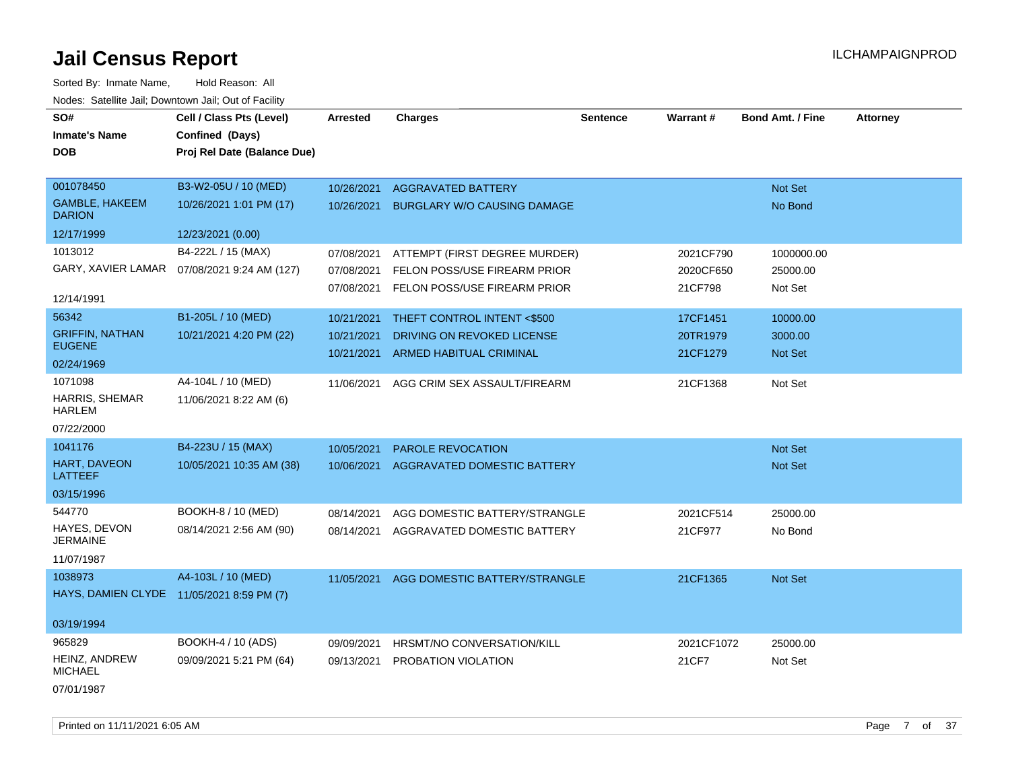| Sorted By: Inmate Name,                               | Hold Reason: All            |                 |                                    |                 |                 |                         |                 |
|-------------------------------------------------------|-----------------------------|-----------------|------------------------------------|-----------------|-----------------|-------------------------|-----------------|
| Nodes: Satellite Jail; Downtown Jail; Out of Facility |                             |                 |                                    |                 |                 |                         |                 |
| SO#                                                   | Cell / Class Pts (Level)    | <b>Arrested</b> | <b>Charges</b>                     | <b>Sentence</b> | <b>Warrant#</b> | <b>Bond Amt. / Fine</b> | <b>Attorney</b> |
| <b>Inmate's Name</b>                                  | Confined (Days)             |                 |                                    |                 |                 |                         |                 |
| <b>DOB</b>                                            | Proj Rel Date (Balance Due) |                 |                                    |                 |                 |                         |                 |
|                                                       |                             |                 |                                    |                 |                 |                         |                 |
| 001078450                                             | B3-W2-05U / 10 (MED)        | 10/26/2021      | <b>AGGRAVATED BATTERY</b>          |                 |                 | Not Set                 |                 |
| <b>GAMBLE, HAKEEM</b><br><b>DARION</b>                | 10/26/2021 1:01 PM (17)     | 10/26/2021      | <b>BURGLARY W/O CAUSING DAMAGE</b> |                 |                 | No Bond                 |                 |
| 12/17/1999                                            | 12/23/2021 (0.00)           |                 |                                    |                 |                 |                         |                 |
| 1013012                                               | B4-222L / 15 (MAX)          | 07/08/2021      | ATTEMPT (FIRST DEGREE MURDER)      |                 | 2021CF790       | 1000000.00              |                 |
| GARY, XAVIER LAMAR                                    | 07/08/2021 9:24 AM (127)    | 07/08/2021      | FELON POSS/USE FIREARM PRIOR       |                 | 2020CF650       | 25000.00                |                 |
|                                                       |                             | 07/08/2021      | FELON POSS/USE FIREARM PRIOR       |                 | 21CF798         | Not Set                 |                 |
| 12/14/1991                                            |                             |                 |                                    |                 |                 |                         |                 |
| 56342                                                 | B1-205L / 10 (MED)          | 10/21/2021      | THEFT CONTROL INTENT <\$500        |                 | 17CF1451        | 10000.00                |                 |
| <b>GRIFFIN, NATHAN</b><br><b>EUGENE</b>               | 10/21/2021 4:20 PM (22)     | 10/21/2021      | DRIVING ON REVOKED LICENSE         |                 | 20TR1979        | 3000.00                 |                 |
| 02/24/1969                                            |                             | 10/21/2021      | <b>ARMED HABITUAL CRIMINAL</b>     |                 | 21CF1279        | Not Set                 |                 |
| 1071098                                               | A4-104L / 10 (MED)          | 11/06/2021      | AGG CRIM SEX ASSAULT/FIREARM       |                 | 21CF1368        | Not Set                 |                 |
| <b>HARRIS, SHEMAR</b>                                 | 11/06/2021 8:22 AM (6)      |                 |                                    |                 |                 |                         |                 |
| <b>HARLEM</b>                                         |                             |                 |                                    |                 |                 |                         |                 |
| 07/22/2000                                            |                             |                 |                                    |                 |                 |                         |                 |
| 1041176                                               | B4-223U / 15 (MAX)          | 10/05/2021      | <b>PAROLE REVOCATION</b>           |                 |                 | Not Set                 |                 |
| HART, DAVEON<br><b>LATTEEF</b>                        | 10/05/2021 10:35 AM (38)    | 10/06/2021      | AGGRAVATED DOMESTIC BATTERY        |                 |                 | <b>Not Set</b>          |                 |
| 03/15/1996                                            |                             |                 |                                    |                 |                 |                         |                 |
| 544770                                                | BOOKH-8 / 10 (MED)          | 08/14/2021      | AGG DOMESTIC BATTERY/STRANGLE      |                 | 2021CF514       | 25000.00                |                 |
| HAYES, DEVON<br><b>JERMAINE</b>                       | 08/14/2021 2:56 AM (90)     | 08/14/2021      | AGGRAVATED DOMESTIC BATTERY        |                 | 21CF977         | No Bond                 |                 |
| 11/07/1987                                            |                             |                 |                                    |                 |                 |                         |                 |
| 1038973                                               | A4-103L / 10 (MED)          | 11/05/2021      | AGG DOMESTIC BATTERY/STRANGLE      |                 | 21CF1365        | Not Set                 |                 |
| HAYS, DAMIEN CLYDE 11/05/2021 8:59 PM (7)             |                             |                 |                                    |                 |                 |                         |                 |
|                                                       |                             |                 |                                    |                 |                 |                         |                 |
| 03/19/1994                                            |                             |                 |                                    |                 |                 |                         |                 |
| 965829                                                | BOOKH-4 / 10 (ADS)          | 09/09/2021      | HRSMT/NO CONVERSATION/KILL         |                 | 2021CF1072      | 25000.00                |                 |
| HEINZ, ANDREW<br><b>MICHAEL</b>                       | 09/09/2021 5:21 PM (64)     | 09/13/2021      | PROBATION VIOLATION                |                 | 21CF7           | Not Set                 |                 |
| 07/01/1987                                            |                             |                 |                                    |                 |                 |                         |                 |

Printed on 11/11/2021 6:05 AM **Page 7** of 37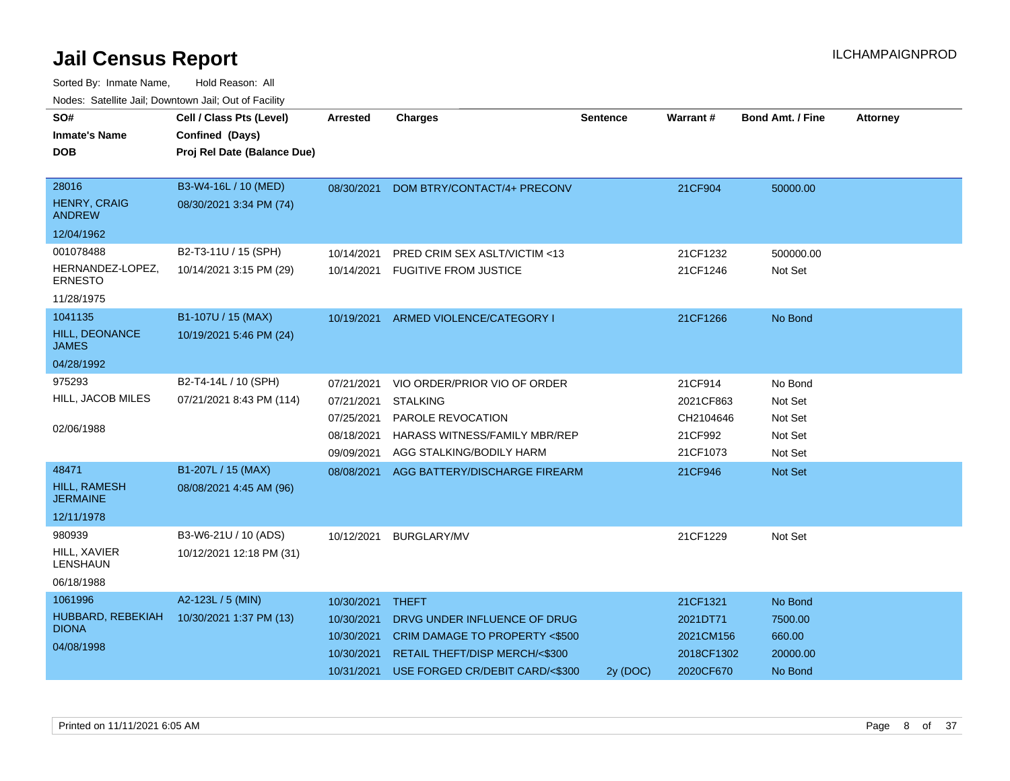| SO#                                    | Cell / Class Pts (Level)    | <b>Arrested</b> | <b>Charges</b>                           | <b>Sentence</b> | <b>Warrant#</b> | <b>Bond Amt. / Fine</b> | <b>Attorney</b> |
|----------------------------------------|-----------------------------|-----------------|------------------------------------------|-----------------|-----------------|-------------------------|-----------------|
| <b>Inmate's Name</b>                   | Confined (Days)             |                 |                                          |                 |                 |                         |                 |
| <b>DOB</b>                             | Proj Rel Date (Balance Due) |                 |                                          |                 |                 |                         |                 |
|                                        |                             |                 |                                          |                 |                 |                         |                 |
| 28016                                  | B3-W4-16L / 10 (MED)        | 08/30/2021      | DOM BTRY/CONTACT/4+ PRECONV              |                 | 21CF904         | 50000.00                |                 |
| <b>HENRY, CRAIG</b><br><b>ANDREW</b>   | 08/30/2021 3:34 PM (74)     |                 |                                          |                 |                 |                         |                 |
| 12/04/1962                             |                             |                 |                                          |                 |                 |                         |                 |
| 001078488                              | B2-T3-11U / 15 (SPH)        | 10/14/2021      | <b>PRED CRIM SEX ASLT/VICTIM &lt;13</b>  |                 | 21CF1232        | 500000.00               |                 |
| HERNANDEZ-LOPEZ,<br><b>ERNESTO</b>     | 10/14/2021 3:15 PM (29)     | 10/14/2021      | <b>FUGITIVE FROM JUSTICE</b>             |                 | 21CF1246        | Not Set                 |                 |
| 11/28/1975                             |                             |                 |                                          |                 |                 |                         |                 |
| 1041135                                | B1-107U / 15 (MAX)          | 10/19/2021      | ARMED VIOLENCE/CATEGORY I                |                 | 21CF1266        | No Bond                 |                 |
| HILL, DEONANCE<br><b>JAMES</b>         | 10/19/2021 5:46 PM (24)     |                 |                                          |                 |                 |                         |                 |
| 04/28/1992                             |                             |                 |                                          |                 |                 |                         |                 |
| 975293                                 | B2-T4-14L / 10 (SPH)        | 07/21/2021      | VIO ORDER/PRIOR VIO OF ORDER             |                 | 21CF914         | No Bond                 |                 |
| HILL, JACOB MILES                      | 07/21/2021 8:43 PM (114)    | 07/21/2021      | <b>STALKING</b>                          |                 | 2021CF863       | Not Set                 |                 |
|                                        |                             | 07/25/2021      | PAROLE REVOCATION                        |                 | CH2104646       | Not Set                 |                 |
| 02/06/1988                             |                             | 08/18/2021      | <b>HARASS WITNESS/FAMILY MBR/REP</b>     |                 | 21CF992         | Not Set                 |                 |
|                                        |                             | 09/09/2021      | AGG STALKING/BODILY HARM                 |                 | 21CF1073        | Not Set                 |                 |
| 48471                                  | B1-207L / 15 (MAX)          | 08/08/2021      | AGG BATTERY/DISCHARGE FIREARM            |                 | 21CF946         | Not Set                 |                 |
| <b>HILL, RAMESH</b><br><b>JERMAINE</b> | 08/08/2021 4:45 AM (96)     |                 |                                          |                 |                 |                         |                 |
| 12/11/1978                             |                             |                 |                                          |                 |                 |                         |                 |
| 980939                                 | B3-W6-21U / 10 (ADS)        | 10/12/2021      | <b>BURGLARY/MV</b>                       |                 | 21CF1229        | Not Set                 |                 |
| HILL, XAVIER<br>LENSHAUN               | 10/12/2021 12:18 PM (31)    |                 |                                          |                 |                 |                         |                 |
| 06/18/1988                             |                             |                 |                                          |                 |                 |                         |                 |
| 1061996                                | A2-123L / 5 (MIN)           | 10/30/2021      | <b>THEFT</b>                             |                 | 21CF1321        | No Bond                 |                 |
| HUBBARD, REBEKIAH                      | 10/30/2021 1:37 PM (13)     | 10/30/2021      | DRVG UNDER INFLUENCE OF DRUG             |                 | 2021DT71        | 7500.00                 |                 |
| <b>DIONA</b>                           |                             | 10/30/2021      | <b>CRIM DAMAGE TO PROPERTY &lt;\$500</b> |                 | 2021CM156       | 660.00                  |                 |
| 04/08/1998                             |                             | 10/30/2021      | RETAIL THEFT/DISP MERCH/<\$300           |                 | 2018CF1302      | 20000.00                |                 |
|                                        |                             | 10/31/2021      | USE FORGED CR/DEBIT CARD/<\$300          | 2y (DOC)        | 2020CF670       | No Bond                 |                 |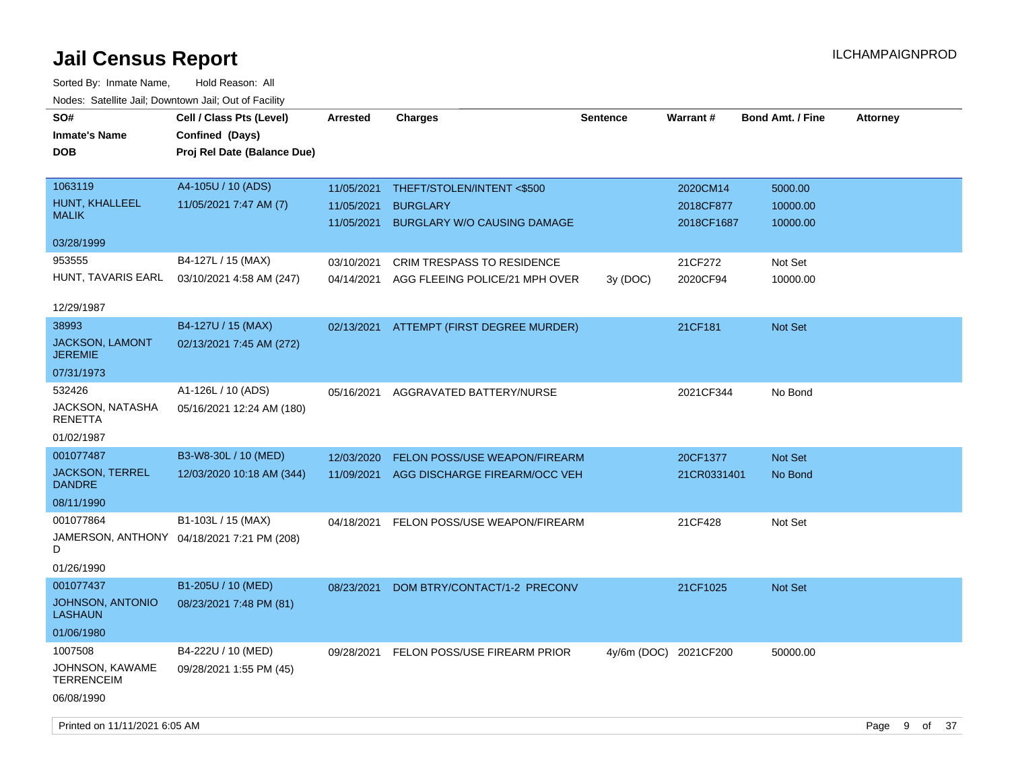Sorted By: Inmate Name, Hold Reason: All Nodes: Satellite Jail; Downtown Jail; Out of Facility

| 10000. 001011110 0011, Dominomi odli, Odi or i dollit<br>SO# | Cell / Class Pts (Level)                   | <b>Arrested</b> | <b>Charges</b>                           | Sentence | Warrant#              | <b>Bond Amt. / Fine</b> | <b>Attorney</b> |
|--------------------------------------------------------------|--------------------------------------------|-----------------|------------------------------------------|----------|-----------------------|-------------------------|-----------------|
| <b>Inmate's Name</b>                                         | Confined (Days)                            |                 |                                          |          |                       |                         |                 |
| <b>DOB</b>                                                   | Proj Rel Date (Balance Due)                |                 |                                          |          |                       |                         |                 |
|                                                              |                                            |                 |                                          |          |                       |                         |                 |
| 1063119                                                      | A4-105U / 10 (ADS)                         | 11/05/2021      | THEFT/STOLEN/INTENT <\$500               |          | 2020CM14              | 5000.00                 |                 |
| HUNT, KHALLEEL                                               | 11/05/2021 7:47 AM (7)                     | 11/05/2021      | <b>BURGLARY</b>                          |          | 2018CF877             | 10000.00                |                 |
| <b>MALIK</b>                                                 |                                            | 11/05/2021      | <b>BURGLARY W/O CAUSING DAMAGE</b>       |          | 2018CF1687            | 10000.00                |                 |
| 03/28/1999                                                   |                                            |                 |                                          |          |                       |                         |                 |
| 953555                                                       | B4-127L / 15 (MAX)                         | 03/10/2021      | <b>CRIM TRESPASS TO RESIDENCE</b>        |          | 21CF272               | Not Set                 |                 |
| HUNT, TAVARIS EARL                                           | 03/10/2021 4:58 AM (247)                   | 04/14/2021      | AGG FLEEING POLICE/21 MPH OVER           | 3y (DOC) | 2020CF94              | 10000.00                |                 |
|                                                              |                                            |                 |                                          |          |                       |                         |                 |
| 12/29/1987                                                   |                                            |                 |                                          |          |                       |                         |                 |
| 38993                                                        | B4-127U / 15 (MAX)                         |                 | 02/13/2021 ATTEMPT (FIRST DEGREE MURDER) |          | 21CF181               | Not Set                 |                 |
| <b>JACKSON, LAMONT</b><br><b>JEREMIE</b>                     | 02/13/2021 7:45 AM (272)                   |                 |                                          |          |                       |                         |                 |
| 07/31/1973                                                   |                                            |                 |                                          |          |                       |                         |                 |
| 532426                                                       | A1-126L / 10 (ADS)                         | 05/16/2021      | AGGRAVATED BATTERY/NURSE                 |          | 2021CF344             | No Bond                 |                 |
| JACKSON, NATASHA<br><b>RENETTA</b>                           | 05/16/2021 12:24 AM (180)                  |                 |                                          |          |                       |                         |                 |
| 01/02/1987                                                   |                                            |                 |                                          |          |                       |                         |                 |
| 001077487                                                    | B3-W8-30L / 10 (MED)                       | 12/03/2020      | <b>FELON POSS/USE WEAPON/FIREARM</b>     |          | 20CF1377              | <b>Not Set</b>          |                 |
| <b>JACKSON, TERREL</b><br><b>DANDRE</b>                      | 12/03/2020 10:18 AM (344)                  | 11/09/2021      | AGG DISCHARGE FIREARM/OCC VEH            |          | 21CR0331401           | No Bond                 |                 |
| 08/11/1990                                                   |                                            |                 |                                          |          |                       |                         |                 |
| 001077864                                                    | B1-103L / 15 (MAX)                         | 04/18/2021      | FELON POSS/USE WEAPON/FIREARM            |          | 21CF428               | Not Set                 |                 |
| D                                                            | JAMERSON, ANTHONY 04/18/2021 7:21 PM (208) |                 |                                          |          |                       |                         |                 |
| 01/26/1990                                                   |                                            |                 |                                          |          |                       |                         |                 |
| 001077437                                                    | B1-205U / 10 (MED)                         | 08/23/2021      | DOM BTRY/CONTACT/1-2 PRECONV             |          | 21CF1025              | <b>Not Set</b>          |                 |
| <b>JOHNSON, ANTONIO</b><br><b>LASHAUN</b>                    | 08/23/2021 7:48 PM (81)                    |                 |                                          |          |                       |                         |                 |
| 01/06/1980                                                   |                                            |                 |                                          |          |                       |                         |                 |
| 1007508                                                      | B4-222U / 10 (MED)                         | 09/28/2021      | FELON POSS/USE FIREARM PRIOR             |          | 4y/6m (DOC) 2021CF200 | 50000.00                |                 |
| JOHNSON, KAWAME<br><b>TERRENCEIM</b>                         | 09/28/2021 1:55 PM (45)                    |                 |                                          |          |                       |                         |                 |
| 06/08/1990                                                   |                                            |                 |                                          |          |                       |                         |                 |

Printed on 11/11/2021 6:05 AM **Page 9 of 37**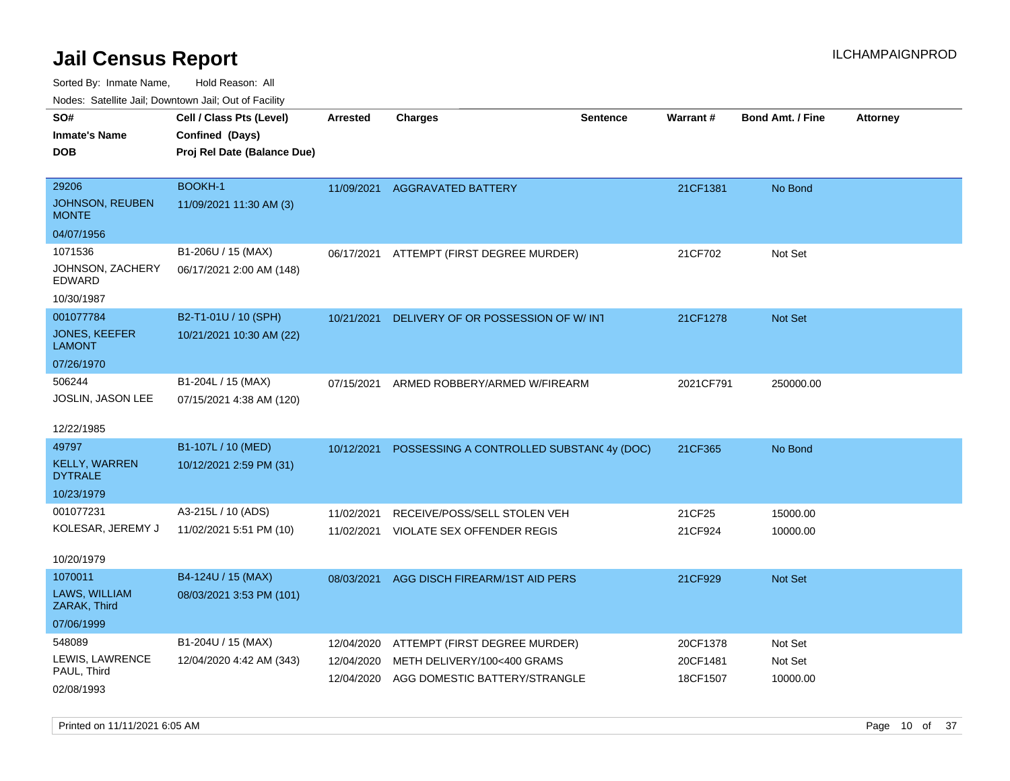| roaco. Catolino cali, Downtown cali, Out of Fability |                             |                 |                                          |                 |           |                         |                 |
|------------------------------------------------------|-----------------------------|-----------------|------------------------------------------|-----------------|-----------|-------------------------|-----------------|
| SO#                                                  | Cell / Class Pts (Level)    | <b>Arrested</b> | <b>Charges</b>                           | <b>Sentence</b> | Warrant#  | <b>Bond Amt. / Fine</b> | <b>Attorney</b> |
| Inmate's Name                                        | Confined (Days)             |                 |                                          |                 |           |                         |                 |
| DOB                                                  | Proj Rel Date (Balance Due) |                 |                                          |                 |           |                         |                 |
|                                                      |                             |                 |                                          |                 |           |                         |                 |
| 29206                                                | <b>BOOKH-1</b>              |                 | 11/09/2021 AGGRAVATED BATTERY            |                 | 21CF1381  | No Bond                 |                 |
| <b>JOHNSON, REUBEN</b><br><b>MONTE</b>               | 11/09/2021 11:30 AM (3)     |                 |                                          |                 |           |                         |                 |
| 04/07/1956                                           |                             |                 |                                          |                 |           |                         |                 |
| 1071536                                              | B1-206U / 15 (MAX)          | 06/17/2021      | ATTEMPT (FIRST DEGREE MURDER)            |                 | 21CF702   | Not Set                 |                 |
| JOHNSON, ZACHERY<br>EDWARD                           | 06/17/2021 2:00 AM (148)    |                 |                                          |                 |           |                         |                 |
| 10/30/1987                                           |                             |                 |                                          |                 |           |                         |                 |
| 001077784                                            | B2-T1-01U / 10 (SPH)        | 10/21/2021      | DELIVERY OF OR POSSESSION OF W/ INT      |                 | 21CF1278  | Not Set                 |                 |
| <b>JONES, KEEFER</b><br><b>LAMONT</b>                | 10/21/2021 10:30 AM (22)    |                 |                                          |                 |           |                         |                 |
| 07/26/1970                                           |                             |                 |                                          |                 |           |                         |                 |
| 506244                                               | B1-204L / 15 (MAX)          | 07/15/2021      | ARMED ROBBERY/ARMED W/FIREARM            |                 | 2021CF791 | 250000.00               |                 |
| JOSLIN, JASON LEE                                    | 07/15/2021 4:38 AM (120)    |                 |                                          |                 |           |                         |                 |
|                                                      |                             |                 |                                          |                 |           |                         |                 |
| 12/22/1985                                           |                             |                 |                                          |                 |           |                         |                 |
| 49797                                                | B1-107L / 10 (MED)          | 10/12/2021      | POSSESSING A CONTROLLED SUBSTAN(4y (DOC) |                 | 21CF365   | No Bond                 |                 |
| <b>KELLY, WARREN</b><br><b>DYTRALE</b>               | 10/12/2021 2:59 PM (31)     |                 |                                          |                 |           |                         |                 |
| 10/23/1979                                           |                             |                 |                                          |                 |           |                         |                 |
| 001077231                                            | A3-215L / 10 (ADS)          | 11/02/2021      | RECEIVE/POSS/SELL STOLEN VEH             |                 | 21CF25    | 15000.00                |                 |
| KOLESAR, JEREMY J                                    | 11/02/2021 5:51 PM (10)     | 11/02/2021      | VIOLATE SEX OFFENDER REGIS               |                 | 21CF924   | 10000.00                |                 |
|                                                      |                             |                 |                                          |                 |           |                         |                 |
| 10/20/1979                                           |                             |                 |                                          |                 |           |                         |                 |
| 1070011                                              | B4-124U / 15 (MAX)          | 08/03/2021      | AGG DISCH FIREARM/1ST AID PERS           |                 | 21CF929   | Not Set                 |                 |
| LAWS, WILLIAM<br>ZARAK, Third                        | 08/03/2021 3:53 PM (101)    |                 |                                          |                 |           |                         |                 |
| 07/06/1999                                           |                             |                 |                                          |                 |           |                         |                 |
| 548089                                               | B1-204U / 15 (MAX)          | 12/04/2020      | ATTEMPT (FIRST DEGREE MURDER)            |                 | 20CF1378  | Not Set                 |                 |
| LEWIS, LAWRENCE                                      | 12/04/2020 4:42 AM (343)    | 12/04/2020      | METH DELIVERY/100<400 GRAMS              |                 | 20CF1481  | Not Set                 |                 |
| PAUL, Third                                          |                             | 12/04/2020      | AGG DOMESTIC BATTERY/STRANGLE            |                 | 18CF1507  | 10000.00                |                 |
| 02/08/1993                                           |                             |                 |                                          |                 |           |                         |                 |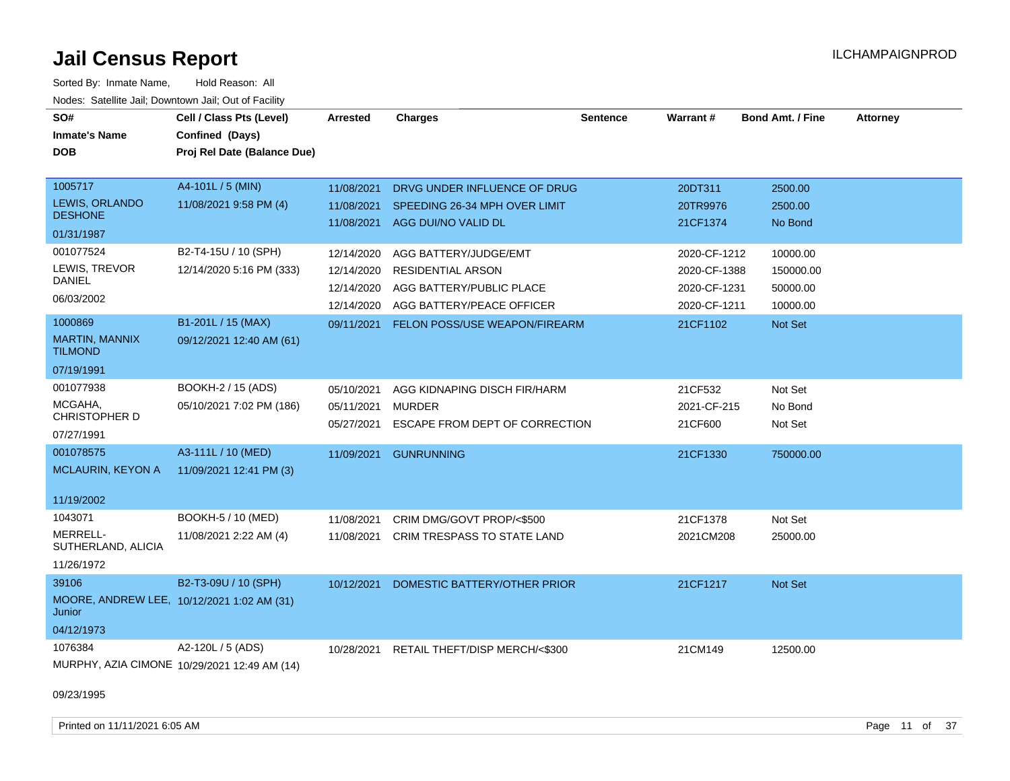Sorted By: Inmate Name, Hold Reason: All Nodes: Satellite Jail; Downtown Jail; Out of Facility

| SO#<br><b>Inmate's Name</b><br><b>DOB</b>            | Cell / Class Pts (Level)<br>Confined (Days)<br>Proj Rel Date (Balance Due) | <b>Arrested</b> | <b>Charges</b>                     | <b>Sentence</b> | <b>Warrant#</b> | <b>Bond Amt. / Fine</b> | <b>Attorney</b> |
|------------------------------------------------------|----------------------------------------------------------------------------|-----------------|------------------------------------|-----------------|-----------------|-------------------------|-----------------|
| 1005717                                              | A4-101L / 5 (MIN)                                                          | 11/08/2021      | DRVG UNDER INFLUENCE OF DRUG       |                 | 20DT311         | 2500.00                 |                 |
| LEWIS, ORLANDO<br><b>DESHONE</b>                     | 11/08/2021 9:58 PM (4)                                                     | 11/08/2021      | SPEEDING 26-34 MPH OVER LIMIT      |                 | 20TR9976        | 2500.00                 |                 |
| 01/31/1987                                           |                                                                            |                 | 11/08/2021 AGG DUI/NO VALID DL     |                 | 21CF1374        | No Bond                 |                 |
| 001077524                                            | B2-T4-15U / 10 (SPH)                                                       | 12/14/2020      | AGG BATTERY/JUDGE/EMT              |                 | 2020-CF-1212    | 10000.00                |                 |
| LEWIS, TREVOR                                        | 12/14/2020 5:16 PM (333)                                                   | 12/14/2020      | RESIDENTIAL ARSON                  |                 | 2020-CF-1388    | 150000.00               |                 |
| <b>DANIEL</b>                                        |                                                                            | 12/14/2020      | AGG BATTERY/PUBLIC PLACE           |                 | 2020-CF-1231    | 50000.00                |                 |
| 06/03/2002                                           |                                                                            | 12/14/2020      | AGG BATTERY/PEACE OFFICER          |                 | 2020-CF-1211    | 10000.00                |                 |
| 1000869                                              | B1-201L / 15 (MAX)                                                         | 09/11/2021      | FELON POSS/USE WEAPON/FIREARM      |                 | 21CF1102        | Not Set                 |                 |
| <b>MARTIN, MANNIX</b><br><b>TILMOND</b>              | 09/12/2021 12:40 AM (61)                                                   |                 |                                    |                 |                 |                         |                 |
| 07/19/1991                                           |                                                                            |                 |                                    |                 |                 |                         |                 |
| 001077938                                            | BOOKH-2 / 15 (ADS)                                                         | 05/10/2021      | AGG KIDNAPING DISCH FIR/HARM       |                 | 21CF532         | Not Set                 |                 |
| MCGAHA,<br>CHRISTOPHER D                             | 05/10/2021 7:02 PM (186)                                                   | 05/11/2021      | <b>MURDER</b>                      |                 | 2021-CF-215     | No Bond                 |                 |
| 07/27/1991                                           |                                                                            | 05/27/2021      | ESCAPE FROM DEPT OF CORRECTION     |                 | 21CF600         | Not Set                 |                 |
| 001078575                                            | A3-111L / 10 (MED)                                                         |                 | 11/09/2021 GUNRUNNING              |                 | 21CF1330        | 750000.00               |                 |
| MCLAURIN, KEYON A                                    | 11/09/2021 12:41 PM (3)                                                    |                 |                                    |                 |                 |                         |                 |
| 11/19/2002                                           |                                                                            |                 |                                    |                 |                 |                         |                 |
| 1043071                                              | BOOKH-5 / 10 (MED)                                                         | 11/08/2021      | CRIM DMG/GOVT PROP/<\$500          |                 | 21CF1378        | Not Set                 |                 |
| MERRELL-<br>SUTHERLAND, ALICIA                       | 11/08/2021 2:22 AM (4)                                                     | 11/08/2021      | <b>CRIM TRESPASS TO STATE LAND</b> |                 | 2021CM208       | 25000.00                |                 |
| 11/26/1972                                           |                                                                            |                 |                                    |                 |                 |                         |                 |
| 39106                                                | B2-T3-09U / 10 (SPH)                                                       | 10/12/2021      | DOMESTIC BATTERY/OTHER PRIOR       |                 | 21CF1217        | Not Set                 |                 |
| MOORE, ANDREW LEE, 10/12/2021 1:02 AM (31)<br>Junior |                                                                            |                 |                                    |                 |                 |                         |                 |
| 04/12/1973                                           |                                                                            |                 |                                    |                 |                 |                         |                 |
| 1076384                                              | A2-120L / 5 (ADS)                                                          | 10/28/2021      | RETAIL THEFT/DISP MERCH/<\$300     |                 | 21CM149         | 12500.00                |                 |
|                                                      | MURPHY, AZIA CIMONE 10/29/2021 12:49 AM (14)                               |                 |                                    |                 |                 |                         |                 |

09/23/1995

Printed on 11/11/2021 6:05 AM **Page 11 of 37**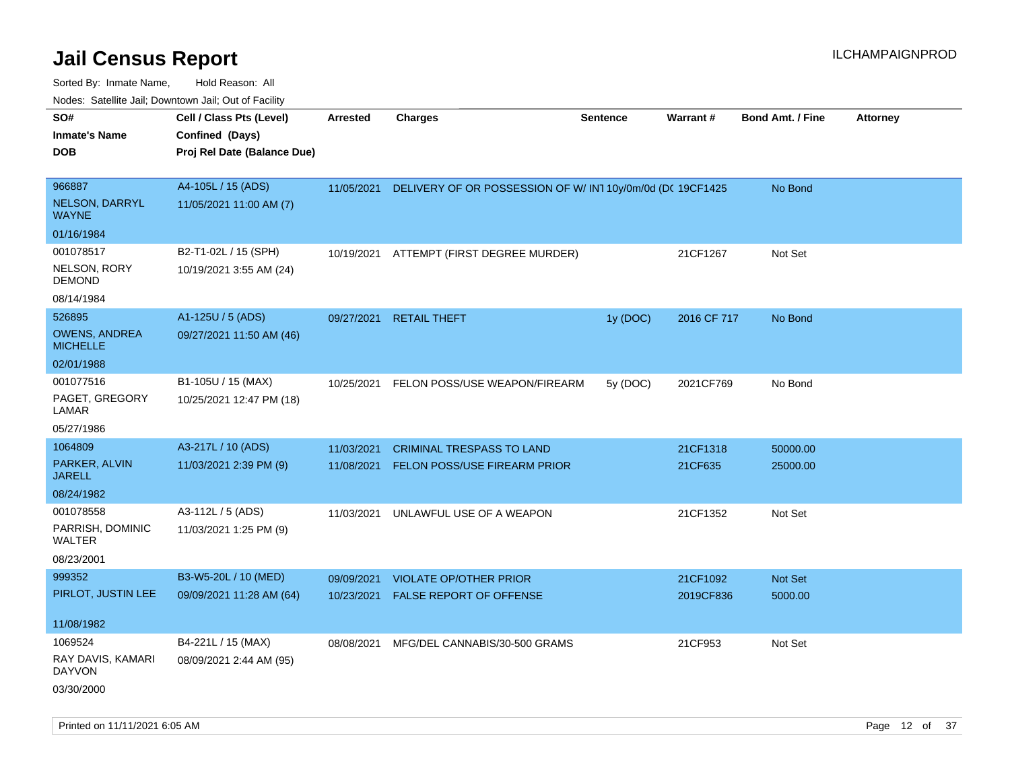Sorted By: Inmate Name, Hold Reason: All Nodes: Satellite Jail; Downtown Jail; Out of Facility

| Noues. Salenne Jan, Downtown Jan, Out of Facility |                             |            |                                                          |                 |             |                         |                 |
|---------------------------------------------------|-----------------------------|------------|----------------------------------------------------------|-----------------|-------------|-------------------------|-----------------|
| SO#                                               | Cell / Class Pts (Level)    | Arrested   | <b>Charges</b>                                           | <b>Sentence</b> | Warrant#    | <b>Bond Amt. / Fine</b> | <b>Attorney</b> |
| <b>Inmate's Name</b>                              | Confined (Days)             |            |                                                          |                 |             |                         |                 |
| <b>DOB</b>                                        | Proj Rel Date (Balance Due) |            |                                                          |                 |             |                         |                 |
|                                                   |                             |            |                                                          |                 |             |                         |                 |
| 966887                                            | A4-105L / 15 (ADS)          | 11/05/2021 | DELIVERY OF OR POSSESSION OF W/IN110y/0m/0d (DC 19CF1425 |                 |             | No Bond                 |                 |
| NELSON, DARRYL<br><b>WAYNE</b>                    | 11/05/2021 11:00 AM (7)     |            |                                                          |                 |             |                         |                 |
| 01/16/1984                                        |                             |            |                                                          |                 |             |                         |                 |
| 001078517                                         | B2-T1-02L / 15 (SPH)        | 10/19/2021 | ATTEMPT (FIRST DEGREE MURDER)                            |                 | 21CF1267    | Not Set                 |                 |
| <b>NELSON, RORY</b><br><b>DEMOND</b>              | 10/19/2021 3:55 AM (24)     |            |                                                          |                 |             |                         |                 |
| 08/14/1984                                        |                             |            |                                                          |                 |             |                         |                 |
| 526895                                            | A1-125U / 5 (ADS)           | 09/27/2021 | <b>RETAIL THEFT</b>                                      | 1y (DOC)        | 2016 CF 717 | No Bond                 |                 |
| <b>OWENS, ANDREA</b><br><b>MICHELLE</b>           | 09/27/2021 11:50 AM (46)    |            |                                                          |                 |             |                         |                 |
| 02/01/1988                                        |                             |            |                                                          |                 |             |                         |                 |
| 001077516                                         | B1-105U / 15 (MAX)          | 10/25/2021 | FELON POSS/USE WEAPON/FIREARM                            | 5y (DOC)        | 2021CF769   | No Bond                 |                 |
| PAGET, GREGORY<br>LAMAR                           | 10/25/2021 12:47 PM (18)    |            |                                                          |                 |             |                         |                 |
| 05/27/1986                                        |                             |            |                                                          |                 |             |                         |                 |
| 1064809                                           | A3-217L / 10 (ADS)          | 11/03/2021 | <b>CRIMINAL TRESPASS TO LAND</b>                         |                 | 21CF1318    | 50000.00                |                 |
| PARKER, ALVIN<br><b>JARELL</b>                    | 11/03/2021 2:39 PM (9)      | 11/08/2021 | <b>FELON POSS/USE FIREARM PRIOR</b>                      |                 | 21CF635     | 25000.00                |                 |
| 08/24/1982                                        |                             |            |                                                          |                 |             |                         |                 |
| 001078558                                         | A3-112L / 5 (ADS)           | 11/03/2021 | UNLAWFUL USE OF A WEAPON                                 |                 | 21CF1352    | Not Set                 |                 |
| PARRISH, DOMINIC<br>WALTER                        | 11/03/2021 1:25 PM (9)      |            |                                                          |                 |             |                         |                 |
| 08/23/2001                                        |                             |            |                                                          |                 |             |                         |                 |
| 999352                                            | B3-W5-20L / 10 (MED)        | 09/09/2021 | <b>VIOLATE OP/OTHER PRIOR</b>                            |                 | 21CF1092    | <b>Not Set</b>          |                 |
| PIRLOT, JUSTIN LEE                                | 09/09/2021 11:28 AM (64)    | 10/23/2021 | FALSE REPORT OF OFFENSE                                  |                 | 2019CF836   | 5000.00                 |                 |
| 11/08/1982                                        |                             |            |                                                          |                 |             |                         |                 |
| 1069524                                           | B4-221L / 15 (MAX)          | 08/08/2021 | MFG/DEL CANNABIS/30-500 GRAMS                            |                 | 21CF953     | Not Set                 |                 |
| RAY DAVIS, KAMARI<br><b>DAYVON</b>                | 08/09/2021 2:44 AM (95)     |            |                                                          |                 |             |                         |                 |
| 03/30/2000                                        |                             |            |                                                          |                 |             |                         |                 |

Printed on 11/11/2021 6:05 AM **Page 12** of 37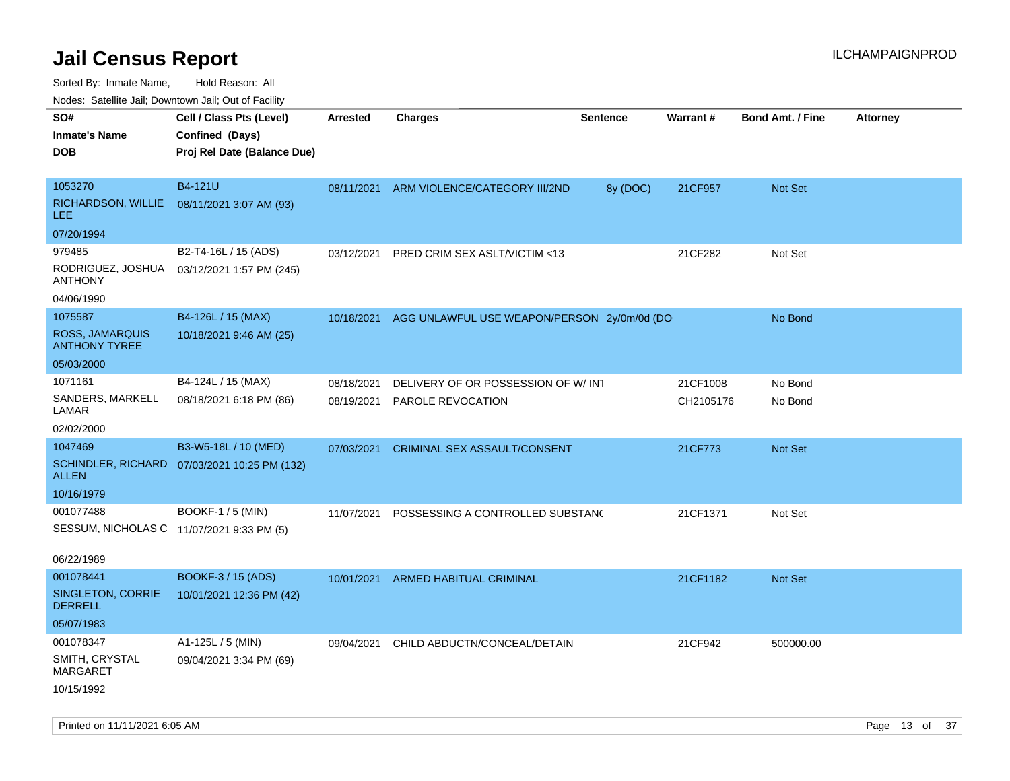Sorted By: Inmate Name, Hold Reason: All

Nodes: Satellite Jail; Downtown Jail; Out of Facility

| SO#<br><b>Inmate's Name</b><br><b>DOB</b>                   | Cell / Class Pts (Level)<br>Confined (Days)<br>Proj Rel Date (Balance Due) | Arrested   | <b>Charges</b>                              | <b>Sentence</b> | <b>Warrant#</b> | <b>Bond Amt. / Fine</b> | <b>Attorney</b> |
|-------------------------------------------------------------|----------------------------------------------------------------------------|------------|---------------------------------------------|-----------------|-----------------|-------------------------|-----------------|
| 1053270<br>RICHARDSON, WILLIE<br>LEE.                       | B4-121U<br>08/11/2021 3:07 AM (93)                                         | 08/11/2021 | ARM VIOLENCE/CATEGORY III/2ND               | 8y (DOC)        | 21CF957         | <b>Not Set</b>          |                 |
| 07/20/1994                                                  |                                                                            |            |                                             |                 |                 |                         |                 |
| 979485<br>RODRIGUEZ, JOSHUA<br><b>ANTHONY</b><br>04/06/1990 | B2-T4-16L / 15 (ADS)<br>03/12/2021 1:57 PM (245)                           | 03/12/2021 | PRED CRIM SEX ASLT/VICTIM <13               |                 | 21CF282         | Not Set                 |                 |
| 1075587                                                     | B4-126L / 15 (MAX)                                                         | 10/18/2021 | AGG UNLAWFUL USE WEAPON/PERSON 2y/0m/0d (DO |                 |                 | No Bond                 |                 |
| ROSS, JAMARQUIS<br><b>ANTHONY TYREE</b>                     | 10/18/2021 9:46 AM (25)                                                    |            |                                             |                 |                 |                         |                 |
| 05/03/2000                                                  |                                                                            |            |                                             |                 |                 |                         |                 |
| 1071161                                                     | B4-124L / 15 (MAX)                                                         | 08/18/2021 | DELIVERY OF OR POSSESSION OF W/ INT         |                 | 21CF1008        | No Bond                 |                 |
| SANDERS, MARKELL<br>LAMAR                                   | 08/18/2021 6:18 PM (86)                                                    | 08/19/2021 | PAROLE REVOCATION                           |                 | CH2105176       | No Bond                 |                 |
| 02/02/2000                                                  |                                                                            |            |                                             |                 |                 |                         |                 |
| 1047469                                                     | B3-W5-18L / 10 (MED)                                                       | 07/03/2021 | CRIMINAL SEX ASSAULT/CONSENT                |                 | 21CF773         | <b>Not Set</b>          |                 |
| ALLEN                                                       | SCHINDLER, RICHARD 07/03/2021 10:25 PM (132)                               |            |                                             |                 |                 |                         |                 |
| 10/16/1979                                                  |                                                                            |            |                                             |                 |                 |                         |                 |
| 001077488                                                   | <b>BOOKF-1 / 5 (MIN)</b>                                                   | 11/07/2021 | POSSESSING A CONTROLLED SUBSTANC            |                 | 21CF1371        | Not Set                 |                 |
| SESSUM, NICHOLAS C 11/07/2021 9:33 PM (5)                   |                                                                            |            |                                             |                 |                 |                         |                 |
| 06/22/1989                                                  |                                                                            |            |                                             |                 |                 |                         |                 |
| 001078441                                                   | BOOKF-3 / 15 (ADS)                                                         | 10/01/2021 | ARMED HABITUAL CRIMINAL                     |                 | 21CF1182        | Not Set                 |                 |
| SINGLETON, CORRIE<br><b>DERRELL</b>                         | 10/01/2021 12:36 PM (42)                                                   |            |                                             |                 |                 |                         |                 |
| 05/07/1983                                                  |                                                                            |            |                                             |                 |                 |                         |                 |
| 001078347                                                   | A1-125L / 5 (MIN)                                                          | 09/04/2021 | CHILD ABDUCTN/CONCEAL/DETAIN                |                 | 21CF942         | 500000.00               |                 |
| SMITH, CRYSTAL<br>MARGARET<br>10/15/1992                    | 09/04/2021 3:34 PM (69)                                                    |            |                                             |                 |                 |                         |                 |
|                                                             |                                                                            |            |                                             |                 |                 |                         |                 |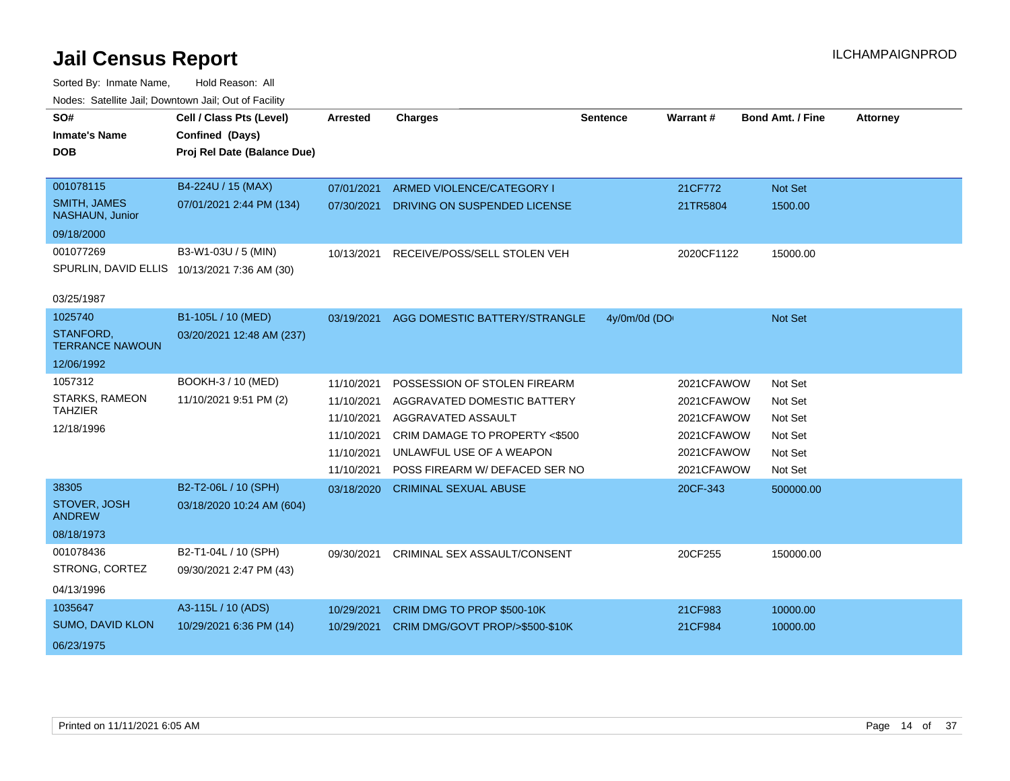| SO#                                    | Cell / Class Pts (Level)                     | <b>Arrested</b> | <b>Charges</b>                  | Sentence     | <b>Warrant#</b> | <b>Bond Amt. / Fine</b> | <b>Attorney</b> |
|----------------------------------------|----------------------------------------------|-----------------|---------------------------------|--------------|-----------------|-------------------------|-----------------|
| <b>Inmate's Name</b>                   | Confined (Days)                              |                 |                                 |              |                 |                         |                 |
| <b>DOB</b>                             | Proj Rel Date (Balance Due)                  |                 |                                 |              |                 |                         |                 |
|                                        |                                              |                 |                                 |              |                 |                         |                 |
| 001078115                              | B4-224U / 15 (MAX)                           | 07/01/2021      | ARMED VIOLENCE/CATEGORY I       |              | 21CF772         | Not Set                 |                 |
| <b>SMITH, JAMES</b><br>NASHAUN, Junior | 07/01/2021 2:44 PM (134)                     | 07/30/2021      | DRIVING ON SUSPENDED LICENSE    |              | 21TR5804        | 1500.00                 |                 |
| 09/18/2000                             |                                              |                 |                                 |              |                 |                         |                 |
| 001077269                              | B3-W1-03U / 5 (MIN)                          | 10/13/2021      | RECEIVE/POSS/SELL STOLEN VEH    |              | 2020CF1122      | 15000.00                |                 |
|                                        | SPURLIN, DAVID ELLIS 10/13/2021 7:36 AM (30) |                 |                                 |              |                 |                         |                 |
|                                        |                                              |                 |                                 |              |                 |                         |                 |
| 03/25/1987                             |                                              |                 |                                 |              |                 |                         |                 |
| 1025740                                | B1-105L / 10 (MED)                           | 03/19/2021      | AGG DOMESTIC BATTERY/STRANGLE   | 4y/0m/0d (DO |                 | Not Set                 |                 |
| STANFORD,<br><b>TERRANCE NAWOUN</b>    | 03/20/2021 12:48 AM (237)                    |                 |                                 |              |                 |                         |                 |
| 12/06/1992                             |                                              |                 |                                 |              |                 |                         |                 |
| 1057312                                | BOOKH-3 / 10 (MED)                           | 11/10/2021      | POSSESSION OF STOLEN FIREARM    |              | 2021CFAWOW      | Not Set                 |                 |
| <b>STARKS, RAMEON</b>                  | 11/10/2021 9:51 PM (2)                       | 11/10/2021      | AGGRAVATED DOMESTIC BATTERY     |              | 2021CFAWOW      | Not Set                 |                 |
| <b>TAHZIER</b>                         |                                              | 11/10/2021      | AGGRAVATED ASSAULT              |              | 2021CFAWOW      | Not Set                 |                 |
| 12/18/1996                             |                                              | 11/10/2021      | CRIM DAMAGE TO PROPERTY <\$500  |              | 2021CFAWOW      | Not Set                 |                 |
|                                        |                                              | 11/10/2021      | UNLAWFUL USE OF A WEAPON        |              | 2021CFAWOW      | Not Set                 |                 |
|                                        |                                              | 11/10/2021      | POSS FIREARM W/ DEFACED SER NO  |              | 2021CFAWOW      | Not Set                 |                 |
| 38305                                  | B2-T2-06L / 10 (SPH)                         |                 |                                 |              |                 |                         |                 |
|                                        |                                              | 03/18/2020      | <b>CRIMINAL SEXUAL ABUSE</b>    |              | 20CF-343        | 500000.00               |                 |
| STOVER, JOSH<br><b>ANDREW</b>          | 03/18/2020 10:24 AM (604)                    |                 |                                 |              |                 |                         |                 |
| 08/18/1973                             |                                              |                 |                                 |              |                 |                         |                 |
| 001078436                              | B2-T1-04L / 10 (SPH)                         | 09/30/2021      | CRIMINAL SEX ASSAULT/CONSENT    |              | 20CF255         | 150000.00               |                 |
| STRONG, CORTEZ                         | 09/30/2021 2:47 PM (43)                      |                 |                                 |              |                 |                         |                 |
|                                        |                                              |                 |                                 |              |                 |                         |                 |
| 04/13/1996                             |                                              |                 |                                 |              |                 |                         |                 |
| 1035647                                | A3-115L / 10 (ADS)                           | 10/29/2021      | CRIM DMG TO PROP \$500-10K      |              | 21CF983         | 10000.00                |                 |
| SUMO, DAVID KLON                       | 10/29/2021 6:36 PM (14)                      | 10/29/2021      | CRIM DMG/GOVT PROP/>\$500-\$10K |              | 21CF984         | 10000.00                |                 |
| 06/23/1975                             |                                              |                 |                                 |              |                 |                         |                 |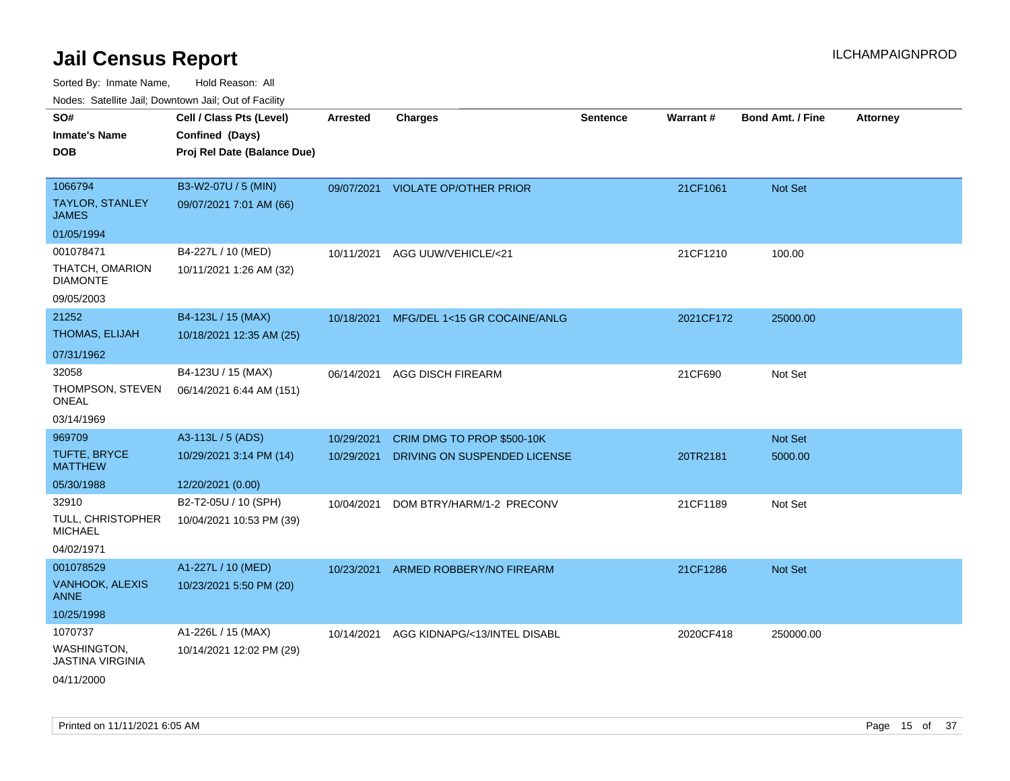| SO#                                        | Cell / Class Pts (Level)    | Arrested   | <b>Charges</b>                    | <b>Sentence</b> | Warrant#  | <b>Bond Amt. / Fine</b> | <b>Attorney</b> |
|--------------------------------------------|-----------------------------|------------|-----------------------------------|-----------------|-----------|-------------------------|-----------------|
| <b>Inmate's Name</b>                       | Confined (Days)             |            |                                   |                 |           |                         |                 |
| <b>DOB</b>                                 | Proj Rel Date (Balance Due) |            |                                   |                 |           |                         |                 |
|                                            |                             |            |                                   |                 |           |                         |                 |
| 1066794                                    | B3-W2-07U / 5 (MIN)         |            | 09/07/2021 VIOLATE OP/OTHER PRIOR |                 | 21CF1061  | Not Set                 |                 |
| <b>TAYLOR, STANLEY</b><br><b>JAMES</b>     | 09/07/2021 7:01 AM (66)     |            |                                   |                 |           |                         |                 |
| 01/05/1994                                 |                             |            |                                   |                 |           |                         |                 |
| 001078471                                  | B4-227L / 10 (MED)          | 10/11/2021 | AGG UUW/VEHICLE/<21               |                 | 21CF1210  | 100.00                  |                 |
| THATCH, OMARION<br><b>DIAMONTE</b>         | 10/11/2021 1:26 AM (32)     |            |                                   |                 |           |                         |                 |
| 09/05/2003                                 |                             |            |                                   |                 |           |                         |                 |
| 21252                                      | B4-123L / 15 (MAX)          | 10/18/2021 | MFG/DEL 1<15 GR COCAINE/ANLG      |                 | 2021CF172 | 25000.00                |                 |
| THOMAS, ELIJAH                             | 10/18/2021 12:35 AM (25)    |            |                                   |                 |           |                         |                 |
| 07/31/1962                                 |                             |            |                                   |                 |           |                         |                 |
| 32058                                      | B4-123U / 15 (MAX)          | 06/14/2021 | <b>AGG DISCH FIREARM</b>          |                 | 21CF690   | Not Set                 |                 |
| THOMPSON, STEVEN                           | 06/14/2021 6:44 AM (151)    |            |                                   |                 |           |                         |                 |
| ONEAL                                      |                             |            |                                   |                 |           |                         |                 |
| 03/14/1969                                 |                             |            |                                   |                 |           |                         |                 |
| 969709                                     | A3-113L / 5 (ADS)           | 10/29/2021 | CRIM DMG TO PROP \$500-10K        |                 |           | Not Set                 |                 |
| TUFTE, BRYCE<br><b>MATTHEW</b>             | 10/29/2021 3:14 PM (14)     | 10/29/2021 | DRIVING ON SUSPENDED LICENSE      |                 | 20TR2181  | 5000.00                 |                 |
| 05/30/1988                                 | 12/20/2021 (0.00)           |            |                                   |                 |           |                         |                 |
| 32910                                      | B2-T2-05U / 10 (SPH)        | 10/04/2021 | DOM BTRY/HARM/1-2 PRECONV         |                 | 21CF1189  | Not Set                 |                 |
| <b>TULL, CHRISTOPHER</b><br><b>MICHAEL</b> | 10/04/2021 10:53 PM (39)    |            |                                   |                 |           |                         |                 |
| 04/02/1971                                 |                             |            |                                   |                 |           |                         |                 |
| 001078529                                  | A1-227L / 10 (MED)          | 10/23/2021 | ARMED ROBBERY/NO FIREARM          |                 | 21CF1286  | Not Set                 |                 |
| VANHOOK, ALEXIS<br><b>ANNE</b>             | 10/23/2021 5:50 PM (20)     |            |                                   |                 |           |                         |                 |
| 10/25/1998                                 |                             |            |                                   |                 |           |                         |                 |
| 1070737                                    | A1-226L / 15 (MAX)          | 10/14/2021 | AGG KIDNAPG/<13/INTEL DISABL      |                 | 2020CF418 | 250000.00               |                 |
| WASHINGTON,<br><b>JASTINA VIRGINIA</b>     | 10/14/2021 12:02 PM (29)    |            |                                   |                 |           |                         |                 |
| 04/11/2000                                 |                             |            |                                   |                 |           |                         |                 |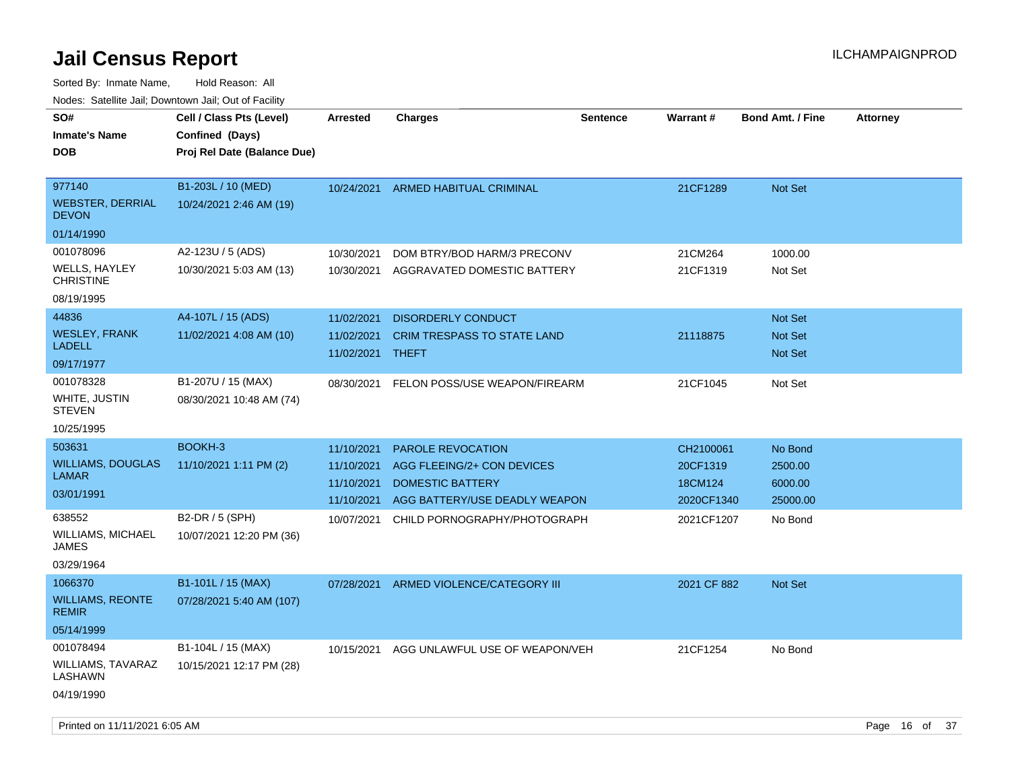| roaco. Catolino dall, Downtown dall, Out of Fability |                                                                            |                 |                                    |                 |             |                         |                 |
|------------------------------------------------------|----------------------------------------------------------------------------|-----------------|------------------------------------|-----------------|-------------|-------------------------|-----------------|
| SO#<br><b>Inmate's Name</b><br><b>DOB</b>            | Cell / Class Pts (Level)<br>Confined (Days)<br>Proj Rel Date (Balance Due) | <b>Arrested</b> | <b>Charges</b>                     | <b>Sentence</b> | Warrant#    | <b>Bond Amt. / Fine</b> | <b>Attorney</b> |
| 977140<br><b>WEBSTER, DERRIAL</b><br><b>DEVON</b>    | B1-203L / 10 (MED)<br>10/24/2021 2:46 AM (19)                              | 10/24/2021      | <b>ARMED HABITUAL CRIMINAL</b>     |                 | 21CF1289    | <b>Not Set</b>          |                 |
| 01/14/1990                                           |                                                                            |                 |                                    |                 |             |                         |                 |
| 001078096                                            | A2-123U / 5 (ADS)                                                          | 10/30/2021      | DOM BTRY/BOD HARM/3 PRECONV        |                 | 21CM264     | 1000.00                 |                 |
| <b>WELLS, HAYLEY</b><br><b>CHRISTINE</b>             | 10/30/2021 5:03 AM (13)                                                    | 10/30/2021      | AGGRAVATED DOMESTIC BATTERY        |                 | 21CF1319    | Not Set                 |                 |
| 08/19/1995                                           |                                                                            |                 |                                    |                 |             |                         |                 |
| 44836                                                | A4-107L / 15 (ADS)                                                         | 11/02/2021      | <b>DISORDERLY CONDUCT</b>          |                 |             | <b>Not Set</b>          |                 |
| <b>WESLEY, FRANK</b>                                 | 11/02/2021 4:08 AM (10)                                                    | 11/02/2021      | <b>CRIM TRESPASS TO STATE LAND</b> |                 | 21118875    | <b>Not Set</b>          |                 |
| <b>LADELL</b>                                        |                                                                            | 11/02/2021      | THEFT                              |                 |             | <b>Not Set</b>          |                 |
| 09/17/1977                                           |                                                                            |                 |                                    |                 |             |                         |                 |
| 001078328                                            | B1-207U / 15 (MAX)                                                         | 08/30/2021      | FELON POSS/USE WEAPON/FIREARM      |                 | 21CF1045    | Not Set                 |                 |
| WHITE, JUSTIN<br><b>STEVEN</b>                       | 08/30/2021 10:48 AM (74)                                                   |                 |                                    |                 |             |                         |                 |
| 10/25/1995                                           |                                                                            |                 |                                    |                 |             |                         |                 |
| 503631                                               | BOOKH-3                                                                    | 11/10/2021      | <b>PAROLE REVOCATION</b>           |                 | CH2100061   | No Bond                 |                 |
| <b>WILLIAMS, DOUGLAS</b>                             | 11/10/2021 1:11 PM (2)                                                     | 11/10/2021      | AGG FLEEING/2+ CON DEVICES         |                 | 20CF1319    | 2500.00                 |                 |
| LAMAR                                                |                                                                            | 11/10/2021      | <b>DOMESTIC BATTERY</b>            |                 | 18CM124     | 6000.00                 |                 |
| 03/01/1991                                           |                                                                            | 11/10/2021      | AGG BATTERY/USE DEADLY WEAPON      |                 | 2020CF1340  | 25000.00                |                 |
| 638552                                               | B2-DR / 5 (SPH)                                                            | 10/07/2021      | CHILD PORNOGRAPHY/PHOTOGRAPH       |                 | 2021CF1207  | No Bond                 |                 |
| WILLIAMS, MICHAEL<br>JAMES                           | 10/07/2021 12:20 PM (36)                                                   |                 |                                    |                 |             |                         |                 |
| 03/29/1964                                           |                                                                            |                 |                                    |                 |             |                         |                 |
| 1066370                                              | B1-101L / 15 (MAX)                                                         | 07/28/2021      | ARMED VIOLENCE/CATEGORY III        |                 | 2021 CF 882 | Not Set                 |                 |
| <b>WILLIAMS, REONTE</b><br><b>REMIR</b>              | 07/28/2021 5:40 AM (107)                                                   |                 |                                    |                 |             |                         |                 |
| 05/14/1999                                           |                                                                            |                 |                                    |                 |             |                         |                 |
| 001078494                                            | B1-104L / 15 (MAX)                                                         | 10/15/2021      | AGG UNLAWFUL USE OF WEAPON/VEH     |                 | 21CF1254    | No Bond                 |                 |
| <b>WILLIAMS, TAVARAZ</b><br>LASHAWN                  | 10/15/2021 12:17 PM (28)                                                   |                 |                                    |                 |             |                         |                 |
| 04/19/1990                                           |                                                                            |                 |                                    |                 |             |                         |                 |
|                                                      |                                                                            |                 |                                    |                 |             |                         |                 |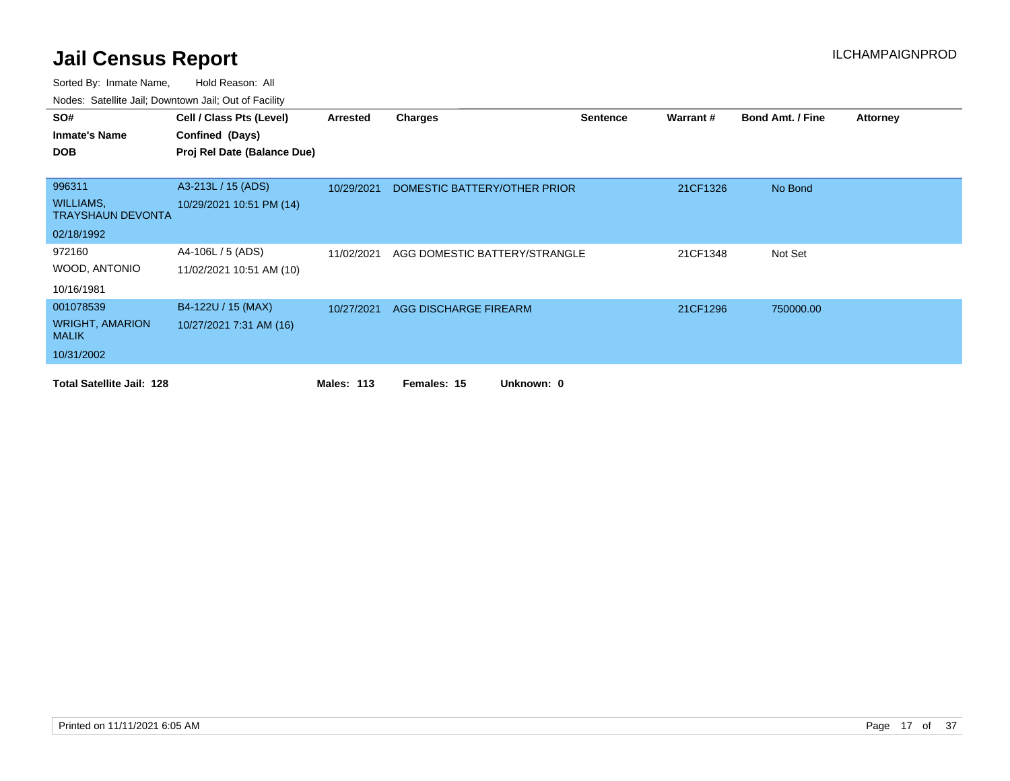| SO#                                          | Cell / Class Pts (Level)    | Arrested          | <b>Charges</b>                | <b>Sentence</b> | Warrant# | <b>Bond Amt. / Fine</b> | <b>Attorney</b> |
|----------------------------------------------|-----------------------------|-------------------|-------------------------------|-----------------|----------|-------------------------|-----------------|
| <b>Inmate's Name</b>                         | Confined (Days)             |                   |                               |                 |          |                         |                 |
| <b>DOB</b>                                   | Proj Rel Date (Balance Due) |                   |                               |                 |          |                         |                 |
|                                              |                             |                   |                               |                 |          |                         |                 |
| 996311                                       | A3-213L / 15 (ADS)          | 10/29/2021        | DOMESTIC BATTERY/OTHER PRIOR  |                 | 21CF1326 | No Bond                 |                 |
| <b>WILLIAMS,</b><br><b>TRAYSHAUN DEVONTA</b> | 10/29/2021 10:51 PM (14)    |                   |                               |                 |          |                         |                 |
| 02/18/1992                                   |                             |                   |                               |                 |          |                         |                 |
| 972160                                       | A4-106L / 5 (ADS)           | 11/02/2021        | AGG DOMESTIC BATTERY/STRANGLE |                 | 21CF1348 | Not Set                 |                 |
| WOOD, ANTONIO                                | 11/02/2021 10:51 AM (10)    |                   |                               |                 |          |                         |                 |
| 10/16/1981                                   |                             |                   |                               |                 |          |                         |                 |
| 001078539                                    | B4-122U / 15 (MAX)          | 10/27/2021        | AGG DISCHARGE FIREARM         |                 | 21CF1296 | 750000.00               |                 |
| <b>WRIGHT, AMARION</b><br><b>MALIK</b>       | 10/27/2021 7:31 AM (16)     |                   |                               |                 |          |                         |                 |
| 10/31/2002                                   |                             |                   |                               |                 |          |                         |                 |
| <b>Total Satellite Jail: 128</b>             |                             | <b>Males: 113</b> | Females: 15<br>Unknown: 0     |                 |          |                         |                 |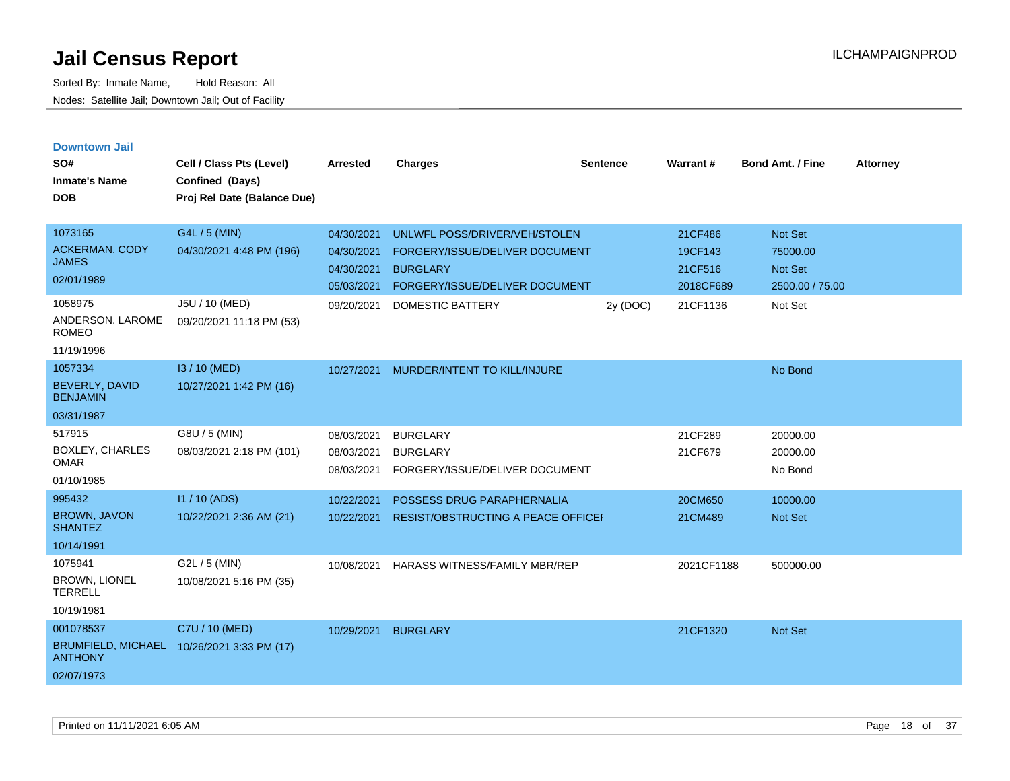| <b>Downtown Jail</b><br>SO#<br>Inmate's Name<br><b>DOB</b>                                              | Cell / Class Pts (Level)<br>Confined (Days)<br>Proj Rel Date (Balance Due)              | <b>Arrested</b>                                                    | <b>Charges</b>                                                                                                                                  | <b>Sentence</b> | <b>Warrant#</b>                                        | <b>Bond Amt. / Fine</b>                                      | <b>Attorney</b> |
|---------------------------------------------------------------------------------------------------------|-----------------------------------------------------------------------------------------|--------------------------------------------------------------------|-------------------------------------------------------------------------------------------------------------------------------------------------|-----------------|--------------------------------------------------------|--------------------------------------------------------------|-----------------|
| 1073165<br><b>ACKERMAN, CODY</b><br>JAMES.<br>02/01/1989<br>1058975<br>ANDERSON, LAROME<br><b>ROMEO</b> | G4L / 5 (MIN)<br>04/30/2021 4:48 PM (196)<br>J5U / 10 (MED)<br>09/20/2021 11:18 PM (53) | 04/30/2021<br>04/30/2021<br>04/30/2021<br>05/03/2021<br>09/20/2021 | UNLWFL POSS/DRIVER/VEH/STOLEN<br>FORGERY/ISSUE/DELIVER DOCUMENT<br><b>BURGLARY</b><br>FORGERY/ISSUE/DELIVER DOCUMENT<br><b>DOMESTIC BATTERY</b> | 2y (DOC)        | 21CF486<br>19CF143<br>21CF516<br>2018CF689<br>21CF1136 | Not Set<br>75000.00<br>Not Set<br>2500.00 / 75.00<br>Not Set |                 |
| 11/19/1996<br>1057334<br><b>BEVERLY, DAVID</b><br><b>BENJAMIN</b><br>03/31/1987                         | I3 / 10 (MED)<br>10/27/2021 1:42 PM (16)                                                | 10/27/2021                                                         | MURDER/INTENT TO KILL/INJURE                                                                                                                    |                 |                                                        | No Bond                                                      |                 |
| 517915<br><b>BOXLEY, CHARLES</b><br>OMAR<br>01/10/1985                                                  | G8U / 5 (MIN)<br>08/03/2021 2:18 PM (101)                                               | 08/03/2021<br>08/03/2021<br>08/03/2021                             | <b>BURGLARY</b><br><b>BURGLARY</b><br>FORGERY/ISSUE/DELIVER DOCUMENT                                                                            |                 | 21CF289<br>21CF679                                     | 20000.00<br>20000.00<br>No Bond                              |                 |
| 995432<br><b>BROWN, JAVON</b><br><b>SHANTEZ</b><br>10/14/1991                                           | I1 / 10 (ADS)<br>10/22/2021 2:36 AM (21)                                                | 10/22/2021<br>10/22/2021                                           | POSSESS DRUG PARAPHERNALIA<br><b>RESIST/OBSTRUCTING A PEACE OFFICEF</b>                                                                         |                 | 20CM650<br>21CM489                                     | 10000.00<br><b>Not Set</b>                                   |                 |
| 1075941<br><b>BROWN, LIONEL</b><br><b>TERRELL</b><br>10/19/1981                                         | G2L / 5 (MIN)<br>10/08/2021 5:16 PM (35)                                                | 10/08/2021                                                         | <b>HARASS WITNESS/FAMILY MBR/REP</b>                                                                                                            |                 | 2021CF1188                                             | 500000.00                                                    |                 |
| 001078537<br><b>ANTHONY</b><br>02/07/1973                                                               | C7U / 10 (MED)<br>BRUMFIELD, MICHAEL 10/26/2021 3:33 PM (17)                            | 10/29/2021                                                         | <b>BURGLARY</b>                                                                                                                                 |                 | 21CF1320                                               | <b>Not Set</b>                                               |                 |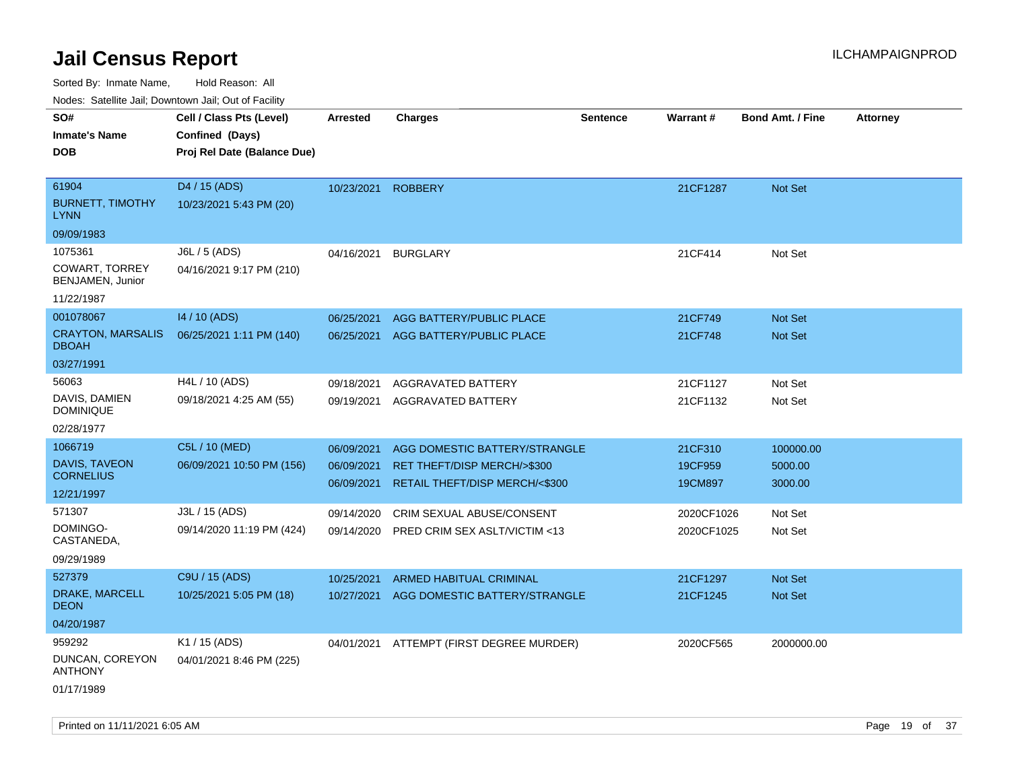Sorted By: Inmate Name, Hold Reason: All

Nodes: Satellite Jail; Downtown Jail; Out of Facility

| rouce. Calcinic Jan, Downtown Jan, Out or Facility |                             |                    |                                          |                 |            |                         |                 |
|----------------------------------------------------|-----------------------------|--------------------|------------------------------------------|-----------------|------------|-------------------------|-----------------|
| SO#                                                | Cell / Class Pts (Level)    | <b>Arrested</b>    | <b>Charges</b>                           | <b>Sentence</b> | Warrant#   | <b>Bond Amt. / Fine</b> | <b>Attorney</b> |
| <b>Inmate's Name</b>                               | Confined (Days)             |                    |                                          |                 |            |                         |                 |
| <b>DOB</b>                                         | Proj Rel Date (Balance Due) |                    |                                          |                 |            |                         |                 |
|                                                    |                             |                    |                                          |                 |            |                         |                 |
| 61904                                              | D4 / 15 (ADS)               | 10/23/2021 ROBBERY |                                          |                 | 21CF1287   | Not Set                 |                 |
| <b>BURNETT, TIMOTHY</b><br><b>LYNN</b>             | 10/23/2021 5:43 PM (20)     |                    |                                          |                 |            |                         |                 |
| 09/09/1983                                         |                             |                    |                                          |                 |            |                         |                 |
| 1075361                                            | J6L / 5 (ADS)               | 04/16/2021         | <b>BURGLARY</b>                          |                 | 21CF414    | Not Set                 |                 |
| COWART, TORREY<br>BENJAMEN, Junior                 | 04/16/2021 9:17 PM (210)    |                    |                                          |                 |            |                         |                 |
| 11/22/1987                                         |                             |                    |                                          |                 |            |                         |                 |
| 001078067                                          | 14 / 10 (ADS)               | 06/25/2021         | AGG BATTERY/PUBLIC PLACE                 |                 | 21CF749    | Not Set                 |                 |
| <b>CRAYTON, MARSALIS</b><br><b>DBOAH</b>           | 06/25/2021 1:11 PM (140)    | 06/25/2021         | AGG BATTERY/PUBLIC PLACE                 |                 | 21CF748    | <b>Not Set</b>          |                 |
| 03/27/1991                                         |                             |                    |                                          |                 |            |                         |                 |
| 56063                                              | H4L / 10 (ADS)              | 09/18/2021         | AGGRAVATED BATTERY                       |                 | 21CF1127   | Not Set                 |                 |
| DAVIS, DAMIEN<br><b>DOMINIQUE</b>                  | 09/18/2021 4:25 AM (55)     | 09/19/2021         | AGGRAVATED BATTERY                       |                 | 21CF1132   | Not Set                 |                 |
| 02/28/1977                                         |                             |                    |                                          |                 |            |                         |                 |
| 1066719                                            | C5L / 10 (MED)              | 06/09/2021         | AGG DOMESTIC BATTERY/STRANGLE            |                 | 21CF310    | 100000.00               |                 |
| <b>DAVIS, TAVEON</b>                               | 06/09/2021 10:50 PM (156)   | 06/09/2021         | RET THEFT/DISP MERCH/>\$300              |                 | 19CF959    | 5000.00                 |                 |
| <b>CORNELIUS</b>                                   |                             | 06/09/2021         | RETAIL THEFT/DISP MERCH/<\$300           |                 | 19CM897    | 3000.00                 |                 |
| 12/21/1997                                         |                             |                    |                                          |                 |            |                         |                 |
| 571307                                             | J3L / 15 (ADS)              | 09/14/2020         | CRIM SEXUAL ABUSE/CONSENT                |                 | 2020CF1026 | Not Set                 |                 |
| DOMINGO-<br>CASTANEDA,                             | 09/14/2020 11:19 PM (424)   | 09/14/2020         | PRED CRIM SEX ASLT/VICTIM <13            |                 | 2020CF1025 | Not Set                 |                 |
| 09/29/1989                                         |                             |                    |                                          |                 |            |                         |                 |
| 527379                                             | C9U / 15 (ADS)              | 10/25/2021         | <b>ARMED HABITUAL CRIMINAL</b>           |                 | 21CF1297   | <b>Not Set</b>          |                 |
| DRAKE, MARCELL<br><b>DEON</b>                      | 10/25/2021 5:05 PM (18)     | 10/27/2021         | AGG DOMESTIC BATTERY/STRANGLE            |                 | 21CF1245   | Not Set                 |                 |
| 04/20/1987                                         |                             |                    |                                          |                 |            |                         |                 |
| 959292                                             | K1 / 15 (ADS)               |                    | 04/01/2021 ATTEMPT (FIRST DEGREE MURDER) |                 | 2020CF565  | 2000000.00              |                 |
| DUNCAN, COREYON<br><b>ANTHONY</b>                  | 04/01/2021 8:46 PM (225)    |                    |                                          |                 |            |                         |                 |
| 01/17/1989                                         |                             |                    |                                          |                 |            |                         |                 |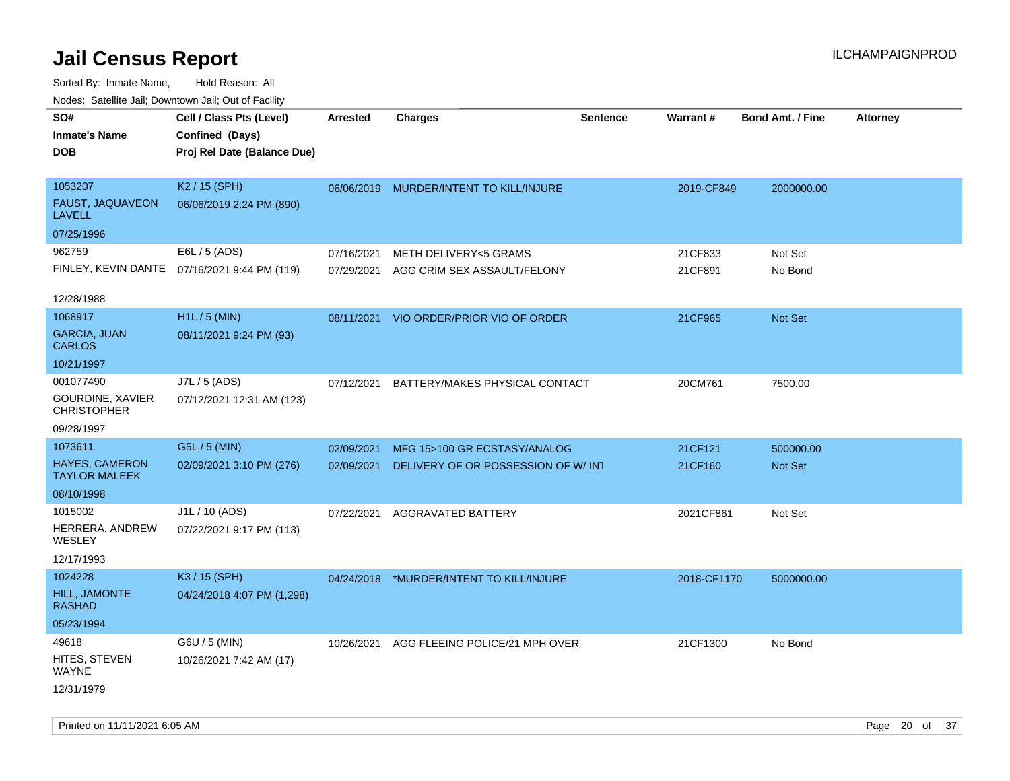| SO#<br><b>Inmate's Name</b><br><b>DOB</b>                               | Todoo. Catolino can, Bowritown can, Oat or I domt<br>Cell / Class Pts (Level)<br>Confined (Days)<br>Proj Rel Date (Balance Due) | Arrested   | <b>Charges</b>                                                            | <b>Sentence</b> | <b>Warrant#</b>    | <b>Bond Amt. / Fine</b> | <b>Attorney</b> |
|-------------------------------------------------------------------------|---------------------------------------------------------------------------------------------------------------------------------|------------|---------------------------------------------------------------------------|-----------------|--------------------|-------------------------|-----------------|
| 1053207<br>FAUST, JAQUAVEON<br><b>LAVELL</b>                            | K2 / 15 (SPH)<br>06/06/2019 2:24 PM (890)                                                                                       |            | 06/06/2019 MURDER/INTENT TO KILL/INJURE                                   |                 | 2019-CF849         | 2000000.00              |                 |
| 07/25/1996                                                              |                                                                                                                                 |            |                                                                           |                 |                    |                         |                 |
| 962759                                                                  | E6L / 5 (ADS)<br>FINLEY, KEVIN DANTE 07/16/2021 9:44 PM (119)                                                                   | 07/16/2021 | <b>METH DELIVERY&lt;5 GRAMS</b><br>07/29/2021 AGG CRIM SEX ASSAULT/FELONY |                 | 21CF833<br>21CF891 | Not Set<br>No Bond      |                 |
| 12/28/1988                                                              |                                                                                                                                 |            |                                                                           |                 |                    |                         |                 |
| 1068917<br><b>GARCIA, JUAN</b><br><b>CARLOS</b>                         | H1L / 5 (MIN)<br>08/11/2021 9:24 PM (93)                                                                                        | 08/11/2021 | VIO ORDER/PRIOR VIO OF ORDER                                              |                 | 21CF965            | Not Set                 |                 |
| 10/21/1997<br>001077490<br>GOURDINE, XAVIER                             | J7L / 5 (ADS)<br>07/12/2021 12:31 AM (123)                                                                                      | 07/12/2021 | BATTERY/MAKES PHYSICAL CONTACT                                            |                 | 20CM761            | 7500.00                 |                 |
| <b>CHRISTOPHER</b><br>09/28/1997                                        |                                                                                                                                 |            |                                                                           |                 |                    |                         |                 |
| 1073611                                                                 | G5L / 5 (MIN)                                                                                                                   | 02/09/2021 | MFG 15>100 GR ECSTASY/ANALOG                                              |                 | 21CF121            | 500000.00               |                 |
| <b>HAYES, CAMERON</b><br><b>TAYLOR MALEEK</b>                           | 02/09/2021 3:10 PM (276)                                                                                                        | 02/09/2021 | DELIVERY OF OR POSSESSION OF W/INT                                        |                 | 21CF160            | Not Set                 |                 |
| 08/10/1998<br>1015002<br>HERRERA, ANDREW<br><b>WESLEY</b><br>12/17/1993 | J1L / 10 (ADS)<br>07/22/2021 9:17 PM (113)                                                                                      | 07/22/2021 | AGGRAVATED BATTERY                                                        |                 | 2021CF861          | Not Set                 |                 |
| 1024228                                                                 | K3 / 15 (SPH)                                                                                                                   |            | 04/24/2018 *MURDER/INTENT TO KILL/INJURE                                  |                 | 2018-CF1170        | 5000000.00              |                 |
| HILL, JAMONTE<br><b>RASHAD</b>                                          | 04/24/2018 4:07 PM (1,298)                                                                                                      |            |                                                                           |                 |                    |                         |                 |
| 05/23/1994                                                              |                                                                                                                                 |            |                                                                           |                 |                    |                         |                 |
| 49618<br>HITES, STEVEN<br>WAYNE<br>12/31/1979                           | G6U / 5 (MIN)<br>10/26/2021 7:42 AM (17)                                                                                        |            | 10/26/2021 AGG FLEEING POLICE/21 MPH OVER                                 |                 | 21CF1300           | No Bond                 |                 |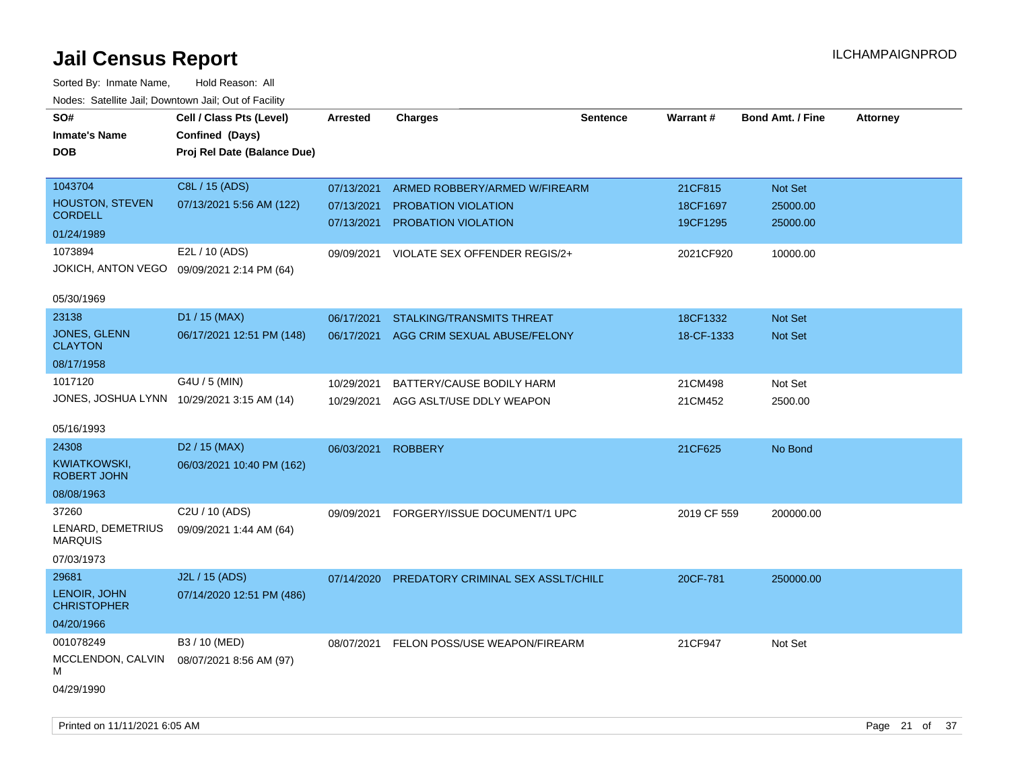| SO#<br><b>Inmate's Name</b><br>DOB         | Cell / Class Pts (Level)<br>Confined (Days)<br>Proj Rel Date (Balance Due) | Arrested                 | <b>Charges</b>                     | <b>Sentence</b> | Warrant#    | <b>Bond Amt. / Fine</b> | <b>Attorney</b> |
|--------------------------------------------|----------------------------------------------------------------------------|--------------------------|------------------------------------|-----------------|-------------|-------------------------|-----------------|
| 1043704                                    | C8L / 15 (ADS)                                                             | 07/13/2021               | ARMED ROBBERY/ARMED W/FIREARM      |                 | 21CF815     | Not Set                 |                 |
| <b>HOUSTON, STEVEN</b><br><b>CORDELL</b>   | 07/13/2021 5:56 AM (122)                                                   | 07/13/2021<br>07/13/2021 | PROBATION VIOLATION                |                 | 18CF1697    | 25000.00                |                 |
| 01/24/1989                                 |                                                                            |                          | PROBATION VIOLATION                |                 | 19CF1295    | 25000.00                |                 |
| 1073894                                    | E2L / 10 (ADS)                                                             | 09/09/2021               | VIOLATE SEX OFFENDER REGIS/2+      |                 | 2021CF920   | 10000.00                |                 |
| JOKICH, ANTON VEGO                         | 09/09/2021 2:14 PM (64)                                                    |                          |                                    |                 |             |                         |                 |
| 05/30/1969                                 |                                                                            |                          |                                    |                 |             |                         |                 |
| 23138                                      | D1 / 15 (MAX)                                                              | 06/17/2021               | <b>STALKING/TRANSMITS THREAT</b>   |                 | 18CF1332    | Not Set                 |                 |
| JONES, GLENN<br><b>CLAYTON</b>             | 06/17/2021 12:51 PM (148)                                                  | 06/17/2021               | AGG CRIM SEXUAL ABUSE/FELONY       |                 | 18-CF-1333  | Not Set                 |                 |
| 08/17/1958                                 |                                                                            |                          |                                    |                 |             |                         |                 |
| 1017120                                    | G4U / 5 (MIN)                                                              | 10/29/2021               | BATTERY/CAUSE BODILY HARM          |                 | 21CM498     | Not Set                 |                 |
| JONES, JOSHUA LYNN 10/29/2021 3:15 AM (14) |                                                                            | 10/29/2021               | AGG ASLT/USE DDLY WEAPON           |                 | 21CM452     | 2500.00                 |                 |
| 05/16/1993                                 |                                                                            |                          |                                    |                 |             |                         |                 |
| 24308                                      | D <sub>2</sub> / 15 (MAX)                                                  | 06/03/2021               | <b>ROBBERY</b>                     |                 | 21CF625     | No Bond                 |                 |
| KWIATKOWSKI,<br><b>ROBERT JOHN</b>         | 06/03/2021 10:40 PM (162)                                                  |                          |                                    |                 |             |                         |                 |
| 08/08/1963                                 |                                                                            |                          |                                    |                 |             |                         |                 |
| 37260                                      | C2U / 10 (ADS)                                                             | 09/09/2021               | FORGERY/ISSUE DOCUMENT/1 UPC       |                 | 2019 CF 559 | 200000.00               |                 |
| LENARD, DEMETRIUS<br><b>MARQUIS</b>        | 09/09/2021 1:44 AM (64)                                                    |                          |                                    |                 |             |                         |                 |
| 07/03/1973                                 |                                                                            |                          |                                    |                 |             |                         |                 |
| 29681                                      | J2L / 15 (ADS)                                                             | 07/14/2020               | PREDATORY CRIMINAL SEX ASSLT/CHILD |                 | 20CF-781    | 250000.00               |                 |
| LENOIR, JOHN<br><b>CHRISTOPHER</b>         | 07/14/2020 12:51 PM (486)                                                  |                          |                                    |                 |             |                         |                 |
| 04/20/1966                                 |                                                                            |                          |                                    |                 |             |                         |                 |
| 001078249                                  | B3 / 10 (MED)                                                              | 08/07/2021               | FELON POSS/USE WEAPON/FIREARM      |                 | 21CF947     | Not Set                 |                 |
| MCCLENDON, CALVIN<br>М                     | 08/07/2021 8:56 AM (97)                                                    |                          |                                    |                 |             |                         |                 |
| 04/29/1990                                 |                                                                            |                          |                                    |                 |             |                         |                 |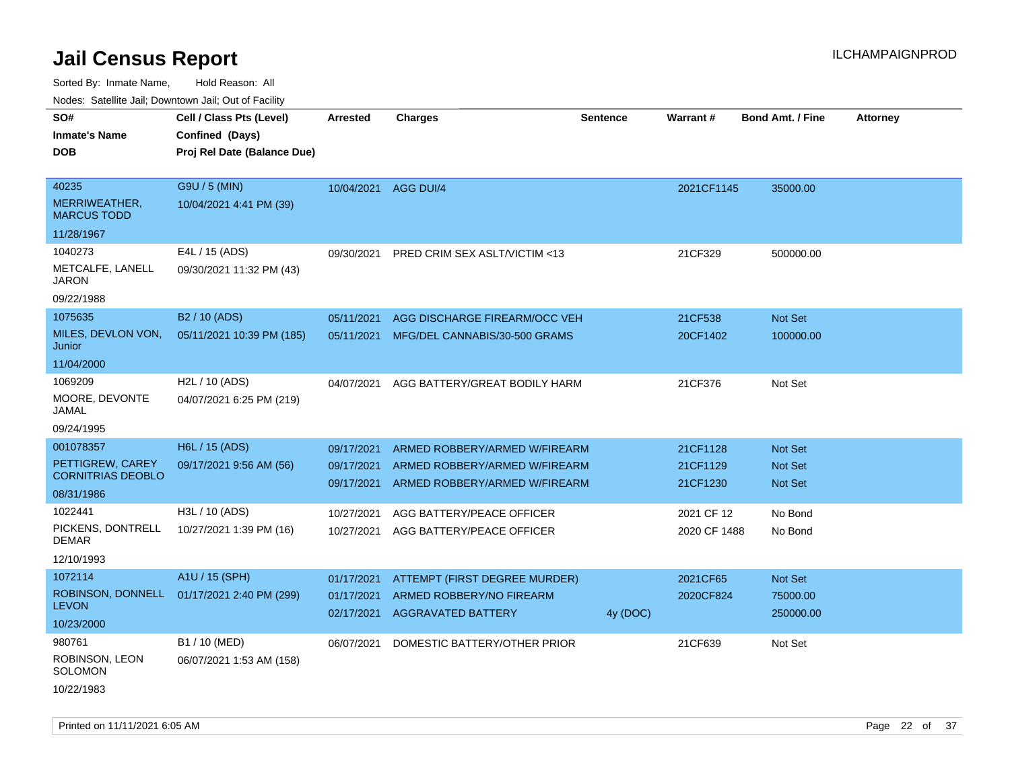Sorted By: Inmate Name, Hold Reason: All Nodes: Satellite Jail; Downtown Jail; Out of Facility

| ivoues. Salellite Jali, Downtown Jali, Out of Facility |                             |                 |                               |                 |              |                         |                 |
|--------------------------------------------------------|-----------------------------|-----------------|-------------------------------|-----------------|--------------|-------------------------|-----------------|
| SO#                                                    | Cell / Class Pts (Level)    | <b>Arrested</b> | <b>Charges</b>                | <b>Sentence</b> | Warrant#     | <b>Bond Amt. / Fine</b> | <b>Attorney</b> |
| <b>Inmate's Name</b>                                   | Confined (Days)             |                 |                               |                 |              |                         |                 |
| <b>DOB</b>                                             | Proj Rel Date (Balance Due) |                 |                               |                 |              |                         |                 |
|                                                        |                             |                 |                               |                 |              |                         |                 |
| 40235                                                  | G9U / 5 (MIN)               | 10/04/2021      | AGG DUI/4                     |                 | 2021CF1145   | 35000.00                |                 |
| MERRIWEATHER,<br><b>MARCUS TODD</b>                    | 10/04/2021 4:41 PM (39)     |                 |                               |                 |              |                         |                 |
| 11/28/1967                                             |                             |                 |                               |                 |              |                         |                 |
| 1040273                                                | E4L / 15 (ADS)              | 09/30/2021      | PRED CRIM SEX ASLT/VICTIM <13 |                 | 21CF329      | 500000.00               |                 |
| METCALFE, LANELL<br>JARON                              | 09/30/2021 11:32 PM (43)    |                 |                               |                 |              |                         |                 |
| 09/22/1988                                             |                             |                 |                               |                 |              |                         |                 |
| 1075635                                                | B <sub>2</sub> / 10 (ADS)   | 05/11/2021      | AGG DISCHARGE FIREARM/OCC VEH |                 | 21CF538      | Not Set                 |                 |
| MILES, DEVLON VON,<br>Junior                           | 05/11/2021 10:39 PM (185)   | 05/11/2021      | MFG/DEL CANNABIS/30-500 GRAMS |                 | 20CF1402     | 100000.00               |                 |
| 11/04/2000                                             |                             |                 |                               |                 |              |                         |                 |
| 1069209                                                | H2L / 10 (ADS)              | 04/07/2021      | AGG BATTERY/GREAT BODILY HARM |                 | 21CF376      | Not Set                 |                 |
| MOORE, DEVONTE<br>JAMAL                                | 04/07/2021 6:25 PM (219)    |                 |                               |                 |              |                         |                 |
| 09/24/1995                                             |                             |                 |                               |                 |              |                         |                 |
| 001078357                                              | H6L / 15 (ADS)              | 09/17/2021      | ARMED ROBBERY/ARMED W/FIREARM |                 | 21CF1128     | <b>Not Set</b>          |                 |
| PETTIGREW, CAREY<br><b>CORNITRIAS DEOBLO</b>           | 09/17/2021 9:56 AM (56)     | 09/17/2021      | ARMED ROBBERY/ARMED W/FIREARM |                 | 21CF1129     | <b>Not Set</b>          |                 |
| 08/31/1986                                             |                             | 09/17/2021      | ARMED ROBBERY/ARMED W/FIREARM |                 | 21CF1230     | <b>Not Set</b>          |                 |
|                                                        |                             |                 |                               |                 |              |                         |                 |
| 1022441                                                | H3L / 10 (ADS)              | 10/27/2021      | AGG BATTERY/PEACE OFFICER     |                 | 2021 CF 12   | No Bond                 |                 |
| PICKENS, DONTRELL<br><b>DEMAR</b>                      | 10/27/2021 1:39 PM (16)     | 10/27/2021      | AGG BATTERY/PEACE OFFICER     |                 | 2020 CF 1488 | No Bond                 |                 |
| 12/10/1993                                             |                             |                 |                               |                 |              |                         |                 |
| 1072114                                                | A1U / 15 (SPH)              | 01/17/2021      | ATTEMPT (FIRST DEGREE MURDER) |                 | 2021CF65     | Not Set                 |                 |
| ROBINSON, DONNELL                                      | 01/17/2021 2:40 PM (299)    | 01/17/2021      | ARMED ROBBERY/NO FIREARM      |                 | 2020CF824    | 75000.00                |                 |
| <b>LEVON</b>                                           |                             | 02/17/2021      | <b>AGGRAVATED BATTERY</b>     | 4y (DOC)        |              | 250000.00               |                 |
| 10/23/2000                                             |                             |                 |                               |                 |              |                         |                 |
| 980761                                                 | B1 / 10 (MED)               | 06/07/2021      | DOMESTIC BATTERY/OTHER PRIOR  |                 | 21CF639      | Not Set                 |                 |
| ROBINSON, LEON<br>SOLOMON                              | 06/07/2021 1:53 AM (158)    |                 |                               |                 |              |                         |                 |
| 10/22/1983                                             |                             |                 |                               |                 |              |                         |                 |

Printed on  $11/11/2021$  6:05 AM Page 22 of 37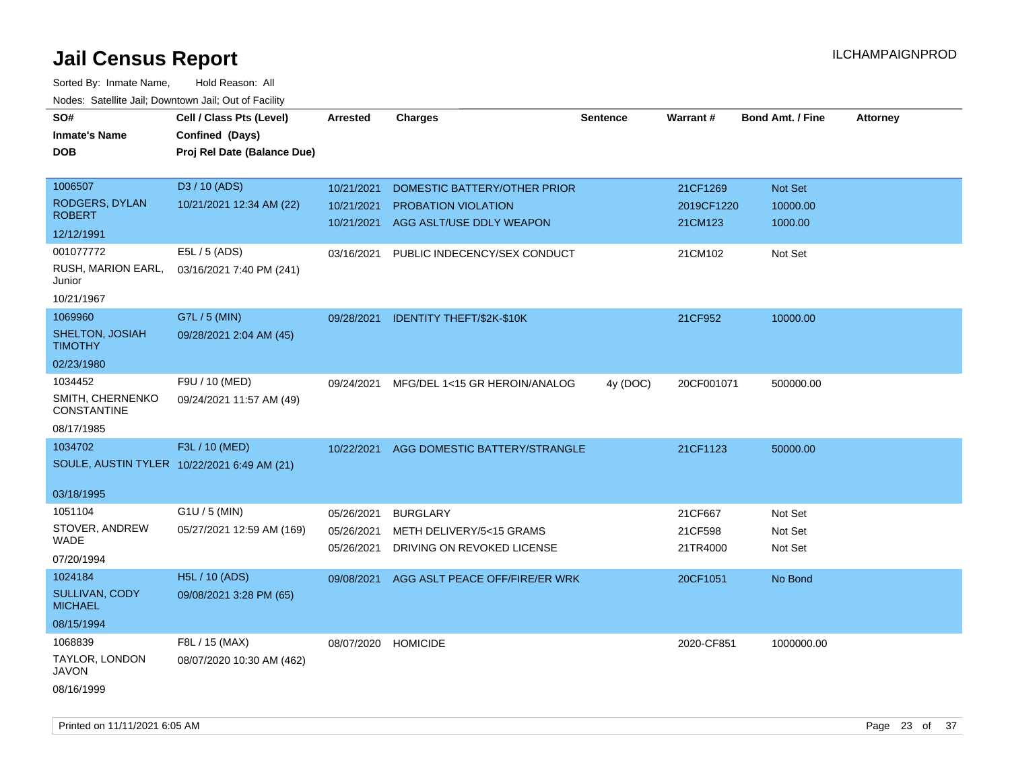| SO#                                    | Cell / Class Pts (Level)                    | Arrested   | <b>Charges</b>                   | <b>Sentence</b> | Warrant#   | <b>Bond Amt. / Fine</b> | <b>Attorney</b> |
|----------------------------------------|---------------------------------------------|------------|----------------------------------|-----------------|------------|-------------------------|-----------------|
| <b>Inmate's Name</b>                   | Confined (Days)                             |            |                                  |                 |            |                         |                 |
| <b>DOB</b>                             | Proj Rel Date (Balance Due)                 |            |                                  |                 |            |                         |                 |
|                                        |                                             |            |                                  |                 |            |                         |                 |
| 1006507                                | D3 / 10 (ADS)                               | 10/21/2021 | DOMESTIC BATTERY/OTHER PRIOR     |                 | 21CF1269   | Not Set                 |                 |
| RODGERS, DYLAN                         | 10/21/2021 12:34 AM (22)                    | 10/21/2021 | <b>PROBATION VIOLATION</b>       |                 | 2019CF1220 | 10000.00                |                 |
| <b>ROBERT</b>                          |                                             | 10/21/2021 | AGG ASLT/USE DDLY WEAPON         |                 | 21CM123    | 1000.00                 |                 |
| 12/12/1991                             |                                             |            |                                  |                 |            |                         |                 |
| 001077772                              | E5L / 5 (ADS)                               | 03/16/2021 | PUBLIC INDECENCY/SEX CONDUCT     |                 | 21CM102    | Not Set                 |                 |
| RUSH, MARION EARL,<br>Junior           | 03/16/2021 7:40 PM (241)                    |            |                                  |                 |            |                         |                 |
| 10/21/1967                             |                                             |            |                                  |                 |            |                         |                 |
| 1069960                                | G7L / 5 (MIN)                               | 09/28/2021 | <b>IDENTITY THEFT/\$2K-\$10K</b> |                 | 21CF952    | 10000.00                |                 |
| SHELTON, JOSIAH<br><b>TIMOTHY</b>      | 09/28/2021 2:04 AM (45)                     |            |                                  |                 |            |                         |                 |
| 02/23/1980                             |                                             |            |                                  |                 |            |                         |                 |
| 1034452                                | F9U / 10 (MED)                              | 09/24/2021 | MFG/DEL 1<15 GR HEROIN/ANALOG    | 4y (DOC)        | 20CF001071 | 500000.00               |                 |
| SMITH, CHERNENKO<br><b>CONSTANTINE</b> | 09/24/2021 11:57 AM (49)                    |            |                                  |                 |            |                         |                 |
| 08/17/1985                             |                                             |            |                                  |                 |            |                         |                 |
| 1034702                                | F3L / 10 (MED)                              | 10/22/2021 | AGG DOMESTIC BATTERY/STRANGLE    |                 | 21CF1123   | 50000.00                |                 |
|                                        | SOULE, AUSTIN TYLER 10/22/2021 6:49 AM (21) |            |                                  |                 |            |                         |                 |
| 03/18/1995                             |                                             |            |                                  |                 |            |                         |                 |
| 1051104                                | G1U / 5 (MIN)                               | 05/26/2021 | <b>BURGLARY</b>                  |                 | 21CF667    | Not Set                 |                 |
| STOVER, ANDREW                         | 05/27/2021 12:59 AM (169)                   | 05/26/2021 | METH DELIVERY/5<15 GRAMS         |                 | 21CF598    | Not Set                 |                 |
| WADE                                   |                                             | 05/26/2021 | DRIVING ON REVOKED LICENSE       |                 | 21TR4000   | Not Set                 |                 |
| 07/20/1994                             |                                             |            |                                  |                 |            |                         |                 |
| 1024184                                | H5L / 10 (ADS)                              | 09/08/2021 | AGG ASLT PEACE OFF/FIRE/ER WRK   |                 | 20CF1051   | No Bond                 |                 |
| SULLIVAN, CODY<br><b>MICHAEL</b>       | 09/08/2021 3:28 PM (65)                     |            |                                  |                 |            |                         |                 |
| 08/15/1994                             |                                             |            |                                  |                 |            |                         |                 |
| 1068839                                | F8L / 15 (MAX)                              | 08/07/2020 | <b>HOMICIDE</b>                  |                 | 2020-CF851 | 1000000.00              |                 |
| TAYLOR, LONDON<br><b>JAVON</b>         | 08/07/2020 10:30 AM (462)                   |            |                                  |                 |            |                         |                 |
| 08/16/1999                             |                                             |            |                                  |                 |            |                         |                 |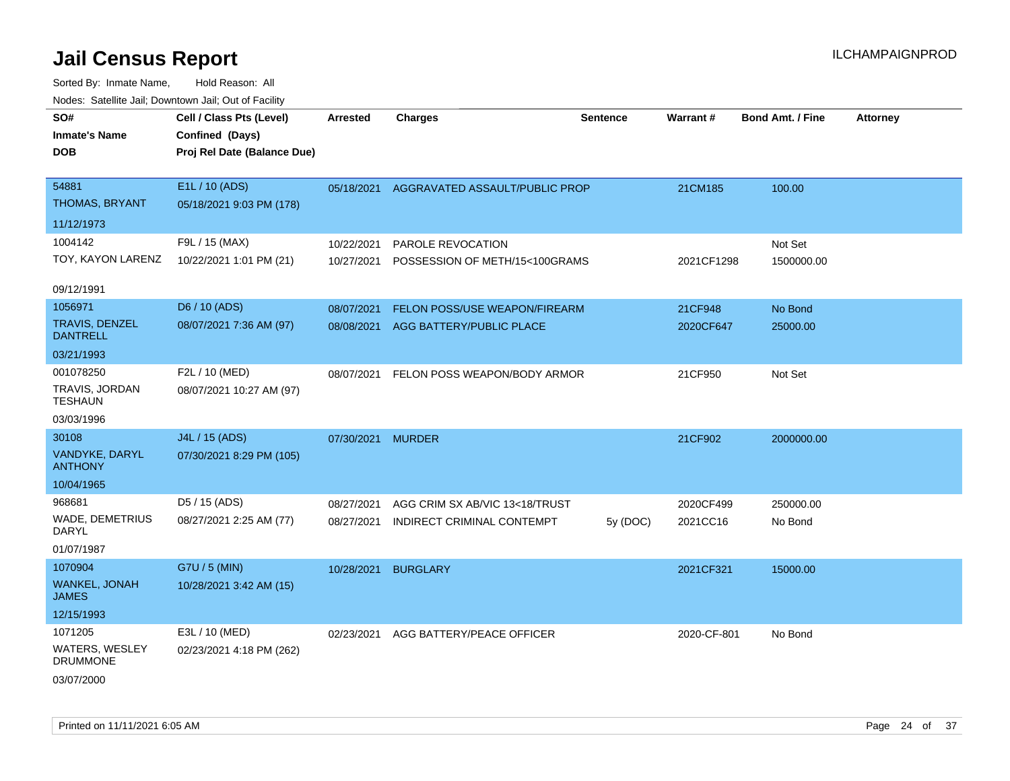| SO#<br><b>Inmate's Name</b><br><b>DOB</b> | Cell / Class Pts (Level)<br>Confined (Days)<br>Proj Rel Date (Balance Due) | Arrested          | <b>Charges</b>                            | <b>Sentence</b> | <b>Warrant#</b> | <b>Bond Amt. / Fine</b> | <b>Attorney</b> |
|-------------------------------------------|----------------------------------------------------------------------------|-------------------|-------------------------------------------|-----------------|-----------------|-------------------------|-----------------|
| 54881<br>THOMAS, BRYANT                   | E1L / 10 (ADS)<br>05/18/2021 9:03 PM (178)                                 |                   | 05/18/2021 AGGRAVATED ASSAULT/PUBLIC PROP |                 | 21CM185         | 100.00                  |                 |
| 11/12/1973                                |                                                                            |                   |                                           |                 |                 |                         |                 |
| 1004142                                   | F9L / 15 (MAX)                                                             | 10/22/2021        | PAROLE REVOCATION                         |                 |                 | Not Set                 |                 |
| TOY, KAYON LARENZ                         | 10/22/2021 1:01 PM (21)                                                    | 10/27/2021        | POSSESSION OF METH/15<100GRAMS            |                 | 2021CF1298      | 1500000.00              |                 |
| 09/12/1991                                |                                                                            |                   |                                           |                 |                 |                         |                 |
| 1056971                                   | D6 / 10 (ADS)                                                              | 08/07/2021        | FELON POSS/USE WEAPON/FIREARM             |                 | 21CF948         | No Bond                 |                 |
| TRAVIS, DENZEL<br><b>DANTRELL</b>         | 08/07/2021 7:36 AM (97)                                                    | 08/08/2021        | AGG BATTERY/PUBLIC PLACE                  |                 | 2020CF647       | 25000.00                |                 |
| 03/21/1993                                |                                                                            |                   |                                           |                 |                 |                         |                 |
| 001078250                                 | F2L / 10 (MED)                                                             | 08/07/2021        | FELON POSS WEAPON/BODY ARMOR              |                 | 21CF950         | Not Set                 |                 |
| TRAVIS, JORDAN<br><b>TESHAUN</b>          | 08/07/2021 10:27 AM (97)                                                   |                   |                                           |                 |                 |                         |                 |
| 03/03/1996                                |                                                                            |                   |                                           |                 |                 |                         |                 |
| 30108                                     | J4L / 15 (ADS)                                                             | 07/30/2021 MURDER |                                           |                 | 21CF902         | 2000000.00              |                 |
| VANDYKE, DARYL<br><b>ANTHONY</b>          | 07/30/2021 8:29 PM (105)                                                   |                   |                                           |                 |                 |                         |                 |
| 10/04/1965                                |                                                                            |                   |                                           |                 |                 |                         |                 |
| 968681                                    | D5 / 15 (ADS)                                                              | 08/27/2021        | AGG CRIM SX AB/VIC 13<18/TRUST            |                 | 2020CF499       | 250000.00               |                 |
| WADE, DEMETRIUS<br><b>DARYL</b>           | 08/27/2021 2:25 AM (77)                                                    | 08/27/2021        | INDIRECT CRIMINAL CONTEMPT                | 5y (DOC)        | 2021CC16        | No Bond                 |                 |
| 01/07/1987                                |                                                                            |                   |                                           |                 |                 |                         |                 |
| 1070904                                   | G7U / 5 (MIN)                                                              | 10/28/2021        | <b>BURGLARY</b>                           |                 | 2021CF321       | 15000.00                |                 |
| WANKEL, JONAH<br><b>JAMES</b>             | 10/28/2021 3:42 AM (15)                                                    |                   |                                           |                 |                 |                         |                 |
| 12/15/1993                                |                                                                            |                   |                                           |                 |                 |                         |                 |
| 1071205                                   | E3L / 10 (MED)                                                             | 02/23/2021        | AGG BATTERY/PEACE OFFICER                 |                 | 2020-CF-801     | No Bond                 |                 |
| WATERS, WESLEY<br><b>DRUMMONE</b>         | 02/23/2021 4:18 PM (262)                                                   |                   |                                           |                 |                 |                         |                 |
| 03/07/2000                                |                                                                            |                   |                                           |                 |                 |                         |                 |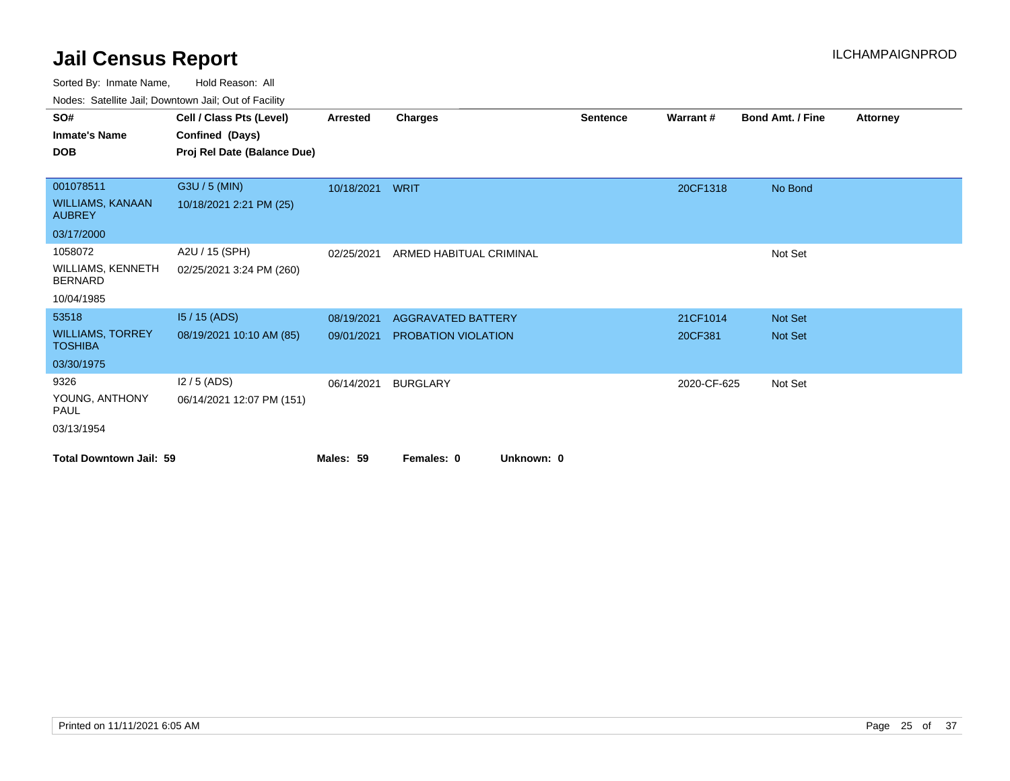Sorted By: Inmate Name, Hold Reason: All

Nodes: Satellite Jail; Downtown Jail; Out of Facility

| SO#                                        | Cell / Class Pts (Level)    | <b>Arrested</b> | <b>Charges</b>            | <b>Sentence</b> | Warrant#    | <b>Bond Amt. / Fine</b> | <b>Attorney</b> |
|--------------------------------------------|-----------------------------|-----------------|---------------------------|-----------------|-------------|-------------------------|-----------------|
| <b>Inmate's Name</b>                       | Confined (Days)             |                 |                           |                 |             |                         |                 |
| <b>DOB</b>                                 | Proj Rel Date (Balance Due) |                 |                           |                 |             |                         |                 |
|                                            |                             |                 |                           |                 |             |                         |                 |
| 001078511                                  | G3U / 5 (MIN)               | 10/18/2021      | <b>WRIT</b>               |                 | 20CF1318    | No Bond                 |                 |
| <b>WILLIAMS, KANAAN</b><br><b>AUBREY</b>   | 10/18/2021 2:21 PM (25)     |                 |                           |                 |             |                         |                 |
| 03/17/2000                                 |                             |                 |                           |                 |             |                         |                 |
| 1058072                                    | A2U / 15 (SPH)              | 02/25/2021      | ARMED HABITUAL CRIMINAL   |                 |             | Not Set                 |                 |
| <b>WILLIAMS, KENNETH</b><br><b>BERNARD</b> | 02/25/2021 3:24 PM (260)    |                 |                           |                 |             |                         |                 |
| 10/04/1985                                 |                             |                 |                           |                 |             |                         |                 |
| 53518                                      | $15/15$ (ADS)               | 08/19/2021      | <b>AGGRAVATED BATTERY</b> |                 | 21CF1014    | Not Set                 |                 |
| <b>WILLIAMS, TORREY</b><br><b>TOSHIBA</b>  | 08/19/2021 10:10 AM (85)    | 09/01/2021      | PROBATION VIOLATION       |                 | 20CF381     | <b>Not Set</b>          |                 |
| 03/30/1975                                 |                             |                 |                           |                 |             |                         |                 |
| 9326                                       | $12/5$ (ADS)                | 06/14/2021      | <b>BURGLARY</b>           |                 | 2020-CF-625 | Not Set                 |                 |
| YOUNG, ANTHONY<br>PAUL                     | 06/14/2021 12:07 PM (151)   |                 |                           |                 |             |                         |                 |
| 03/13/1954                                 |                             |                 |                           |                 |             |                         |                 |
| <b>Total Downtown Jail: 59</b>             |                             | Males: 59       | Unknown: 0<br>Females: 0  |                 |             |                         |                 |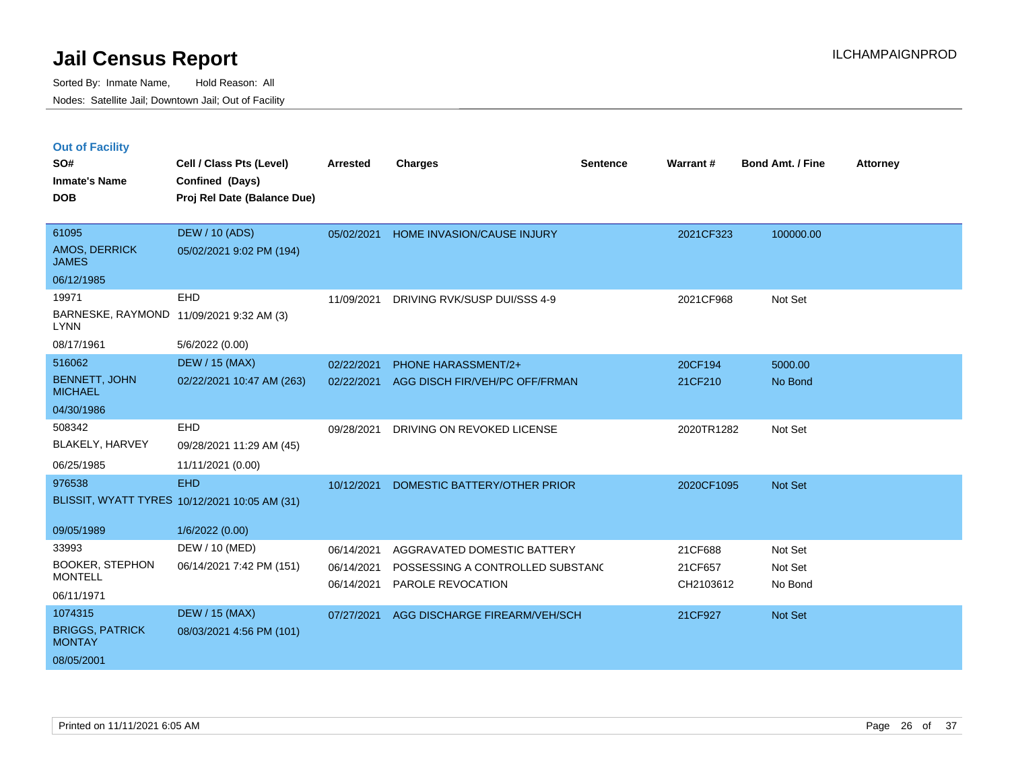|  | <b>Out of Facility</b> |  |
|--|------------------------|--|
|  |                        |  |

| SO#<br><b>Inmate's Name</b>             | Cell / Class Pts (Level)<br>Confined (Days)   | <b>Arrested</b> | <b>Charges</b>                   | <b>Sentence</b> | Warrant#   | <b>Bond Amt. / Fine</b> | <b>Attorney</b> |
|-----------------------------------------|-----------------------------------------------|-----------------|----------------------------------|-----------------|------------|-------------------------|-----------------|
| <b>DOB</b>                              | Proj Rel Date (Balance Due)                   |                 |                                  |                 |            |                         |                 |
| 61095                                   | <b>DEW / 10 (ADS)</b>                         | 05/02/2021      | HOME INVASION/CAUSE INJURY       |                 | 2021CF323  | 100000.00               |                 |
| AMOS, DERRICK<br><b>JAMES</b>           | 05/02/2021 9:02 PM (194)                      |                 |                                  |                 |            |                         |                 |
| 06/12/1985                              |                                               |                 |                                  |                 |            |                         |                 |
| 19971                                   | EHD                                           | 11/09/2021      | DRIVING RVK/SUSP DUI/SSS 4-9     |                 | 2021CF968  | Not Set                 |                 |
| <b>LYNN</b>                             | BARNESKE, RAYMOND 11/09/2021 9:32 AM (3)      |                 |                                  |                 |            |                         |                 |
| 08/17/1961                              | 5/6/2022 (0.00)                               |                 |                                  |                 |            |                         |                 |
| 516062                                  | <b>DEW / 15 (MAX)</b>                         | 02/22/2021      | <b>PHONE HARASSMENT/2+</b>       |                 | 20CF194    | 5000.00                 |                 |
| <b>BENNETT, JOHN</b><br><b>MICHAEL</b>  | 02/22/2021 10:47 AM (263)                     | 02/22/2021      | AGG DISCH FIR/VEH/PC OFF/FRMAN   |                 | 21CF210    | No Bond                 |                 |
| 04/30/1986                              |                                               |                 |                                  |                 |            |                         |                 |
| 508342                                  | EHD                                           | 09/28/2021      | DRIVING ON REVOKED LICENSE       |                 | 2020TR1282 | Not Set                 |                 |
| <b>BLAKELY, HARVEY</b>                  | 09/28/2021 11:29 AM (45)                      |                 |                                  |                 |            |                         |                 |
| 06/25/1985                              | 11/11/2021 (0.00)                             |                 |                                  |                 |            |                         |                 |
| 976538                                  | <b>EHD</b>                                    | 10/12/2021      | DOMESTIC BATTERY/OTHER PRIOR     |                 | 2020CF1095 | Not Set                 |                 |
|                                         | BLISSIT, WYATT TYRES 10/12/2021 10:05 AM (31) |                 |                                  |                 |            |                         |                 |
| 09/05/1989                              | 1/6/2022 (0.00)                               |                 |                                  |                 |            |                         |                 |
| 33993                                   | DEW / 10 (MED)                                | 06/14/2021      | AGGRAVATED DOMESTIC BATTERY      |                 | 21CF688    | Not Set                 |                 |
| <b>BOOKER, STEPHON</b>                  | 06/14/2021 7:42 PM (151)                      | 06/14/2021      | POSSESSING A CONTROLLED SUBSTANC |                 | 21CF657    | Not Set                 |                 |
| <b>MONTELL</b>                          |                                               | 06/14/2021      | PAROLE REVOCATION                |                 | CH2103612  | No Bond                 |                 |
| 06/11/1971                              |                                               |                 |                                  |                 |            |                         |                 |
| 1074315                                 | <b>DEW / 15 (MAX)</b>                         | 07/27/2021      | AGG DISCHARGE FIREARM/VEH/SCH    |                 | 21CF927    | Not Set                 |                 |
| <b>BRIGGS, PATRICK</b><br><b>MONTAY</b> | 08/03/2021 4:56 PM (101)                      |                 |                                  |                 |            |                         |                 |
| 08/05/2001                              |                                               |                 |                                  |                 |            |                         |                 |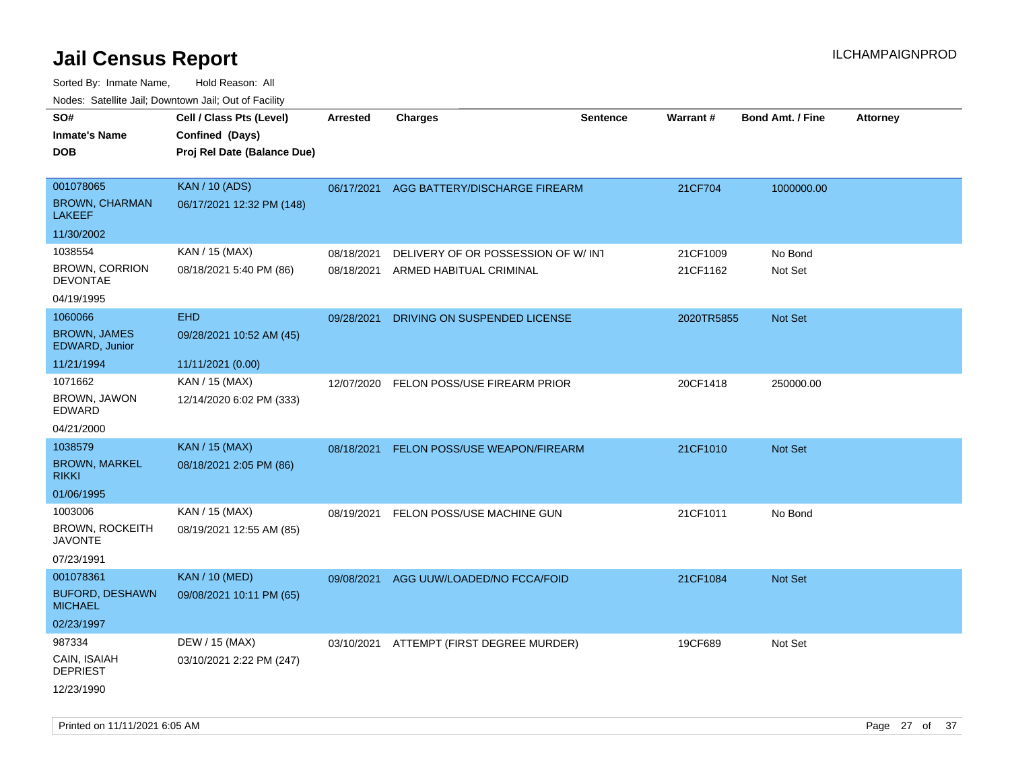| Hougo. Catolino can, Bowmown can, Cat or Fagint<br>SO# | Cell / Class Pts (Level)    | <b>Arrested</b> | <b>Charges</b>                       | <b>Sentence</b> | Warrant#   | <b>Bond Amt. / Fine</b> | <b>Attorney</b> |
|--------------------------------------------------------|-----------------------------|-----------------|--------------------------------------|-----------------|------------|-------------------------|-----------------|
| <b>Inmate's Name</b>                                   | Confined (Days)             |                 |                                      |                 |            |                         |                 |
| <b>DOB</b>                                             | Proj Rel Date (Balance Due) |                 |                                      |                 |            |                         |                 |
|                                                        |                             |                 |                                      |                 |            |                         |                 |
| 001078065                                              | <b>KAN / 10 (ADS)</b>       | 06/17/2021      | AGG BATTERY/DISCHARGE FIREARM        |                 | 21CF704    | 1000000.00              |                 |
| <b>BROWN, CHARMAN</b><br><b>LAKEEF</b>                 | 06/17/2021 12:32 PM (148)   |                 |                                      |                 |            |                         |                 |
| 11/30/2002                                             |                             |                 |                                      |                 |            |                         |                 |
| 1038554                                                | KAN / 15 (MAX)              | 08/18/2021      | DELIVERY OF OR POSSESSION OF W/INT   |                 | 21CF1009   | No Bond                 |                 |
| <b>BROWN, CORRION</b><br><b>DEVONTAE</b>               | 08/18/2021 5:40 PM (86)     | 08/18/2021      | ARMED HABITUAL CRIMINAL              |                 | 21CF1162   | Not Set                 |                 |
| 04/19/1995                                             |                             |                 |                                      |                 |            |                         |                 |
| 1060066                                                | <b>EHD</b>                  | 09/28/2021      | DRIVING ON SUSPENDED LICENSE         |                 | 2020TR5855 | Not Set                 |                 |
| <b>BROWN, JAMES</b><br>EDWARD, Junior                  | 09/28/2021 10:52 AM (45)    |                 |                                      |                 |            |                         |                 |
| 11/21/1994                                             | 11/11/2021 (0.00)           |                 |                                      |                 |            |                         |                 |
| 1071662                                                | KAN / 15 (MAX)              | 12/07/2020      | FELON POSS/USE FIREARM PRIOR         |                 | 20CF1418   | 250000.00               |                 |
| BROWN, JAWON<br>EDWARD                                 | 12/14/2020 6:02 PM (333)    |                 |                                      |                 |            |                         |                 |
| 04/21/2000                                             |                             |                 |                                      |                 |            |                         |                 |
| 1038579                                                | <b>KAN / 15 (MAX)</b>       | 08/18/2021      | <b>FELON POSS/USE WEAPON/FIREARM</b> |                 | 21CF1010   | <b>Not Set</b>          |                 |
| <b>BROWN, MARKEL</b><br><b>RIKKI</b>                   | 08/18/2021 2:05 PM (86)     |                 |                                      |                 |            |                         |                 |
| 01/06/1995                                             |                             |                 |                                      |                 |            |                         |                 |
| 1003006                                                | KAN / 15 (MAX)              | 08/19/2021      | FELON POSS/USE MACHINE GUN           |                 | 21CF1011   | No Bond                 |                 |
| <b>BROWN, ROCKEITH</b><br><b>JAVONTE</b>               | 08/19/2021 12:55 AM (85)    |                 |                                      |                 |            |                         |                 |
| 07/23/1991                                             |                             |                 |                                      |                 |            |                         |                 |
| 001078361                                              | <b>KAN / 10 (MED)</b>       | 09/08/2021      | AGG UUW/LOADED/NO FCCA/FOID          |                 | 21CF1084   | <b>Not Set</b>          |                 |
| <b>BUFORD, DESHAWN</b><br><b>MICHAEL</b>               | 09/08/2021 10:11 PM (65)    |                 |                                      |                 |            |                         |                 |
| 02/23/1997                                             |                             |                 |                                      |                 |            |                         |                 |
| 987334                                                 | DEW / 15 (MAX)              | 03/10/2021      | ATTEMPT (FIRST DEGREE MURDER)        |                 | 19CF689    | Not Set                 |                 |
| CAIN, ISAIAH<br><b>DEPRIEST</b>                        | 03/10/2021 2:22 PM (247)    |                 |                                      |                 |            |                         |                 |
| 12/23/1990                                             |                             |                 |                                      |                 |            |                         |                 |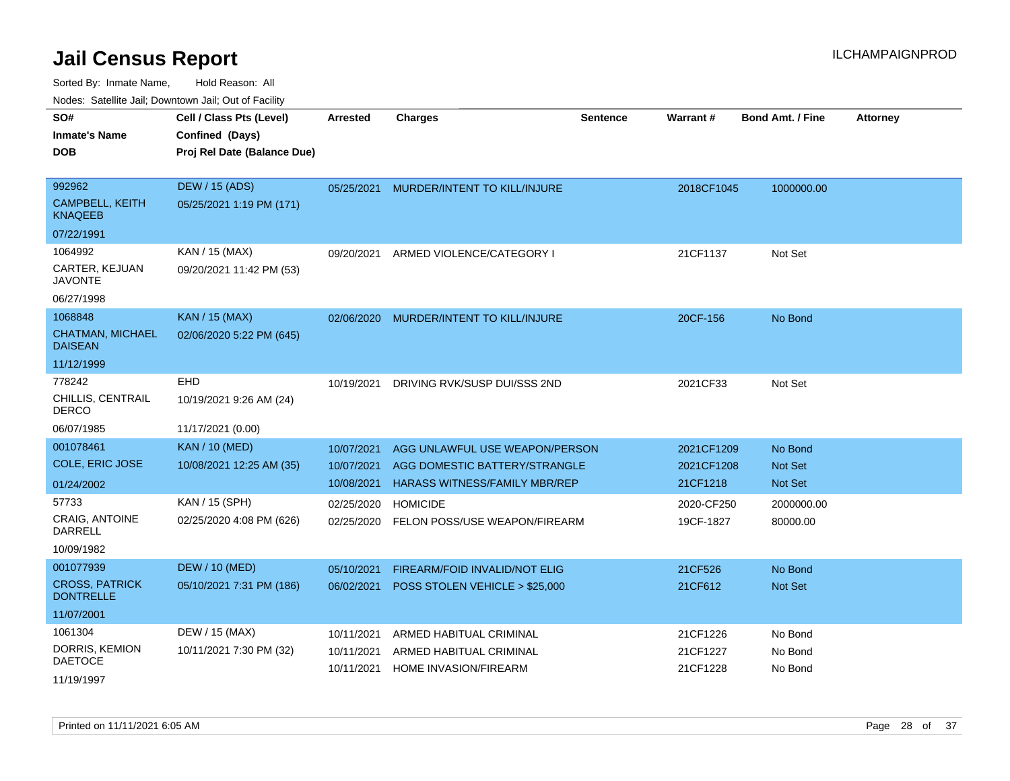| rouco. Calcinic Jan, Downtown Jan, Out of Facility                      |                                                                            |                                                      |                                                                                                                            |                 |                                                    |                                                    |                 |
|-------------------------------------------------------------------------|----------------------------------------------------------------------------|------------------------------------------------------|----------------------------------------------------------------------------------------------------------------------------|-----------------|----------------------------------------------------|----------------------------------------------------|-----------------|
| SO#<br><b>Inmate's Name</b><br><b>DOB</b>                               | Cell / Class Pts (Level)<br>Confined (Days)<br>Proj Rel Date (Balance Due) | <b>Arrested</b>                                      | <b>Charges</b>                                                                                                             | <b>Sentence</b> | <b>Warrant#</b>                                    | <b>Bond Amt. / Fine</b>                            | <b>Attorney</b> |
| 992962<br><b>CAMPBELL, KEITH</b><br><b>KNAQEEB</b>                      | <b>DEW / 15 (ADS)</b><br>05/25/2021 1:19 PM (171)                          | 05/25/2021                                           | MURDER/INTENT TO KILL/INJURE                                                                                               |                 | 2018CF1045                                         | 1000000.00                                         |                 |
| 07/22/1991<br>1064992<br>CARTER, KEJUAN                                 | KAN / 15 (MAX)<br>09/20/2021 11:42 PM (53)                                 | 09/20/2021                                           | ARMED VIOLENCE/CATEGORY I                                                                                                  |                 | 21CF1137                                           | Not Set                                            |                 |
| <b>JAVONTE</b><br>06/27/1998                                            |                                                                            |                                                      |                                                                                                                            |                 |                                                    |                                                    |                 |
| 1068848<br><b>CHATMAN, MICHAEL</b><br><b>DAISEAN</b>                    | <b>KAN / 15 (MAX)</b><br>02/06/2020 5:22 PM (645)                          | 02/06/2020                                           | MURDER/INTENT TO KILL/INJURE                                                                                               |                 | 20CF-156                                           | No Bond                                            |                 |
| 11/12/1999<br>778242<br>CHILLIS, CENTRAIL<br>DERCO<br>06/07/1985        | <b>EHD</b><br>10/19/2021 9:26 AM (24)<br>11/17/2021 (0.00)                 | 10/19/2021                                           | DRIVING RVK/SUSP DUI/SSS 2ND                                                                                               |                 | 2021CF33                                           | Not Set                                            |                 |
| 001078461<br>COLE, ERIC JOSE<br>01/24/2002<br>57733<br>CRAIG, ANTOINE   | <b>KAN / 10 (MED)</b><br>10/08/2021 12:25 AM (35)<br>KAN / 15 (SPH)        | 10/07/2021<br>10/07/2021<br>10/08/2021<br>02/25/2020 | AGG UNLAWFUL USE WEAPON/PERSON<br>AGG DOMESTIC BATTERY/STRANGLE<br><b>HARASS WITNESS/FAMILY MBR/REP</b><br><b>HOMICIDE</b> |                 | 2021CF1209<br>2021CF1208<br>21CF1218<br>2020-CF250 | No Bond<br>Not Set<br><b>Not Set</b><br>2000000.00 |                 |
| DARRELL<br>10/09/1982                                                   | 02/25/2020 4:08 PM (626)                                                   | 02/25/2020                                           | FELON POSS/USE WEAPON/FIREARM                                                                                              |                 | 19CF-1827                                          | 80000.00                                           |                 |
| 001077939<br><b>CROSS, PATRICK</b><br><b>DONTRELLE</b>                  | <b>DEW / 10 (MED)</b><br>05/10/2021 7:31 PM (186)                          | 05/10/2021<br>06/02/2021                             | <b>FIREARM/FOID INVALID/NOT ELIG</b><br>POSS STOLEN VEHICLE > \$25,000                                                     |                 | 21CF526<br>21CF612                                 | No Bond<br><b>Not Set</b>                          |                 |
| 11/07/2001<br>1061304<br>DORRIS, KEMION<br><b>DAETOCE</b><br>11/19/1997 | DEW / 15 (MAX)<br>10/11/2021 7:30 PM (32)                                  | 10/11/2021<br>10/11/2021<br>10/11/2021               | ARMED HABITUAL CRIMINAL<br>ARMED HABITUAL CRIMINAL<br>HOME INVASION/FIREARM                                                |                 | 21CF1226<br>21CF1227<br>21CF1228                   | No Bond<br>No Bond<br>No Bond                      |                 |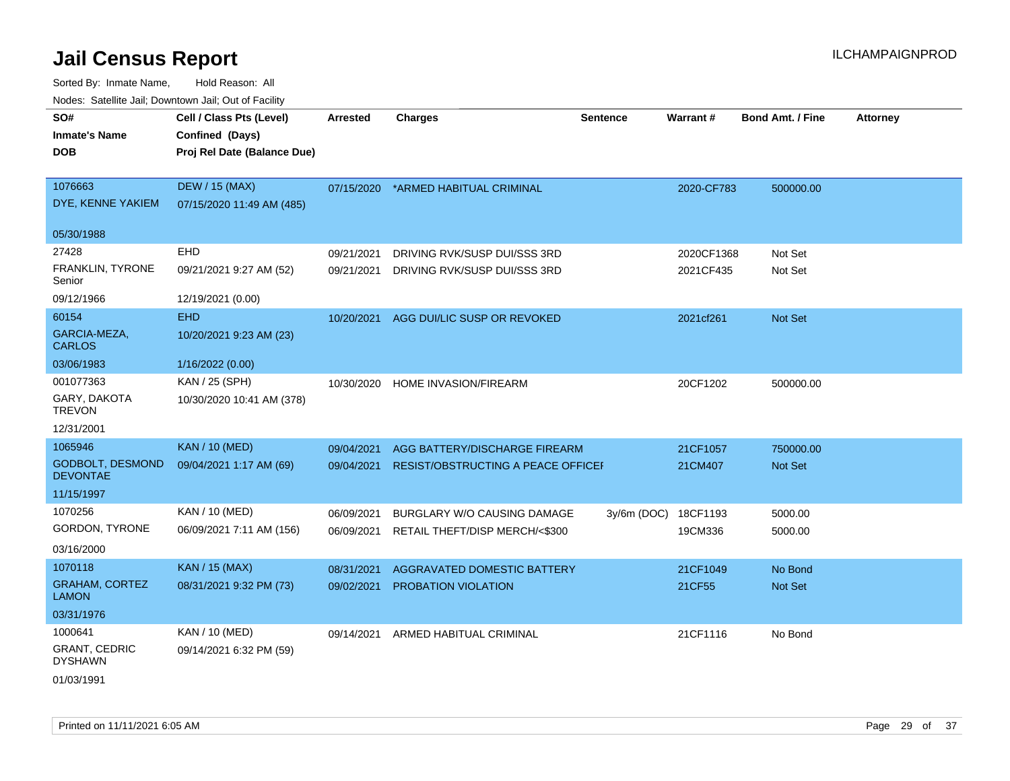| rougs. Calcinic Jan, Downtown Jan, Out of Facility |                             |                 |                                        |                 |            |                         |                 |
|----------------------------------------------------|-----------------------------|-----------------|----------------------------------------|-----------------|------------|-------------------------|-----------------|
| SO#                                                | Cell / Class Pts (Level)    | <b>Arrested</b> | <b>Charges</b>                         | <b>Sentence</b> | Warrant#   | <b>Bond Amt. / Fine</b> | <b>Attorney</b> |
| <b>Inmate's Name</b>                               | Confined (Days)             |                 |                                        |                 |            |                         |                 |
| <b>DOB</b>                                         | Proj Rel Date (Balance Due) |                 |                                        |                 |            |                         |                 |
|                                                    |                             |                 |                                        |                 |            |                         |                 |
| 1076663                                            | <b>DEW / 15 (MAX)</b>       | 07/15/2020      | *ARMED HABITUAL CRIMINAL               |                 | 2020-CF783 | 500000.00               |                 |
| DYE, KENNE YAKIEM                                  | 07/15/2020 11:49 AM (485)   |                 |                                        |                 |            |                         |                 |
| 05/30/1988                                         |                             |                 |                                        |                 |            |                         |                 |
| 27428                                              | EHD                         | 09/21/2021      | DRIVING RVK/SUSP DUI/SSS 3RD           |                 | 2020CF1368 | Not Set                 |                 |
| FRANKLIN, TYRONE<br>Senior                         | 09/21/2021 9:27 AM (52)     | 09/21/2021      | DRIVING RVK/SUSP DUI/SSS 3RD           |                 | 2021CF435  | Not Set                 |                 |
| 09/12/1966                                         | 12/19/2021 (0.00)           |                 |                                        |                 |            |                         |                 |
| 60154                                              | <b>EHD</b>                  |                 | 10/20/2021 AGG DUI/LIC SUSP OR REVOKED |                 | 2021cf261  | Not Set                 |                 |
| GARCIA-MEZA,<br><b>CARLOS</b>                      | 10/20/2021 9:23 AM (23)     |                 |                                        |                 |            |                         |                 |
| 03/06/1983                                         | 1/16/2022 (0.00)            |                 |                                        |                 |            |                         |                 |
| 001077363                                          | KAN / 25 (SPH)              | 10/30/2020      | HOME INVASION/FIREARM                  |                 | 20CF1202   | 500000.00               |                 |
| GARY, DAKOTA<br><b>TREVON</b>                      | 10/30/2020 10:41 AM (378)   |                 |                                        |                 |            |                         |                 |
| 12/31/2001                                         |                             |                 |                                        |                 |            |                         |                 |
| 1065946                                            | <b>KAN / 10 (MED)</b>       | 09/04/2021      | AGG BATTERY/DISCHARGE FIREARM          |                 | 21CF1057   | 750000.00               |                 |
| <b>GODBOLT, DESMOND</b><br><b>DEVONTAE</b>         | 09/04/2021 1:17 AM (69)     | 09/04/2021      | RESIST/OBSTRUCTING A PEACE OFFICEI     |                 | 21CM407    | Not Set                 |                 |
| 11/15/1997                                         |                             |                 |                                        |                 |            |                         |                 |
| 1070256                                            | KAN / 10 (MED)              | 06/09/2021      | BURGLARY W/O CAUSING DAMAGE            | $3y/6m$ (DOC)   | 18CF1193   | 5000.00                 |                 |
| GORDON, TYRONE                                     | 06/09/2021 7:11 AM (156)    | 06/09/2021      | RETAIL THEFT/DISP MERCH/<\$300         |                 | 19CM336    | 5000.00                 |                 |
| 03/16/2000                                         |                             |                 |                                        |                 |            |                         |                 |
| 1070118                                            | <b>KAN / 15 (MAX)</b>       | 08/31/2021      | AGGRAVATED DOMESTIC BATTERY            |                 | 21CF1049   | No Bond                 |                 |
| <b>GRAHAM, CORTEZ</b><br><b>LAMON</b>              | 08/31/2021 9:32 PM (73)     | 09/02/2021      | PROBATION VIOLATION                    |                 | 21CF55     | Not Set                 |                 |
| 03/31/1976                                         |                             |                 |                                        |                 |            |                         |                 |
| 1000641                                            | KAN / 10 (MED)              | 09/14/2021      | ARMED HABITUAL CRIMINAL                |                 | 21CF1116   | No Bond                 |                 |
| <b>GRANT, CEDRIC</b><br><b>DYSHAWN</b>             | 09/14/2021 6:32 PM (59)     |                 |                                        |                 |            |                         |                 |
| 01/03/1991                                         |                             |                 |                                        |                 |            |                         |                 |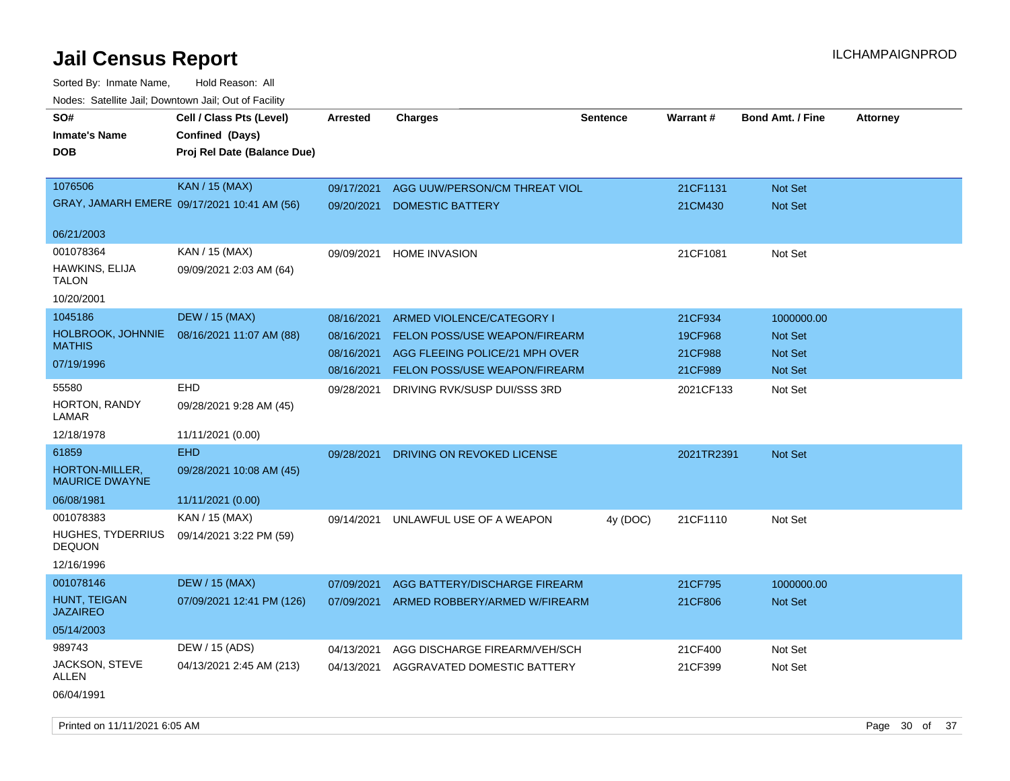| roaco. Odichile Jan, Downtown Jan, Out of Facility |                                             |                 |                                      |                 |            |                         |                 |
|----------------------------------------------------|---------------------------------------------|-----------------|--------------------------------------|-----------------|------------|-------------------------|-----------------|
| SO#<br><b>Inmate's Name</b>                        | Cell / Class Pts (Level)<br>Confined (Days) | <b>Arrested</b> | <b>Charges</b>                       | <b>Sentence</b> | Warrant#   | <b>Bond Amt. / Fine</b> | <b>Attorney</b> |
| <b>DOB</b>                                         | Proj Rel Date (Balance Due)                 |                 |                                      |                 |            |                         |                 |
| 1076506                                            | <b>KAN / 15 (MAX)</b>                       | 09/17/2021      | AGG UUW/PERSON/CM THREAT VIOL        |                 | 21CF1131   | <b>Not Set</b>          |                 |
|                                                    | GRAY, JAMARH EMERE 09/17/2021 10:41 AM (56) | 09/20/2021      | <b>DOMESTIC BATTERY</b>              |                 | 21CM430    | Not Set                 |                 |
| 06/21/2003                                         |                                             |                 |                                      |                 |            |                         |                 |
| 001078364                                          | KAN / 15 (MAX)                              | 09/09/2021      | <b>HOME INVASION</b>                 |                 | 21CF1081   | Not Set                 |                 |
| HAWKINS, ELIJA<br><b>TALON</b>                     | 09/09/2021 2:03 AM (64)                     |                 |                                      |                 |            |                         |                 |
| 10/20/2001                                         |                                             |                 |                                      |                 |            |                         |                 |
| 1045186                                            | <b>DEW / 15 (MAX)</b>                       | 08/16/2021      | ARMED VIOLENCE/CATEGORY I            |                 | 21CF934    | 1000000.00              |                 |
| HOLBROOK, JOHNNIE                                  | 08/16/2021 11:07 AM (88)                    | 08/16/2021      | <b>FELON POSS/USE WEAPON/FIREARM</b> |                 | 19CF968    | <b>Not Set</b>          |                 |
| <b>MATHIS</b>                                      |                                             | 08/16/2021      | AGG FLEEING POLICE/21 MPH OVER       |                 | 21CF988    | Not Set                 |                 |
| 07/19/1996                                         |                                             | 08/16/2021      | <b>FELON POSS/USE WEAPON/FIREARM</b> |                 | 21CF989    | Not Set                 |                 |
| 55580                                              | EHD                                         | 09/28/2021      | DRIVING RVK/SUSP DUI/SSS 3RD         |                 | 2021CF133  | Not Set                 |                 |
| <b>HORTON, RANDY</b><br>LAMAR                      | 09/28/2021 9:28 AM (45)                     |                 |                                      |                 |            |                         |                 |
| 12/18/1978                                         | 11/11/2021 (0.00)                           |                 |                                      |                 |            |                         |                 |
| 61859                                              | <b>EHD</b>                                  | 09/28/2021      | DRIVING ON REVOKED LICENSE           |                 | 2021TR2391 | <b>Not Set</b>          |                 |
| HORTON-MILLER,<br><b>MAURICE DWAYNE</b>            | 09/28/2021 10:08 AM (45)                    |                 |                                      |                 |            |                         |                 |
| 06/08/1981                                         | 11/11/2021 (0.00)                           |                 |                                      |                 |            |                         |                 |
| 001078383                                          | KAN / 15 (MAX)                              | 09/14/2021      | UNLAWFUL USE OF A WEAPON             | 4y (DOC)        | 21CF1110   | Not Set                 |                 |
| <b>HUGHES, TYDERRIUS</b><br><b>DEQUON</b>          | 09/14/2021 3:22 PM (59)                     |                 |                                      |                 |            |                         |                 |
| 12/16/1996                                         |                                             |                 |                                      |                 |            |                         |                 |
| 001078146                                          | <b>DEW / 15 (MAX)</b>                       | 07/09/2021      | AGG BATTERY/DISCHARGE FIREARM        |                 | 21CF795    | 1000000.00              |                 |
| HUNT, TEIGAN<br><b>JAZAIREO</b>                    | 07/09/2021 12:41 PM (126)                   | 07/09/2021      | ARMED ROBBERY/ARMED W/FIREARM        |                 | 21CF806    | <b>Not Set</b>          |                 |
| 05/14/2003                                         |                                             |                 |                                      |                 |            |                         |                 |
| 989743                                             | DEW / 15 (ADS)                              | 04/13/2021      | AGG DISCHARGE FIREARM/VEH/SCH        |                 | 21CF400    | Not Set                 |                 |
| JACKSON, STEVE<br>ALLEN                            | 04/13/2021 2:45 AM (213)                    | 04/13/2021      | AGGRAVATED DOMESTIC BATTERY          |                 | 21CF399    | Not Set                 |                 |
| 06/04/1991                                         |                                             |                 |                                      |                 |            |                         |                 |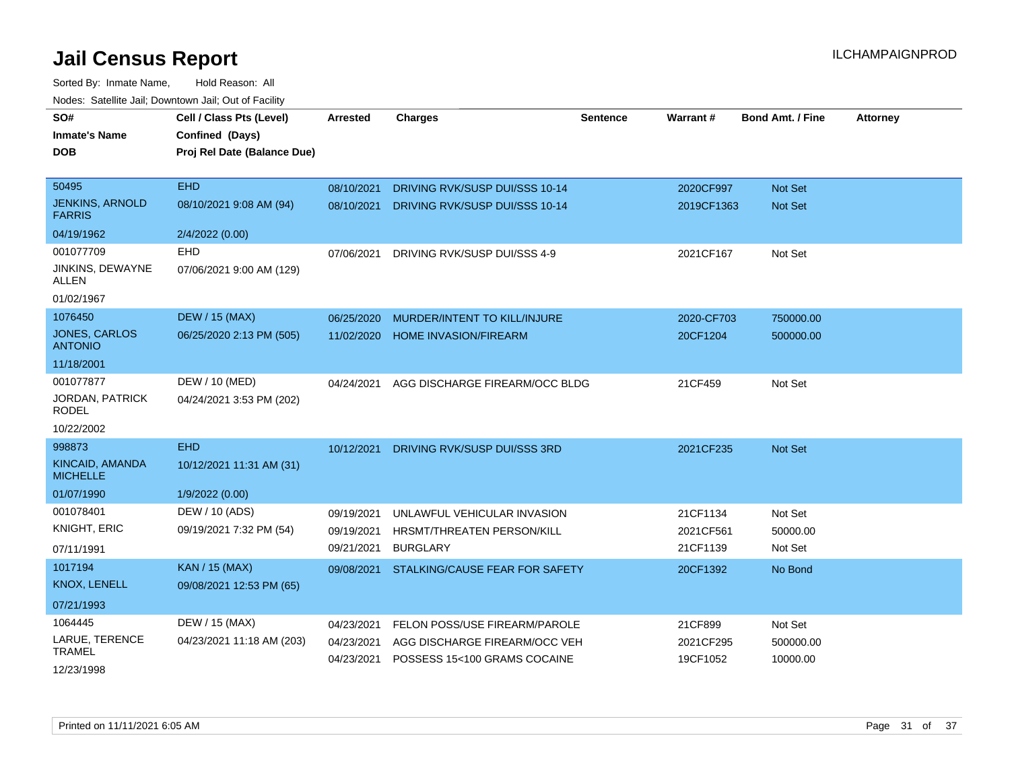| SO#<br><b>Inmate's Name</b><br><b>DOB</b> | Cell / Class Pts (Level)<br>Confined (Days)<br>Proj Rel Date (Balance Due) | <b>Arrested</b> | <b>Charges</b>                          | <b>Sentence</b> | Warrant#   | <b>Bond Amt. / Fine</b> | <b>Attorney</b> |
|-------------------------------------------|----------------------------------------------------------------------------|-----------------|-----------------------------------------|-----------------|------------|-------------------------|-----------------|
| 50495                                     | <b>EHD</b>                                                                 |                 |                                         |                 |            |                         |                 |
| <b>JENKINS, ARNOLD</b>                    |                                                                            | 08/10/2021      | DRIVING RVK/SUSP DUI/SSS 10-14          |                 | 2020CF997  | Not Set                 |                 |
| <b>FARRIS</b>                             | 08/10/2021 9:08 AM (94)                                                    | 08/10/2021      | DRIVING RVK/SUSP DUI/SSS 10-14          |                 | 2019CF1363 | <b>Not Set</b>          |                 |
| 04/19/1962                                | 2/4/2022 (0.00)                                                            |                 |                                         |                 |            |                         |                 |
| 001077709                                 | <b>EHD</b>                                                                 | 07/06/2021      | DRIVING RVK/SUSP DUI/SSS 4-9            |                 | 2021CF167  | Not Set                 |                 |
| JINKINS, DEWAYNE<br>ALLEN                 | 07/06/2021 9:00 AM (129)                                                   |                 |                                         |                 |            |                         |                 |
| 01/02/1967                                |                                                                            |                 |                                         |                 |            |                         |                 |
| 1076450                                   | <b>DEW / 15 (MAX)</b>                                                      | 06/25/2020      | MURDER/INTENT TO KILL/INJURE            |                 | 2020-CF703 | 750000.00               |                 |
| JONES, CARLOS<br><b>ANTONIO</b>           | 06/25/2020 2:13 PM (505)                                                   | 11/02/2020      | <b>HOME INVASION/FIREARM</b>            |                 | 20CF1204   | 500000.00               |                 |
| 11/18/2001                                |                                                                            |                 |                                         |                 |            |                         |                 |
| 001077877                                 | DEW / 10 (MED)                                                             | 04/24/2021      | AGG DISCHARGE FIREARM/OCC BLDG          |                 | 21CF459    | Not Set                 |                 |
| <b>JORDAN, PATRICK</b><br><b>RODEL</b>    | 04/24/2021 3:53 PM (202)                                                   |                 |                                         |                 |            |                         |                 |
| 10/22/2002                                |                                                                            |                 |                                         |                 |            |                         |                 |
| 998873                                    | <b>EHD</b>                                                                 | 10/12/2021      | DRIVING RVK/SUSP DUI/SSS 3RD            |                 | 2021CF235  | Not Set                 |                 |
| <b>KINCAID, AMANDA</b><br><b>MICHELLE</b> | 10/12/2021 11:31 AM (31)                                                   |                 |                                         |                 |            |                         |                 |
| 01/07/1990                                | 1/9/2022 (0.00)                                                            |                 |                                         |                 |            |                         |                 |
| 001078401                                 | DEW / 10 (ADS)                                                             | 09/19/2021      | UNLAWFUL VEHICULAR INVASION             |                 | 21CF1134   | Not Set                 |                 |
| <b>KNIGHT, ERIC</b>                       | 09/19/2021 7:32 PM (54)                                                    | 09/19/2021      | HRSMT/THREATEN PERSON/KILL              |                 | 2021CF561  | 50000.00                |                 |
| 07/11/1991                                |                                                                            | 09/21/2021      | <b>BURGLARY</b>                         |                 | 21CF1139   | Not Set                 |                 |
| 1017194                                   | <b>KAN / 15 (MAX)</b>                                                      | 09/08/2021      | STALKING/CAUSE FEAR FOR SAFETY          |                 | 20CF1392   | No Bond                 |                 |
| <b>KNOX, LENELL</b>                       | 09/08/2021 12:53 PM (65)                                                   |                 |                                         |                 |            |                         |                 |
| 07/21/1993                                |                                                                            |                 |                                         |                 |            |                         |                 |
| 1064445                                   | DEW / 15 (MAX)                                                             | 04/23/2021      | FELON POSS/USE FIREARM/PAROLE           |                 | 21CF899    | Not Set                 |                 |
| LARUE, TERENCE<br><b>TRAMEL</b>           | 04/23/2021 11:18 AM (203)                                                  | 04/23/2021      | AGG DISCHARGE FIREARM/OCC VEH           |                 | 2021CF295  | 500000.00               |                 |
| 12/23/1998                                |                                                                            |                 | 04/23/2021 POSSESS 15<100 GRAMS COCAINE |                 | 19CF1052   | 10000.00                |                 |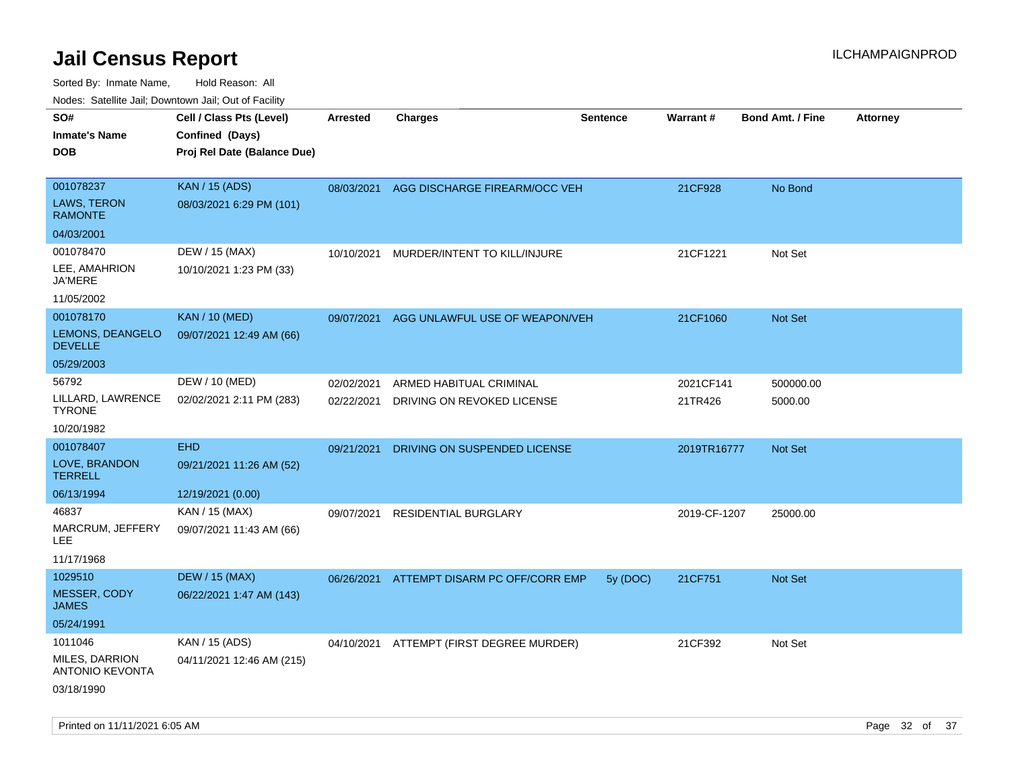| rouco. Calcinic Jan, Downtown Jan, Out of Facility |                             |                 |                                           |                 |              |                         |                 |
|----------------------------------------------------|-----------------------------|-----------------|-------------------------------------------|-----------------|--------------|-------------------------|-----------------|
| SO#                                                | Cell / Class Pts (Level)    | <b>Arrested</b> | <b>Charges</b>                            | <b>Sentence</b> | Warrant#     | <b>Bond Amt. / Fine</b> | <b>Attorney</b> |
| <b>Inmate's Name</b>                               | Confined (Days)             |                 |                                           |                 |              |                         |                 |
| DOB                                                | Proj Rel Date (Balance Due) |                 |                                           |                 |              |                         |                 |
|                                                    |                             |                 |                                           |                 |              |                         |                 |
| 001078237                                          | <b>KAN / 15 (ADS)</b>       |                 | 08/03/2021 AGG DISCHARGE FIREARM/OCC VEH  |                 | 21CF928      | No Bond                 |                 |
| <b>LAWS, TERON</b><br><b>RAMONTE</b>               | 08/03/2021 6:29 PM (101)    |                 |                                           |                 |              |                         |                 |
| 04/03/2001                                         |                             |                 |                                           |                 |              |                         |                 |
| 001078470                                          | DEW / 15 (MAX)              | 10/10/2021      | MURDER/INTENT TO KILL/INJURE              |                 | 21CF1221     | Not Set                 |                 |
| LEE, AMAHRION<br>JA'MERE                           | 10/10/2021 1:23 PM (33)     |                 |                                           |                 |              |                         |                 |
| 11/05/2002                                         |                             |                 |                                           |                 |              |                         |                 |
| 001078170                                          | <b>KAN / 10 (MED)</b>       | 09/07/2021      | AGG UNLAWFUL USE OF WEAPON/VEH            |                 | 21CF1060     | <b>Not Set</b>          |                 |
| LEMONS, DEANGELO<br><b>DEVELLE</b>                 | 09/07/2021 12:49 AM (66)    |                 |                                           |                 |              |                         |                 |
| 05/29/2003                                         |                             |                 |                                           |                 |              |                         |                 |
| 56792                                              | DEW / 10 (MED)              | 02/02/2021      | ARMED HABITUAL CRIMINAL                   |                 | 2021CF141    | 500000.00               |                 |
| LILLARD, LAWRENCE<br>TYRONE                        | 02/02/2021 2:11 PM (283)    | 02/22/2021      | DRIVING ON REVOKED LICENSE                |                 | 21TR426      | 5000.00                 |                 |
| 10/20/1982                                         |                             |                 |                                           |                 |              |                         |                 |
| 001078407                                          | <b>EHD</b>                  | 09/21/2021      | DRIVING ON SUSPENDED LICENSE              |                 | 2019TR16777  | <b>Not Set</b>          |                 |
| LOVE, BRANDON<br>TERRELL                           | 09/21/2021 11:26 AM (52)    |                 |                                           |                 |              |                         |                 |
| 06/13/1994                                         | 12/19/2021 (0.00)           |                 |                                           |                 |              |                         |                 |
| 46837                                              | KAN / 15 (MAX)              | 09/07/2021      | RESIDENTIAL BURGLARY                      |                 | 2019-CF-1207 | 25000.00                |                 |
| MARCRUM, JEFFERY<br>LEE.                           | 09/07/2021 11:43 AM (66)    |                 |                                           |                 |              |                         |                 |
| 11/17/1968                                         |                             |                 |                                           |                 |              |                         |                 |
| 1029510                                            | <b>DEW / 15 (MAX)</b>       |                 | 06/26/2021 ATTEMPT DISARM PC OFF/CORR EMP | 5y (DOC)        | 21CF751      | Not Set                 |                 |
| <b>MESSER, CODY</b><br>JAMES                       | 06/22/2021 1:47 AM (143)    |                 |                                           |                 |              |                         |                 |
| 05/24/1991                                         |                             |                 |                                           |                 |              |                         |                 |
| 1011046                                            | KAN / 15 (ADS)              |                 | 04/10/2021 ATTEMPT (FIRST DEGREE MURDER)  |                 | 21CF392      | Not Set                 |                 |
| MILES, DARRION<br>ANTONIO KEVONTA                  | 04/11/2021 12:46 AM (215)   |                 |                                           |                 |              |                         |                 |
| 03/18/1990                                         |                             |                 |                                           |                 |              |                         |                 |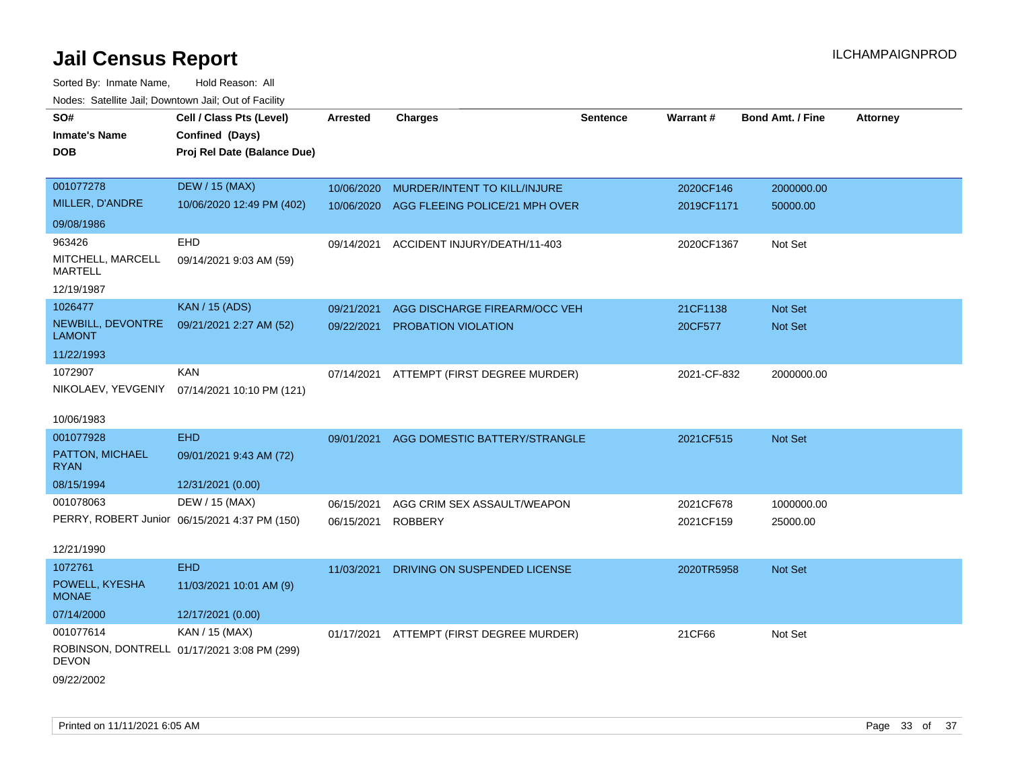| SO#                                 | Cell / Class Pts (Level)                      | <b>Arrested</b> | <b>Charges</b>                 | <b>Sentence</b> | Warrant#    | <b>Bond Amt. / Fine</b> | <b>Attorney</b> |
|-------------------------------------|-----------------------------------------------|-----------------|--------------------------------|-----------------|-------------|-------------------------|-----------------|
| <b>Inmate's Name</b>                | Confined (Days)                               |                 |                                |                 |             |                         |                 |
| <b>DOB</b>                          | Proj Rel Date (Balance Due)                   |                 |                                |                 |             |                         |                 |
|                                     |                                               |                 |                                |                 |             |                         |                 |
| 001077278                           | <b>DEW / 15 (MAX)</b>                         | 10/06/2020      | MURDER/INTENT TO KILL/INJURE   |                 | 2020CF146   | 2000000.00              |                 |
| MILLER, D'ANDRE                     | 10/06/2020 12:49 PM (402)                     | 10/06/2020      | AGG FLEEING POLICE/21 MPH OVER |                 | 2019CF1171  | 50000.00                |                 |
| 09/08/1986                          |                                               |                 |                                |                 |             |                         |                 |
| 963426                              | EHD                                           | 09/14/2021      | ACCIDENT INJURY/DEATH/11-403   |                 | 2020CF1367  | Not Set                 |                 |
| MITCHELL, MARCELL<br><b>MARTELL</b> | 09/14/2021 9:03 AM (59)                       |                 |                                |                 |             |                         |                 |
| 12/19/1987                          |                                               |                 |                                |                 |             |                         |                 |
| 1026477                             | <b>KAN / 15 (ADS)</b>                         | 09/21/2021      | AGG DISCHARGE FIREARM/OCC VEH  |                 | 21CF1138    | Not Set                 |                 |
| NEWBILL, DEVONTRE<br><b>LAMONT</b>  | 09/21/2021 2:27 AM (52)                       | 09/22/2021      | PROBATION VIOLATION            |                 | 20CF577     | <b>Not Set</b>          |                 |
| 11/22/1993                          |                                               |                 |                                |                 |             |                         |                 |
| 1072907                             | <b>KAN</b>                                    | 07/14/2021      | ATTEMPT (FIRST DEGREE MURDER)  |                 | 2021-CF-832 | 2000000.00              |                 |
| NIKOLAEV, YEVGENIY                  | 07/14/2021 10:10 PM (121)                     |                 |                                |                 |             |                         |                 |
| 10/06/1983                          |                                               |                 |                                |                 |             |                         |                 |
| 001077928                           | <b>EHD</b>                                    | 09/01/2021      | AGG DOMESTIC BATTERY/STRANGLE  |                 | 2021CF515   | Not Set                 |                 |
| PATTON, MICHAEL<br><b>RYAN</b>      | 09/01/2021 9:43 AM (72)                       |                 |                                |                 |             |                         |                 |
| 08/15/1994                          | 12/31/2021 (0.00)                             |                 |                                |                 |             |                         |                 |
| 001078063                           | DEW / 15 (MAX)                                | 06/15/2021      | AGG CRIM SEX ASSAULT/WEAPON    |                 | 2021CF678   | 1000000.00              |                 |
|                                     | PERRY, ROBERT Junior 06/15/2021 4:37 PM (150) | 06/15/2021      | ROBBERY                        |                 | 2021CF159   | 25000.00                |                 |
|                                     |                                               |                 |                                |                 |             |                         |                 |
| 12/21/1990                          |                                               |                 |                                |                 |             |                         |                 |
| 1072761                             | <b>EHD</b>                                    | 11/03/2021      | DRIVING ON SUSPENDED LICENSE   |                 | 2020TR5958  | Not Set                 |                 |
| POWELL, KYESHA<br><b>MONAE</b>      | 11/03/2021 10:01 AM (9)                       |                 |                                |                 |             |                         |                 |
| 07/14/2000                          | 12/17/2021 (0.00)                             |                 |                                |                 |             |                         |                 |
| 001077614                           | KAN / 15 (MAX)                                | 01/17/2021      | ATTEMPT (FIRST DEGREE MURDER)  |                 | 21CF66      | Not Set                 |                 |
| DEVON                               | ROBINSON, DONTRELL 01/17/2021 3:08 PM (299)   |                 |                                |                 |             |                         |                 |
| 09/22/2002                          |                                               |                 |                                |                 |             |                         |                 |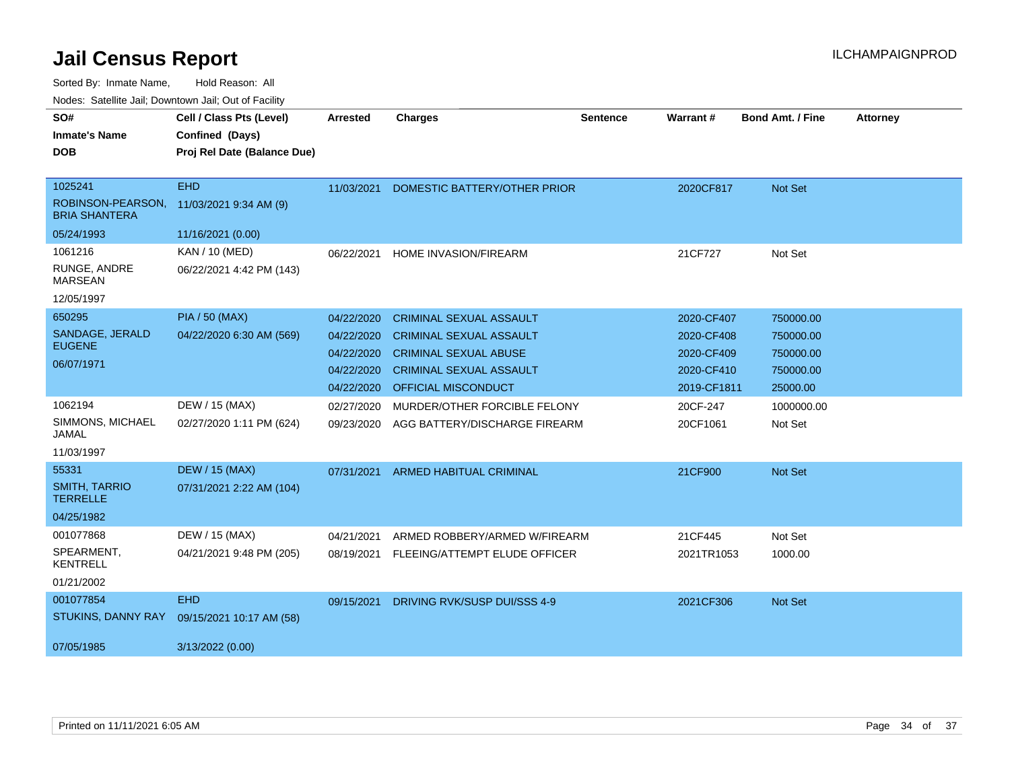$\overline{a}$ 

Sorted By: Inmate Name, Hold Reason: All

| Nodes: Satellite Jail; Downtown Jail; Out of Facility |                             |                 |                                |                 |             |                         |                 |
|-------------------------------------------------------|-----------------------------|-----------------|--------------------------------|-----------------|-------------|-------------------------|-----------------|
| SO#                                                   | Cell / Class Pts (Level)    | <b>Arrested</b> | <b>Charges</b>                 | <b>Sentence</b> | Warrant#    | <b>Bond Amt. / Fine</b> | <b>Attorney</b> |
| <b>Inmate's Name</b>                                  | Confined (Days)             |                 |                                |                 |             |                         |                 |
| DOB                                                   | Proj Rel Date (Balance Due) |                 |                                |                 |             |                         |                 |
| 1025241                                               | <b>EHD</b>                  | 11/03/2021      | DOMESTIC BATTERY/OTHER PRIOR   |                 | 2020CF817   | <b>Not Set</b>          |                 |
| ROBINSON-PEARSON,<br><b>BRIA SHANTERA</b>             | 11/03/2021 9:34 AM (9)      |                 |                                |                 |             |                         |                 |
| 05/24/1993                                            | 11/16/2021 (0.00)           |                 |                                |                 |             |                         |                 |
| 1061216                                               | KAN / 10 (MED)              | 06/22/2021      | <b>HOME INVASION/FIREARM</b>   |                 | 21CF727     | Not Set                 |                 |
| RUNGE, ANDRE<br>MARSEAN                               | 06/22/2021 4:42 PM (143)    |                 |                                |                 |             |                         |                 |
| 12/05/1997                                            |                             |                 |                                |                 |             |                         |                 |
| 650295                                                | <b>PIA / 50 (MAX)</b>       | 04/22/2020      | <b>CRIMINAL SEXUAL ASSAULT</b> |                 | 2020-CF407  | 750000.00               |                 |
| SANDAGE, JERALD<br><b>EUGENE</b>                      | 04/22/2020 6:30 AM (569)    | 04/22/2020      | <b>CRIMINAL SEXUAL ASSAULT</b> |                 | 2020-CF408  | 750000.00               |                 |
| 06/07/1971                                            |                             | 04/22/2020      | <b>CRIMINAL SEXUAL ABUSE</b>   |                 | 2020-CF409  | 750000.00               |                 |
|                                                       |                             | 04/22/2020      | <b>CRIMINAL SEXUAL ASSAULT</b> |                 | 2020-CF410  | 750000.00               |                 |
|                                                       |                             | 04/22/2020      | OFFICIAL MISCONDUCT            |                 | 2019-CF1811 | 25000.00                |                 |
| 1062194                                               | DEW / 15 (MAX)              | 02/27/2020      | MURDER/OTHER FORCIBLE FELONY   |                 | 20CF-247    | 1000000.00              |                 |
| SIMMONS, MICHAEL<br>JAMAL                             | 02/27/2020 1:11 PM (624)    | 09/23/2020      | AGG BATTERY/DISCHARGE FIREARM  |                 | 20CF1061    | Not Set                 |                 |
| 11/03/1997                                            |                             |                 |                                |                 |             |                         |                 |
| 55331                                                 | <b>DEW / 15 (MAX)</b>       | 07/31/2021      | <b>ARMED HABITUAL CRIMINAL</b> |                 | 21CF900     | <b>Not Set</b>          |                 |
| <b>SMITH, TARRIO</b><br><b>TERRELLE</b>               | 07/31/2021 2:22 AM (104)    |                 |                                |                 |             |                         |                 |
| 04/25/1982                                            |                             |                 |                                |                 |             |                         |                 |
| 001077868                                             | DEW / 15 (MAX)              | 04/21/2021      | ARMED ROBBERY/ARMED W/FIREARM  |                 | 21CF445     | Not Set                 |                 |
| SPEARMENT,<br><b>KENTRELL</b>                         | 04/21/2021 9:48 PM (205)    | 08/19/2021      | FLEEING/ATTEMPT ELUDE OFFICER  |                 | 2021TR1053  | 1000.00                 |                 |
| 01/21/2002                                            |                             |                 |                                |                 |             |                         |                 |
| 001077854                                             | <b>EHD</b>                  | 09/15/2021      | DRIVING RVK/SUSP DUI/SSS 4-9   |                 | 2021CF306   | Not Set                 |                 |
| STUKINS, DANNY RAY                                    | 09/15/2021 10:17 AM (58)    |                 |                                |                 |             |                         |                 |
| 07/05/1985                                            | 3/13/2022 (0.00)            |                 |                                |                 |             |                         |                 |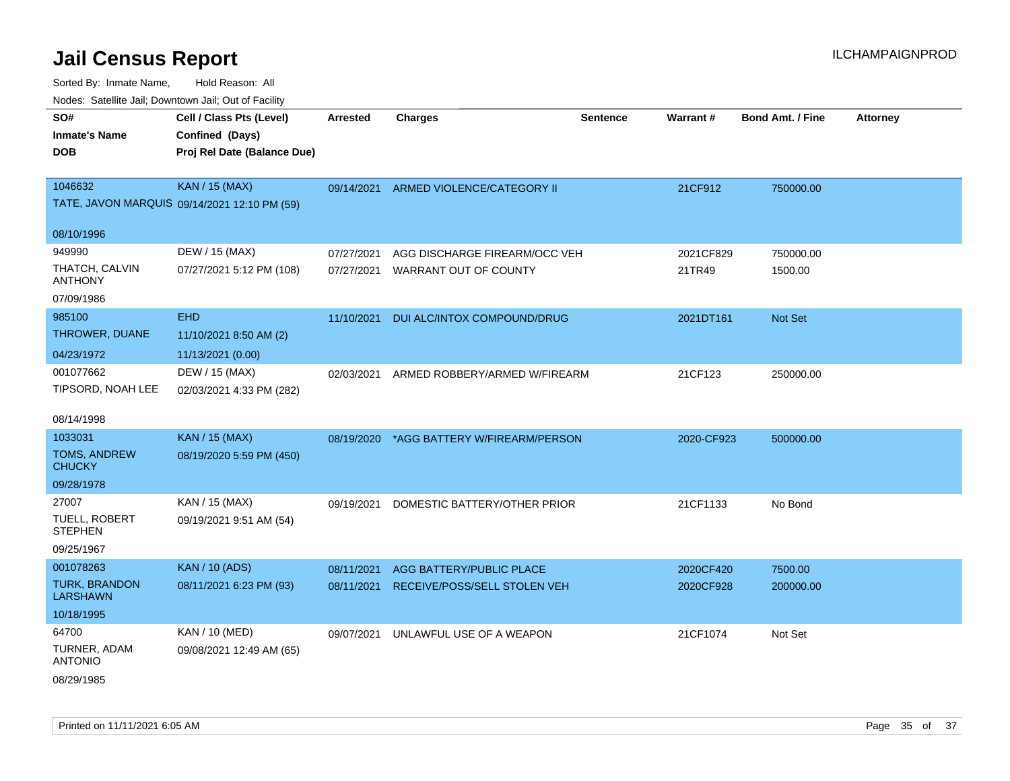| rougs. Calcing Jan, Downtown Jan, Out of Facility |                                              |                 |                               |                 |                 |                         |                 |
|---------------------------------------------------|----------------------------------------------|-----------------|-------------------------------|-----------------|-----------------|-------------------------|-----------------|
| SO#<br><b>Inmate's Name</b>                       | Cell / Class Pts (Level)<br>Confined (Days)  | <b>Arrested</b> | <b>Charges</b>                | <b>Sentence</b> | <b>Warrant#</b> | <b>Bond Amt. / Fine</b> | <b>Attorney</b> |
| <b>DOB</b>                                        | Proj Rel Date (Balance Due)                  |                 |                               |                 |                 |                         |                 |
| 1046632                                           | <b>KAN / 15 (MAX)</b>                        | 09/14/2021      | ARMED VIOLENCE/CATEGORY II    |                 | 21CF912         | 750000.00               |                 |
|                                                   | TATE, JAVON MARQUIS 09/14/2021 12:10 PM (59) |                 |                               |                 |                 |                         |                 |
| 08/10/1996                                        |                                              |                 |                               |                 |                 |                         |                 |
| 949990                                            | DEW / 15 (MAX)                               | 07/27/2021      | AGG DISCHARGE FIREARM/OCC VEH |                 | 2021CF829       | 750000.00               |                 |
| THATCH, CALVIN<br>ANTHONY                         | 07/27/2021 5:12 PM (108)                     | 07/27/2021      | WARRANT OUT OF COUNTY         |                 | 21TR49          | 1500.00                 |                 |
| 07/09/1986                                        |                                              |                 |                               |                 |                 |                         |                 |
| 985100                                            | <b>EHD</b>                                   | 11/10/2021      | DUI ALC/INTOX COMPOUND/DRUG   |                 | 2021DT161       | <b>Not Set</b>          |                 |
| THROWER, DUANE                                    | 11/10/2021 8:50 AM (2)                       |                 |                               |                 |                 |                         |                 |
| 04/23/1972                                        | 11/13/2021 (0.00)                            |                 |                               |                 |                 |                         |                 |
| 001077662                                         | DEW / 15 (MAX)                               | 02/03/2021      | ARMED ROBBERY/ARMED W/FIREARM |                 | 21CF123         | 250000.00               |                 |
| TIPSORD, NOAH LEE                                 | 02/03/2021 4:33 PM (282)                     |                 |                               |                 |                 |                         |                 |
| 08/14/1998                                        |                                              |                 |                               |                 |                 |                         |                 |
| 1033031                                           | <b>KAN / 15 (MAX)</b>                        | 08/19/2020      | *AGG BATTERY W/FIREARM/PERSON |                 | 2020-CF923      | 500000.00               |                 |
| <b>TOMS, ANDREW</b><br><b>CHUCKY</b>              | 08/19/2020 5:59 PM (450)                     |                 |                               |                 |                 |                         |                 |
| 09/28/1978                                        |                                              |                 |                               |                 |                 |                         |                 |
| 27007                                             | KAN / 15 (MAX)                               | 09/19/2021      | DOMESTIC BATTERY/OTHER PRIOR  |                 | 21CF1133        | No Bond                 |                 |
| TUELL, ROBERT<br><b>STEPHEN</b>                   | 09/19/2021 9:51 AM (54)                      |                 |                               |                 |                 |                         |                 |
| 09/25/1967                                        |                                              |                 |                               |                 |                 |                         |                 |
| 001078263                                         | <b>KAN / 10 (ADS)</b>                        | 08/11/2021      | AGG BATTERY/PUBLIC PLACE      |                 | 2020CF420       | 7500.00                 |                 |
| <b>TURK, BRANDON</b><br><b>LARSHAWN</b>           | 08/11/2021 6:23 PM (93)                      | 08/11/2021      | RECEIVE/POSS/SELL STOLEN VEH  |                 | 2020CF928       | 200000.00               |                 |
| 10/18/1995                                        |                                              |                 |                               |                 |                 |                         |                 |
| 64700                                             | <b>KAN / 10 (MED)</b>                        | 09/07/2021      | UNLAWFUL USE OF A WEAPON      |                 | 21CF1074        | Not Set                 |                 |
| TURNER, ADAM<br><b>ANTONIO</b>                    | 09/08/2021 12:49 AM (65)                     |                 |                               |                 |                 |                         |                 |
| 08/29/1985                                        |                                              |                 |                               |                 |                 |                         |                 |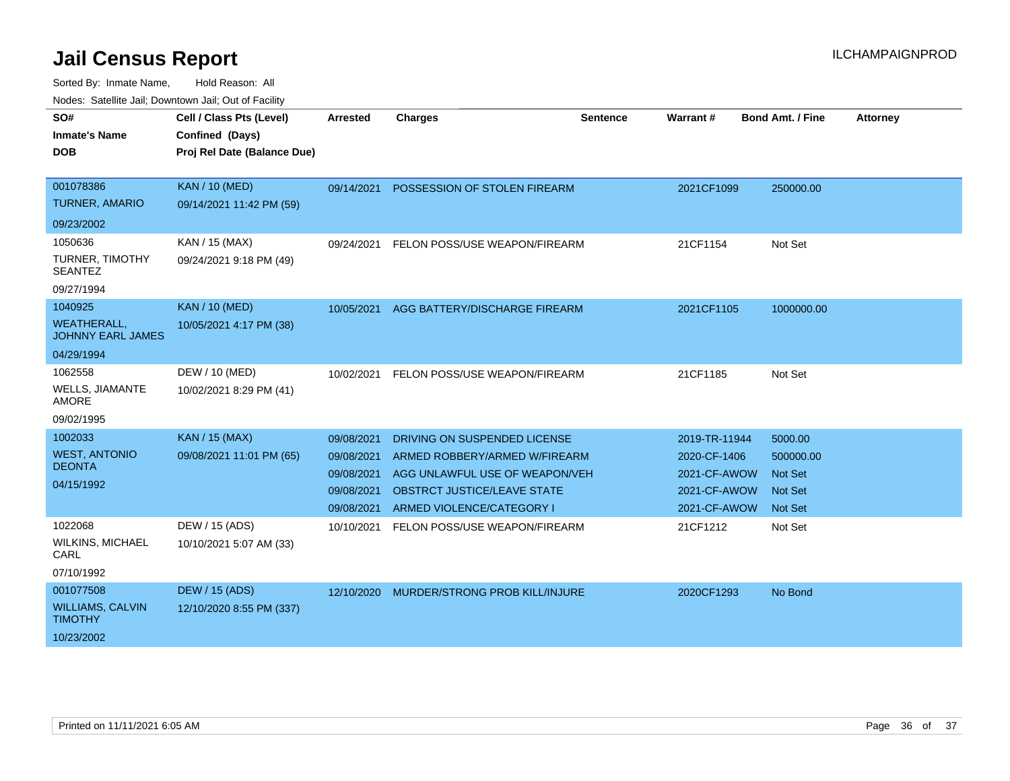| SO#<br><b>Inmate's Name</b>                    | Cell / Class Pts (Level)<br>Confined (Days) | <b>Arrested</b> | <b>Charges</b>                            | <b>Sentence</b> | Warrant #     | <b>Bond Amt. / Fine</b> | <b>Attorney</b> |
|------------------------------------------------|---------------------------------------------|-----------------|-------------------------------------------|-----------------|---------------|-------------------------|-----------------|
| <b>DOB</b>                                     | Proj Rel Date (Balance Due)                 |                 |                                           |                 |               |                         |                 |
|                                                |                                             |                 |                                           |                 |               |                         |                 |
| 001078386                                      | <b>KAN / 10 (MED)</b>                       | 09/14/2021      | POSSESSION OF STOLEN FIREARM              |                 | 2021CF1099    | 250000.00               |                 |
| <b>TURNER, AMARIO</b>                          | 09/14/2021 11:42 PM (59)                    |                 |                                           |                 |               |                         |                 |
| 09/23/2002                                     |                                             |                 |                                           |                 |               |                         |                 |
| 1050636                                        | KAN / 15 (MAX)                              | 09/24/2021      | FELON POSS/USE WEAPON/FIREARM             |                 | 21CF1154      | Not Set                 |                 |
| TURNER, TIMOTHY<br><b>SEANTEZ</b>              | 09/24/2021 9:18 PM (49)                     |                 |                                           |                 |               |                         |                 |
| 09/27/1994                                     |                                             |                 |                                           |                 |               |                         |                 |
| 1040925                                        | <b>KAN / 10 (MED)</b>                       | 10/05/2021      | AGG BATTERY/DISCHARGE FIREARM             |                 | 2021CF1105    | 1000000.00              |                 |
| <b>WEATHERALL,</b><br><b>JOHNNY EARL JAMES</b> | 10/05/2021 4:17 PM (38)                     |                 |                                           |                 |               |                         |                 |
| 04/29/1994                                     |                                             |                 |                                           |                 |               |                         |                 |
| 1062558                                        | DEW / 10 (MED)                              | 10/02/2021      | FELON POSS/USE WEAPON/FIREARM             |                 | 21CF1185      | Not Set                 |                 |
| <b>WELLS, JIAMANTE</b><br><b>AMORE</b>         | 10/02/2021 8:29 PM (41)                     |                 |                                           |                 |               |                         |                 |
| 09/02/1995                                     |                                             |                 |                                           |                 |               |                         |                 |
| 1002033                                        | <b>KAN / 15 (MAX)</b>                       | 09/08/2021      | DRIVING ON SUSPENDED LICENSE              |                 | 2019-TR-11944 | 5000.00                 |                 |
| <b>WEST, ANTONIO</b>                           | 09/08/2021 11:01 PM (65)                    | 09/08/2021      | ARMED ROBBERY/ARMED W/FIREARM             |                 | 2020-CF-1406  | 500000.00               |                 |
| <b>DEONTA</b>                                  |                                             | 09/08/2021      | AGG UNLAWFUL USE OF WEAPON/VEH            |                 | 2021-CF-AWOW  | <b>Not Set</b>          |                 |
| 04/15/1992                                     |                                             | 09/08/2021      | <b>OBSTRCT JUSTICE/LEAVE STATE</b>        |                 | 2021-CF-AWOW  | <b>Not Set</b>          |                 |
|                                                |                                             | 09/08/2021      | ARMED VIOLENCE/CATEGORY I                 |                 | 2021-CF-AWOW  | <b>Not Set</b>          |                 |
| 1022068                                        | DEW / 15 (ADS)                              | 10/10/2021      | FELON POSS/USE WEAPON/FIREARM             |                 | 21CF1212      | Not Set                 |                 |
| WILKINS, MICHAEL<br>CARL                       | 10/10/2021 5:07 AM (33)                     |                 |                                           |                 |               |                         |                 |
| 07/10/1992                                     |                                             |                 |                                           |                 |               |                         |                 |
| 001077508                                      | <b>DEW / 15 (ADS)</b>                       |                 | 12/10/2020 MURDER/STRONG PROB KILL/INJURE |                 | 2020CF1293    | No Bond                 |                 |
| <b>WILLIAMS, CALVIN</b><br><b>TIMOTHY</b>      | 12/10/2020 8:55 PM (337)                    |                 |                                           |                 |               |                         |                 |
| 10/23/2002                                     |                                             |                 |                                           |                 |               |                         |                 |